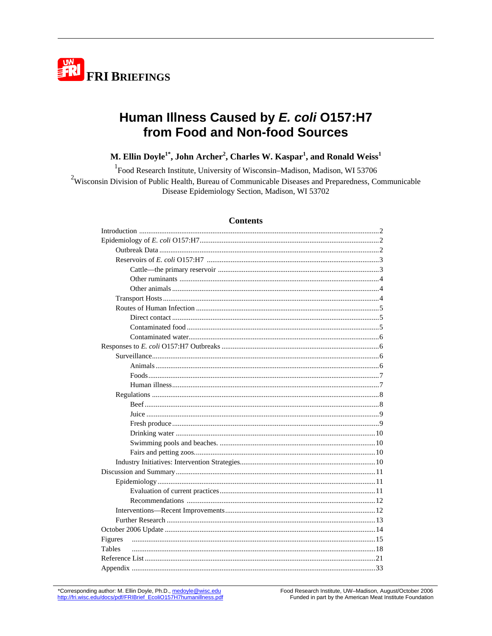

# Human Illness Caused by E. coli O157:H7 from Food and Non-food Sources

M. Ellin Doyle<sup>1\*</sup>, John Archer<sup>2</sup>, Charles W. Kaspar<sup>1</sup>, and Ronald Weiss<sup>1</sup>

<sup>1</sup>Food Research Institute, University of Wisconsin-Madison, Madison, WI 53706  $2$ Wisconsin Division of Public Health, Bureau of Communicable Diseases and Preparedness, Communicable Disease Epidemiology Section, Madison, WI 53702

### **Contents**

| Figures       |  |
|---------------|--|
| <b>Tables</b> |  |
|               |  |
|               |  |

\*Corresponding author: M. Ellin Doyle, Ph.D., medoyle@wisc.edu http://fri.wisc.edu/docs/pdf/FRIBrief\_EcoliO157H7humanillness.pdf Food Research Institute, UW-Madison, August/October 2006 Funded in part by the American Meat Institute Foundation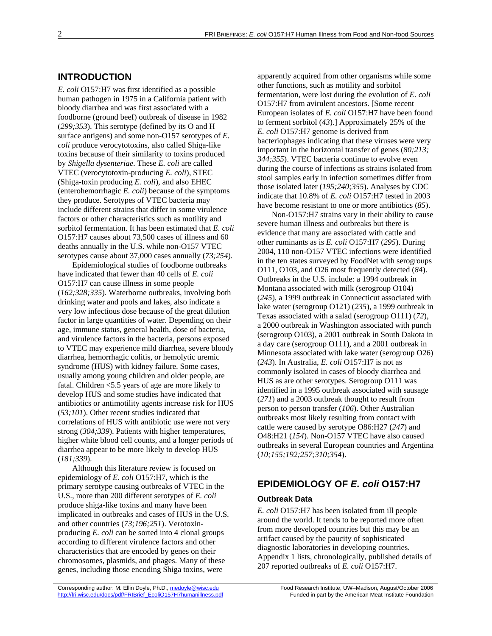# **INTRODUCTION**

*E. coli* O157:H7 was first identified as a possible human pathogen in 1975 in a California patient with bloody diarrhea and was first associated with a foodborne (ground beef) outbreak of disease in 1982 (*299;353*). This serotype (defined by its O and H surface antigens) and some non-O157 serotypes of *E. coli* produce verocytotoxins, also called Shiga-like toxins because of their similarity to toxins produced by *Shigella dysenteriae*. These *E. coli* are called VTEC (verocytotoxin-producing *E. coli*), STEC (Shiga-toxin producing *E. coli*), and also EHEC (enterohemorrhagic *E. coli*) because of the symptoms they produce. Serotypes of VTEC bacteria may include different strains that differ in some virulence factors or other characteristics such as motility and sorbitol fermentation. It has been estimated that *E. coli* O157:H7 causes about 73,500 cases of illness and 60 deaths annually in the U.S. while non-O157 VTEC serotypes cause about 37,000 cases annually (*73;254*).

Epidemiological studies of foodborne outbreaks have indicated that fewer than 40 cells of *E. coli* O157:H7 can cause illness in some people (*162;328;335*). Waterborne outbreaks, involving both drinking water and pools and lakes, also indicate a very low infectious dose because of the great dilution factor in large quantities of water. Depending on their age, immune status, general health, dose of bacteria, and virulence factors in the bacteria, persons exposed to VTEC may experience mild diarrhea, severe bloody diarrhea, hemorrhagic colitis, or hemolytic uremic syndrome (HUS) with kidney failure. Some cases, usually among young children and older people, are fatal. Children <5.5 years of age are more likely to develop HUS and some studies have indicated that antibiotics or antimotility agents increase risk for HUS (*53;101*). Other recent studies indicated that correlations of HUS with antibiotic use were not very strong (*304;339*). Patients with higher temperatures, higher white blood cell counts, and a longer periods of diarrhea appear to be more likely to develop HUS (*181;339*).

Although this literature review is focused on epidemiology of *E. coli* O157:H7, which is the primary serotype causing outbreaks of VTEC in the U.S., more than 200 different serotypes of *E. coli* produce shiga-like toxins and many have been implicated in outbreaks and cases of HUS in the U.S. and other countries (*73;196;251*). Verotoxinproducing *E. coli* can be sorted into 4 clonal groups according to different virulence factors and other characteristics that are encoded by genes on their chromosomes, plasmids, and phages. Many of these genes, including those encoding Shiga toxins, were

apparently acquired from other organisms while some other functions, such as motility and sorbitol fermentation, were lost during the evolution of *E. coli* O157:H7 from avirulent ancestors. [Some recent European isolates of *E. coli* O157:H7 have been found to ferment sorbitol (*43*).] Approximately 25% of the *E. coli* O157:H7 genome is derived from bacteriophages indicating that these viruses were very important in the horizontal transfer of genes (*80;213; 344;355*). VTEC bacteria continue to evolve even during the course of infections as strains isolated from stool samples early in infection sometimes differ from those isolated later (*195;240;355*). Analyses by CDC indicate that 10.8% of *E. coli* O157:H7 tested in 2003 have become resistant to one or more antibiotics (*85*).

Non-O157:H7 strains vary in their ability to cause severe human illness and outbreaks but there is evidence that many are associated with cattle and other ruminants as is *E. coli* O157:H7 (*295*). During 2004, 110 non-O157 VTEC infections were identified in the ten states surveyed by FoodNet with serogroups O111, O103, and O26 most frequently detected (*84*). Outbreaks in the U.S. include: a 1994 outbreak in Montana associated with milk (serogroup O104) (*245*), a 1999 outbreak in Connecticut associated with lake water (serogroup O121) (*235*), a 1999 outbreak in Texas associated with a salad (serogroup O111) (*72*), a 2000 outbreak in Washington associated with punch (serogroup O103), a 2001 outbreak in South Dakota in a day care (serogroup O111), and a 2001 outbreak in Minnesota associated with lake water (serogroup O26) (*243*). In Australia, *E. coli* O157:H7 is not as commonly isolated in cases of bloody diarrhea and HUS as are other serotypes. Serogroup O111 was identified in a 1995 outbreak associated with sausage (*271*) and a 2003 outbreak thought to result from person to person transfer (*106*). Other Australian outbreaks most likely resulting from contact with cattle were caused by serotype O86:H27 (*247*) and O48:H21 (*154*). Non-O157 VTEC have also caused outbreaks in several European countries and Argentina (*10;155;192;257;310;354*).

# **EPIDEMIOLOGY OF** *E. coli* **O157:H7**

### **Outbreak Data**

*E. coli* O157:H7 has been isolated from ill people around the world. It tends to be reported more often from more developed countries but this may be an artifact caused by the paucity of sophisticated diagnostic laboratories in developing countries. Appendix 1 lists, chronologically, published details of 207 reported outbreaks of *E. coli* O157:H7.

Corresponding author: M. Ellin Doyle, Ph.D., medoyle@wisc.edu Food Research Institute, UW-Madison, August/October 2006 http://fri.wisc.edu/docs/pdf/FRIBrief\_EcoliO157H7humanillness.pdf Funded in part by the American Meat Institute Foundation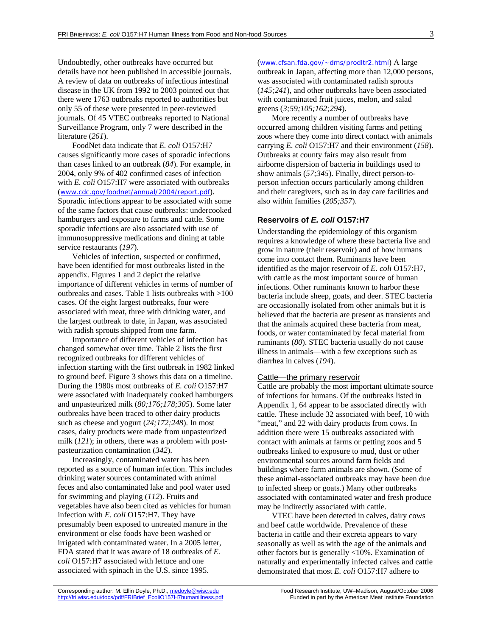Undoubtedly, other outbreaks have occurred but details have not been published in accessible journals. A review of data on outbreaks of infectious intestinal disease in the UK from 1992 to 2003 pointed out that there were 1763 outbreaks reported to authorities but only 55 of these were presented in peer-reviewed journals. Of 45 VTEC outbreaks reported to National Surveillance Program, only 7 were described in the literature (*261*).

FoodNet data indicate that *E. coli* O157:H7 causes significantly more cases of sporadic infections than cases linked to an outbreak (*84*). For example, in 2004, only 9% of 402 confirmed cases of infection with *E. coli* O157:H7 were associated with outbreaks (www.cdc.gov/foodnet/annual/2004/report.pdf). Sporadic infections appear to be associated with some of the same factors that cause outbreaks: undercooked hamburgers and exposure to farms and cattle. Some sporadic infections are also associated with use of immunosuppressive medications and dining at table service restaurants (*197*).

Vehicles of infection, suspected or confirmed, have been identified for most outbreaks listed in the appendix. Figures 1 and 2 depict the relative importance of different vehicles in terms of number of outbreaks and cases. Table 1 lists outbreaks with >100 cases. Of the eight largest outbreaks, four were associated with meat, three with drinking water, and the largest outbreak to date, in Japan, was associated with radish sprouts shipped from one farm.

Importance of different vehicles of infection has changed somewhat over time. Table 2 lists the first recognized outbreaks for different vehicles of infection starting with the first outbreak in 1982 linked to ground beef. Figure 3 shows this data on a timeline. During the 1980s most outbreaks of *E. coli* O157:H7 were associated with inadequately cooked hamburgers and unpasteurized milk (*80;176;178;305*). Some later outbreaks have been traced to other dairy products such as cheese and yogurt (*24;172;248*). In most cases, dairy products were made from unpasteurized milk (*121*); in others, there was a problem with postpasteurization contamination (*342*).

Increasingly, contaminated water has been reported as a source of human infection. This includes drinking water sources contaminated with animal feces and also contaminated lake and pool water used for swimming and playing (*112*). Fruits and vegetables have also been cited as vehicles for human infection with *E. coli* O157:H7. They have presumably been exposed to untreated manure in the environment or else foods have been washed or irrigated with contaminated water. In a 2005 letter, FDA stated that it was aware of 18 outbreaks of *E. coli* O157:H7 associated with lettuce and one associated with spinach in the U.S. since 1995.

(www.cfsan.fda.gov/~dms/prodltr2.html) A large outbreak in Japan, affecting more than 12,000 persons, was associated with contaminated radish sprouts (*145;241*), and other outbreaks have been associated with contaminated fruit juices, melon, and salad greens (*3;59;105;162;294*).

More recently a number of outbreaks have occurred among children visiting farms and petting zoos where they come into direct contact with animals carrying *E. coli* O157:H7 and their environment (*158*). Outbreaks at county fairs may also result from airborne dispersion of bacteria in buildings used to show animals (*57;345*). Finally, direct person-toperson infection occurs particularly among children and their caregivers, such as in day care facilities and also within families (*205;357*).

### **Reservoirs of** *E. coli* **O157:H7**

Understanding the epidemiology of this organism requires a knowledge of where these bacteria live and grow in nature (their reservoir) and of how humans come into contact them. Ruminants have been identified as the major reservoir of *E. coli* O157:H7, with cattle as the most important source of human infections. Other ruminants known to harbor these bacteria include sheep, goats, and deer. STEC bacteria are occasionally isolated from other animals but it is believed that the bacteria are present as transients and that the animals acquired these bacteria from meat, foods, or water contaminated by fecal material from ruminants (*80*). STEC bacteria usually do not cause illness in animals—with a few exceptions such as diarrhea in calves (*194*).

### Cattle—the primary reservoir

Cattle are probably the most important ultimate source of infections for humans. Of the outbreaks listed in Appendix 1, 64 appear to be associated directly with cattle. These include 32 associated with beef, 10 with "meat," and 22 with dairy products from cows. In addition there were 15 outbreaks associated with contact with animals at farms or petting zoos and 5 outbreaks linked to exposure to mud, dust or other environmental sources around farm fields and buildings where farm animals are shown. (Some of these animal-associated outbreaks may have been due to infected sheep or goats.) Many other outbreaks associated with contaminated water and fresh produce may be indirectly associated with cattle.

VTEC have been detected in calves, dairy cows and beef cattle worldwide. Prevalence of these bacteria in cattle and their excreta appears to vary seasonally as well as with the age of the animals and other factors but is generally <10%. Examination of naturally and experimentally infected calves and cattle demonstrated that most *E. coli* O157:H7 adhere to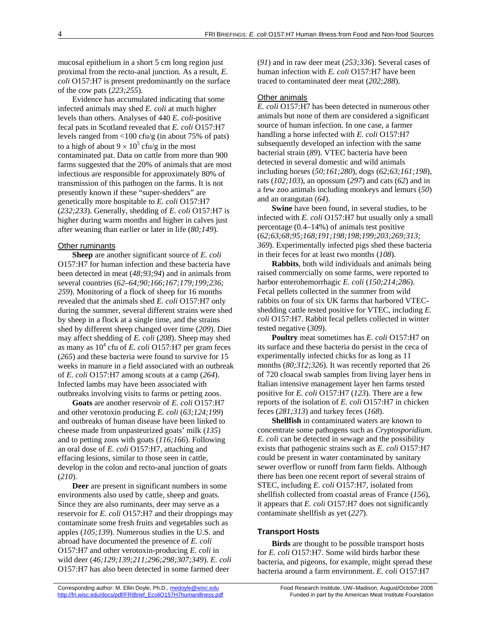mucosal epithelium in a short 5 cm long region just proximal from the recto-anal junction. As a result, *E. coli* O157:H7 is present predominantly on the surface of the cow pats (*223;255*).

Evidence has accumulated indicating that some infected animals may shed *E. coli* at much higher levels than others. Analyses of 440 *E. coli*-positive fecal pats in Scotland revealed that *E. coli* O157:H7 levels ranged from <100 cfu/g (in about 75% of pats) to a high of about  $9 \times 10^5$  cfu/g in the most contaminated pat. Data on cattle from more than 900 farms suggested that the 20% of animals that are most infectious are responsible for approximately 80% of transmission of this pathogen on the farms. It is not presently known if these "super-shedders" are genetically more hospitable to *E. coli* O157:H7 (*232;233*). Generally, shedding of *E. coli* O157:H7 is higher during warm months and higher in calves just after weaning than earlier or later in life (*80;149*).

#### Other ruminants

**Sheep** are another significant source of *E. coli* O157:H7 for human infection and these bacteria have been detected in meat (*48;93;94*) and in animals from several countries (*62–64;90;166;167;179;199;236; 259*). Monitoring of a flock of sheep for 16 months revealed that the animals shed *E. coli* O157:H7 only during the summer, several different strains were shed by sheep in a flock at a single time, and the strains shed by different sheep changed over time (*209*). Diet may affect shedding of *E. coli* (*208*). Sheep may shed as many as  $10^4$  cfu of *E. coli* O157:H7 per gram feces (*265*) and these bacteria were found to survive for 15 weeks in manure in a field associated with an outbreak of *E. coli* O157:H7 among scouts at a camp (*264*). Infected lambs may have been associated with outbreaks involving visits to farms or petting zoos.

**Goats** are another reservoir of *E. coli* O157:H7 and other verotoxin producing *E. coli* (*63;124;199*) and outbreaks of human disease have been linked to cheese made from unpasteurized goats' milk (*135*) and to petting zoos with goats (*116;166*). Following an oral dose of *E. coli* O157:H7, attaching and effacing lesions, similar to those seen in cattle, develop in the colon and recto-anal junction of goats (*210*).

**Deer** are present in significant numbers in some environments also used by cattle, sheep and goats. Since they are also ruminants, deer may serve as a reservoir for *E. coli* O157:H7 and their droppings may contaminate some fresh fruits and vegetables such as apples (*105;139*). Numerous studies in the U.S. and abroad have documented the presence of *E. coli* O157:H7 and other verotoxin-producing *E. coli* in wild deer (*46;129;139;211;296;298;307;349*). *E. coli* O157:H7 has also been detected in some farmed deer

(*91*) and in raw deer meat (*253;336*). Several cases of human infection with *E. coli* O157:H7 have been traced to contaminated deer meat (*202;288*).

### Other animals

*E. coli* O157:H7 has been detected in numerous other animals but none of them are considered a significant source of human infection. In one case, a farmer handling a horse infected with *E. coli* O157:H7 subsequently developed an infection with the same bacterial strain (*89*). VTEC bacteria have been detected in several domestic and wild animals including horses (*50;161;280*), dogs (*62;63;161;198*), rats (*102;103*), an opossum (*297*) and cats (*62*) and in a few zoo animals including monkeys and lemurs (*50*) and an orangutan (*64*).

**Swine** have been found, in several studies, to be infected with *E. coli* O157:H7 but usually only a small percentage (0.4–14%) of animals test positive (*62;63;68;95;168;191;198;198;199;203;269;313; 369*). Experimentally infected pigs shed these bacteria in their feces for at least two months (*108*).

**Rabbits**, both wild individuals and animals being raised commercially on some farms, were reported to harbor enterohemorrhagic *E. coli* (*150;214;286*). Fecal pellets collected in the summer from wild rabbits on four of six UK farms that harbored VTECshedding cattle tested positive for VTEC, including *E. coli* O157:H7. Rabbit fecal pellets collected in winter tested negative (*309*).

**Poultry** meat sometimes has *E. coli* O157:H7 on its surface and these bacteria do persist in the ceca of experimentally infected chicks for as long as 11 months (*80;312;326*). It was recently reported that 26 of 720 cloacal swab samples from living layer hens in Italian intensive management layer hen farms tested positive for *E. coli* O157:H7 (*123*). There are a few reports of the isolation of *E. coli* O157:H7 in chicken feces (*281;313*) and turkey feces (*168*).

**Shellfish** in contaminated waters are known to concentrate some pathogens such as *Cryptosporidium*. *E. coli* can be detected in sewage and the possibility exists that pathogenic strains such as *E. coli* O157:H7 could be present in water contaminated by sanitary sewer overflow or runoff from farm fields. Although there has been one recent report of several strains of STEC, including *E. coli* O157:H7, isolated from shellfish collected from coastal areas of France (*156*), it appears that *E. coli* O157:H7 does not significantly contaminate shellfish as yet (*227*).

### **Transport Hosts**

**Birds** are thought to be possible transport hosts for *E. coli* O157:H7. Some wild birds harbor these bacteria, and pigeons, for example, might spread these bacteria around a farm environment. *E. coli* O157:H7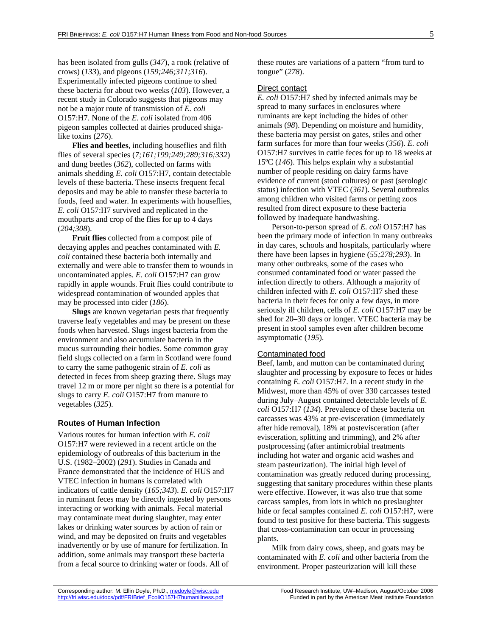has been isolated from gulls (*347*), a rook (relative of crows) (*133*), and pigeons (*159;246;311;316*). Experimentally infected pigeons continue to shed these bacteria for about two weeks (*103*). However, a recent study in Colorado suggests that pigeons may not be a major route of transmission of *E. coli* O157:H7. None of the *E. coli* isolated from 406 pigeon samples collected at dairies produced shigalike toxins (*276*).

**Flies and beetles**, including houseflies and filth flies of several species (*7;161;199;249;289;316;332*) and dung beetles (*362*), collected on farms with animals shedding *E. coli* O157:H7, contain detectable levels of these bacteria. These insects frequent fecal deposits and may be able to transfer these bacteria to foods, feed and water. In experiments with houseflies, *E. coli* O157:H7 survived and replicated in the mouthparts and crop of the flies for up to 4 days (*204;308*).

**Fruit flies** collected from a compost pile of decaying apples and peaches contaminated with *E. coli* contained these bacteria both internally and externally and were able to transfer them to wounds in uncontaminated apples. *E. coli* O157:H7 can grow rapidly in apple wounds. Fruit flies could contribute to widespread contamination of wounded apples that may be processed into cider (*186*).

**Slugs** are known vegetarian pests that frequently traverse leafy vegetables and may be present on these foods when harvested. Slugs ingest bacteria from the environment and also accumulate bacteria in the mucus surrounding their bodies. Some common gray field slugs collected on a farm in Scotland were found to carry the same pathogenic strain of *E. coli* as detected in feces from sheep grazing there. Slugs may travel 12 m or more per night so there is a potential for slugs to carry *E. coli* O157:H7 from manure to vegetables (*325*).

### **Routes of Human Infection**

Various routes for human infection with *E. coli* O157:H7 were reviewed in a recent article on the epidemiology of outbreaks of this bacterium in the U.S. (1982–2002) (*291*). Studies in Canada and France demonstrated that the incidence of HUS and VTEC infection in humans is correlated with indicators of cattle density (*165;343*). *E. coli* O157:H7 in ruminant feces may be directly ingested by persons interacting or working with animals. Fecal material may contaminate meat during slaughter, may enter lakes or drinking water sources by action of rain or wind, and may be deposited on fruits and vegetables inadvertently or by use of manure for fertilization. In addition, some animals may transport these bacteria from a fecal source to drinking water or foods. All of

these routes are variations of a pattern "from turd to tongue" (*278*).

#### Direct contact

*E. coli* O157:H7 shed by infected animals may be spread to many surfaces in enclosures where ruminants are kept including the hides of other animals (*98*). Depending on moisture and humidity, these bacteria may persist on gates, stiles and other farm surfaces for more than four weeks (*356*). *E. coli* O157:H7 survives in cattle feces for up to 18 weeks at 15ºC (*146*). This helps explain why a substantial number of people residing on dairy farms have evidence of current (stool cultures) or past (serologic status) infection with VTEC (*361*). Several outbreaks among children who visited farms or petting zoos resulted from direct exposure to these bacteria followed by inadequate handwashing.

Person-to-person spread of *E. coli* O157:H7 has been the primary mode of infection in many outbreaks in day cares, schools and hospitals, particularly where there have been lapses in hygiene (*55;278;293*). In many other outbreaks, some of the cases who consumed contaminated food or water passed the infection directly to others. Although a majority of children infected with *E. coli* O157:H7 shed these bacteria in their feces for only a few days, in more seriously ill children, cells of *E. coli* O157:H7 may be shed for 20–30 days or longer. VTEC bacteria may be present in stool samples even after children become asymptomatic (*195*).

#### Contaminated food

Beef, lamb, and mutton can be contaminated during slaughter and processing by exposure to feces or hides containing *E. coli* O157:H7. In a recent study in the Midwest, more than 45% of over 330 carcasses tested during July–August contained detectable levels of *E. coli* O157:H7 (*134*). Prevalence of these bacteria on carcasses was 43% at pre-evisceration (immediately after hide removal), 18% at postevisceration (after evisceration, splitting and trimming), and 2% after postprocessing (after antimicrobial treatments including hot water and organic acid washes and steam pasteurization). The initial high level of contamination was greatly reduced during processing, suggesting that sanitary procedures within these plants were effective. However, it was also true that some carcass samples, from lots in which no preslaughter hide or fecal samples contained *E. coli* O157:H7, were found to test positive for these bacteria. This suggests that cross-contamination can occur in processing plants.

Milk from dairy cows, sheep, and goats may be contaminated with *E. coli* and other bacteria from the environment. Proper pasteurization will kill these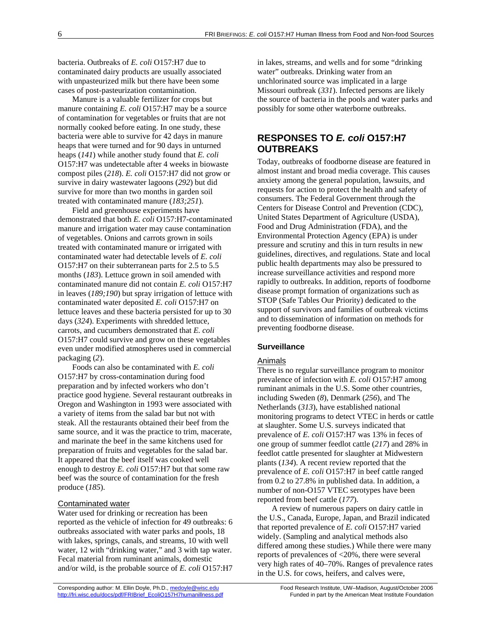bacteria. Outbreaks of *E. coli* O157:H7 due to contaminated dairy products are usually associated with unpasteurized milk but there have been some cases of post-pasteurization contamination.

Manure is a valuable fertilizer for crops but manure containing *E. coli* O157:H7 may be a source of contamination for vegetables or fruits that are not normally cooked before eating. In one study, these bacteria were able to survive for 42 days in manure heaps that were turned and for 90 days in unturned heaps (*141*) while another study found that *E. coli* O157:H7 was undetectable after 4 weeks in biowaste compost piles (*218*). *E. coli* O157:H7 did not grow or survive in dairy wastewater lagoons (*292*) but did survive for more than two months in garden soil treated with contaminated manure (*183;251*).

Field and greenhouse experiments have demonstrated that both *E. coli* O157:H7-contaminated manure and irrigation water may cause contamination of vegetables. Onions and carrots grown in soils treated with contaminated manure or irrigated with contaminated water had detectable levels of *E. coli* O157:H7 on their subterranean parts for 2.5 to 5.5 months (*183*). Lettuce grown in soil amended with contaminated manure did not contain *E. coli* O157:H7 in leaves (*189;190*) but spray irrigation of lettuce with contaminated water deposited *E. coli* O157:H7 on lettuce leaves and these bacteria persisted for up to 30 days (*324*). Experiments with shredded lettuce, carrots, and cucumbers demonstrated that *E. coli* O157:H7 could survive and grow on these vegetables even under modified atmospheres used in commercial packaging (*2*).

Foods can also be contaminated with *E. coli* O157:H7 by cross-contamination during food preparation and by infected workers who don't practice good hygiene. Several restaurant outbreaks in Oregon and Washington in 1993 were associated with a variety of items from the salad bar but not with steak. All the restaurants obtained their beef from the same source, and it was the practice to trim, macerate, and marinate the beef in the same kitchens used for preparation of fruits and vegetables for the salad bar. It appeared that the beef itself was cooked well enough to destroy *E. coli* O157:H7 but that some raw beef was the source of contamination for the fresh produce (*185*).

### Contaminated water

Water used for drinking or recreation has been reported as the vehicle of infection for 49 outbreaks: 6 outbreaks associated with water parks and pools, 18 with lakes, springs, canals, and streams, 10 with well water, 12 with "drinking water," and 3 with tap water. Fecal material from ruminant animals, domestic and/or wild, is the probable source of *E. coli* O157:H7

in lakes, streams, and wells and for some "drinking water" outbreaks. Drinking water from an unchlorinated source was implicated in a large Missouri outbreak (*331*). Infected persons are likely the source of bacteria in the pools and water parks and possibly for some other waterborne outbreaks.

# **RESPONSES TO** *E. coli* **O157:H7 OUTBREAKS**

Today, outbreaks of foodborne disease are featured in almost instant and broad media coverage. This causes anxiety among the general population, lawsuits, and requests for action to protect the health and safety of consumers. The Federal Government through the Centers for Disease Control and Prevention (CDC), United States Department of Agriculture (USDA), Food and Drug Administration (FDA), and the Environmental Protection Agency (EPA) is under pressure and scrutiny and this in turn results in new guidelines, directives, and regulations. State and local public health departments may also be pressured to increase surveillance activities and respond more rapidly to outbreaks. In addition, reports of foodborne disease prompt formation of organizations such as STOP (Safe Tables Our Priority) dedicated to the support of survivors and families of outbreak victims and to dissemination of information on methods for preventing foodborne disease.

### **Surveillance**

#### Animals

There is no regular surveillance program to monitor prevalence of infection with *E. coli* O157:H7 among ruminant animals in the U.S. Some other countries, including Sweden (*8*), Denmark (*256*), and The Netherlands (*313*), have established national monitoring programs to detect VTEC in herds or cattle at slaughter. Some U.S. surveys indicated that prevalence of *E. coli* O157:H7 was 13% in feces of one group of summer feedlot cattle (*217*) and 28% in feedlot cattle presented for slaughter at Midwestern plants (*134*). A recent review reported that the prevalence of *E. coli* O157:H7 in beef cattle ranged from 0.2 to 27.8% in published data. In addition, a number of non-O157 VTEC serotypes have been reported from beef cattle (*177*).

A review of numerous papers on dairy cattle in the U.S., Canada, Europe, Japan, and Brazil indicated that reported prevalence of *E. coli* O157:H7 varied widely. (Sampling and analytical methods also differed among these studies.) While there were many reports of prevalences of <20%, there were several very high rates of 40–70%. Ranges of prevalence rates in the U.S. for cows, heifers, and calves were,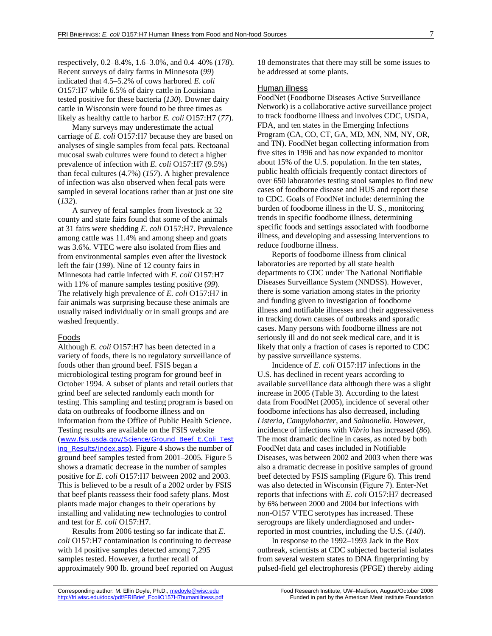respectively, 0.2–8.4%, 1.6–3.0%, and 0.4–40% (*178*). Recent surveys of dairy farms in Minnesota (*99*) indicated that 4.5–5.2% of cows harbored *E. coli* O157:H7 while 6.5% of dairy cattle in Louisiana tested positive for these bacteria (*130*). Downer dairy cattle in Wisconsin were found to be three times as likely as healthy cattle to harbor *E. coli* O157:H7 (*77*).

Many surveys may underestimate the actual carriage of *E. coli* O157:H7 because they are based on analyses of single samples from fecal pats. Rectoanal mucosal swab cultures were found to detect a higher prevalence of infection with *E. coli* O157:H7 (9.5%) than fecal cultures (4.7%) (*157*). A higher prevalence of infection was also observed when fecal pats were sampled in several locations rather than at just one site (*132*).

A survey of fecal samples from livestock at 32 county and state fairs found that some of the animals at 31 fairs were shedding *E. coli* O157:H7. Prevalence among cattle was 11.4% and among sheep and goats was 3.6%. VTEC were also isolated from flies and from environmental samples even after the livestock left the fair (*199*). Nine of 12 county fairs in Minnesota had cattle infected with *E. coli* O157:H7 with 11% of manure samples testing positive (*99*). The relatively high prevalence of *E. coli* O157:H7 in fair animals was surprising because these animals are usually raised individually or in small groups and are washed frequently.

#### Foods

Although *E. coli* O157:H7 has been detected in a variety of foods, there is no regulatory surveillance of foods other than ground beef. FSIS began a microbiological testing program for ground beef in October 1994. A subset of plants and retail outlets that grind beef are selected randomly each month for testing. This sampling and testing program is based on data on outbreaks of foodborne illness and on information from the Office of Public Health Science. Testing results are available on the FSIS website (www.fsis.usda.gov/Science/Ground\_Beef\_E.Coli\_Test ing\_Results/index.asp). Figure 4 shows the number of ground beef samples tested from 2001–2005. Figure 5 shows a dramatic decrease in the number of samples positive for *E. coli* O157:H7 between 2002 and 2003. This is believed to be a result of a 2002 order by FSIS that beef plants reassess their food safety plans. Most plants made major changes to their operations by installing and validating new technologies to control and test for *E. coli* O157:H7.

Results from 2006 testing so far indicate that *E. coli* O157:H7 contamination is continuing to decrease with 14 positive samples detected among 7,295 samples tested. However, a further recall of approximately 900 lb. ground beef reported on August 18 demonstrates that there may still be some issues to be addressed at some plants.

### Human illness

FoodNet (Foodborne Diseases Active Surveillance Network) is a collaborative active surveillance project to track foodborne illness and involves CDC, USDA, FDA, and ten states in the Emerging Infections Program (CA, CO, CT, GA, MD, MN, NM, NY, OR, and TN). FoodNet began collecting information from five sites in 1996 and has now expanded to monitor about 15% of the U.S. population. In the ten states, public health officials frequently contact directors of over 650 laboratories testing stool samples to find new cases of foodborne disease and HUS and report these to CDC. Goals of FoodNet include: determining the burden of foodborne illness in the U. S., monitoring trends in specific foodborne illness, determining specific foods and settings associated with foodborne illness, and developing and assessing interventions to reduce foodborne illness.

Reports of foodborne illness from clinical laboratories are reported by all state health departments to CDC under The National Notifiable Diseases Surveillance System (NNDSS). However, there is some variation among states in the priority and funding given to investigation of foodborne illness and notifiable illnesses and their aggressiveness in tracking down causes of outbreaks and sporadic cases. Many persons with foodborne illness are not seriously ill and do not seek medical care, and it is likely that only a fraction of cases is reported to CDC by passive surveillance systems.

Incidence of *E. coli* O157:H7 infections in the U.S. has declined in recent years according to available surveillance data although there was a slight increase in 2005 (Table 3). According to the latest data from FoodNet (2005), incidence of several other foodborne infections has also decreased, including *Listeria, Campylobacter,* and *Salmonella*. However, incidence of infections with *Vibrio* has increased (*86*). The most dramatic decline in cases, as noted by both FoodNet data and cases included in Notifiable Diseases, was between 2002 and 2003 when there was also a dramatic decrease in positive samples of ground beef detected by FSIS sampling (Figure 6). This trend was also detected in Wisconsin (Figure 7). Enter-Net reports that infections with *E. coli* O157:H7 decreased by 6% between 2000 and 2004 but infections with non-O157 VTEC serotypes has increased. These serogroups are likely underdiagnosed and underreported in most countries, including the U.S. (*140*).

In response to the 1992–1993 Jack in the Box outbreak, scientists at CDC subjected bacterial isolates from several western states to DNA fingerprinting by pulsed-field gel electrophoresis (PFGE) thereby aiding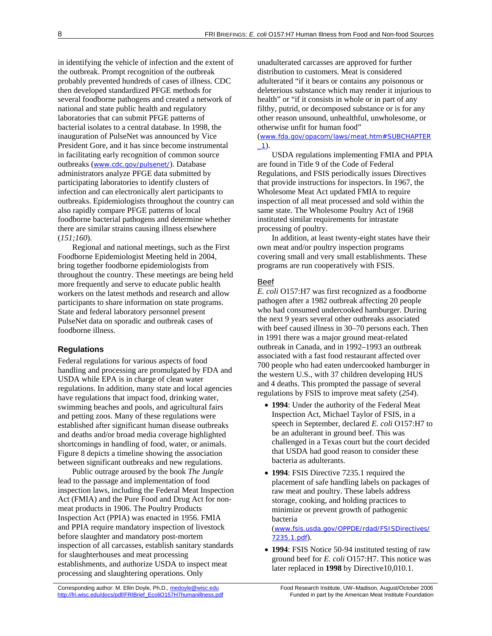in identifying the vehicle of infection and the extent of the outbreak. Prompt recognition of the outbreak probably prevented hundreds of cases of illness. CDC then developed standardized PFGE methods for several foodborne pathogens and created a network of national and state public health and regulatory laboratories that can submit PFGE patterns of bacterial isolates to a central database. In 1998, the inauguration of PulseNet was announced by Vice President Gore, and it has since become instrumental in facilitating early recognition of common source outbreaks (www.cdc.gov/pulsenet/). Database administrators analyze PFGE data submitted by participating laboratories to identify clusters of infection and can electronically alert participants to outbreaks. Epidemiologists throughout the country can also rapidly compare PFGE patterns of local foodborne bacterial pathogens and determine whether there are similar strains causing illness elsewhere (*151;160*).

Regional and national meetings, such as the First Foodborne Epidemiologist Meeting held in 2004, bring together foodborne epidemiologists from throughout the country. These meetings are being held more frequently and serve to educate public health workers on the latest methods and research and allow participants to share information on state programs. State and federal laboratory personnel present PulseNet data on sporadic and outbreak cases of foodborne illness.

# **Regulations**

Federal regulations for various aspects of food handling and processing are promulgated by FDA and USDA while EPA is in charge of clean water regulations. In addition, many state and local agencies have regulations that impact food, drinking water, swimming beaches and pools, and agricultural fairs and petting zoos. Many of these regulations were established after significant human disease outbreaks and deaths and/or broad media coverage highlighted shortcomings in handling of food, water, or animals. Figure 8 depicts a timeline showing the association between significant outbreaks and new regulations.

Public outrage aroused by the book *The Jungle* lead to the passage and implementation of food inspection laws, including the Federal Meat Inspection Act (FMIA) and the Pure Food and Drug Act for nonmeat products in 1906. The Poultry Products Inspection Act (PPIA) was enacted in 1956. FMIA and PPIA require mandatory inspection of livestock before slaughter and mandatory post-mortem inspection of all carcasses, establish sanitary standards for slaughterhouses and meat processing establishments, and authorize USDA to inspect meat processing and slaughtering operations. Only

unadulterated carcasses are approved for further distribution to customers. Meat is considered adulterated "if it bears or contains any poisonous or deleterious substance which may render it injurious to health" or "if it consists in whole or in part of any filthy, putrid, or decomposed substance or is for any other reason unsound, unhealthful, unwholesome, or otherwise unfit for human food"

(www.fda.gov/opacom/laws/meat.htm#SUBCHAPTER \_1).

USDA regulations implementing FMIA and PPIA are found in Title 9 of the Code of Federal Regulations, and FSIS periodically issues Directives that provide instructions for inspectors. In 1967, the Wholesome Meat Act updated FMIA to require inspection of all meat processed and sold within the same state. The Wholesome Poultry Act of 1968 instituted similar requirements for intrastate processing of poultry.

In addition, at least twenty-eight states have their own meat and/or poultry inspection programs covering small and very small establishments. These programs are run cooperatively with FSIS.

### Beef

*E. coli* O157:H7 was first recognized as a foodborne pathogen after a 1982 outbreak affecting 20 people who had consumed undercooked hamburger. During the next 9 years several other outbreaks associated with beef caused illness in 30–70 persons each. Then in 1991 there was a major ground meat-related outbreak in Canada, and in 1992–1993 an outbreak associated with a fast food restaurant affected over 700 people who had eaten undercooked hamburger in the western U.S., with 37 children developing HUS and 4 deaths. This prompted the passage of several regulations by FSIS to improve meat safety (*254*).

- **1994**: Under the authority of the Federal Meat Inspection Act, Michael Taylor of FSIS, in a speech in September, declared *E. coli* O157:H7 to be an adulterant in ground beef. This was challenged in a Texas court but the court decided that USDA had good reason to consider these bacteria as adulterants.
- **1994**: FSIS Directive 7235.1 required the placement of safe handling labels on packages of raw meat and poultry. These labels address storage, cooking, and holding practices to minimize or prevent growth of pathogenic bacteria

(www.fsis.usda.gov/OPPDE/rdad/FSISDirectives/ 7235.1.pdf).

 **1994**: FSIS Notice 50-94 instituted testing of raw ground beef for *E. coli* O157:H7. This notice was later replaced in **1998** by Directive10,010.1.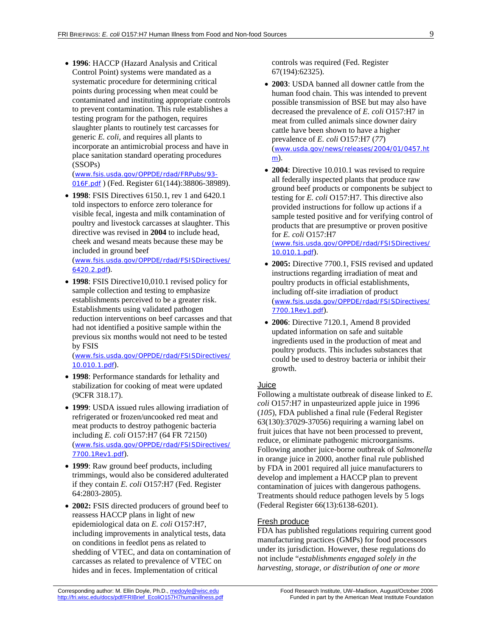**1996**: HACCP (Hazard Analysis and Critical Control Point) systems were mandated as a systematic procedure for determining critical points during processing when meat could be contaminated and instituting appropriate controls to prevent contamination. This rule establishes a testing program for the pathogen, requires slaughter plants to routinely test carcasses for generic *E. coli*, and requires all plants to incorporate an antimicrobial process and have in place sanitation standard operating procedures (SSOPs)

(www.fsis.usda.gov/OPPDE/rdad/FRPubs/93- 016F.pdf ) (Fed. Register 61(144):38806-38989).

 **1998**: FSIS Directives 6150.1, rev 1 and 6420.1 told inspectors to enforce zero tolerance for visible fecal, ingesta and milk contamination of poultry and livestock carcasses at slaughter. This directive was revised in **2004** to include head, cheek and wesand meats because these may be included in ground beef (www.fsis.usda.gov/OPPDE/rdad/FSISDirectives/

6420.2.pdf).

 **1998**: FSIS Directive10,010.1 revised policy for sample collection and testing to emphasize establishments perceived to be a greater risk. Establishments using validated pathogen reduction interventions on beef carcasses and that had not identified a positive sample within the previous six months would not need to be tested by FSIS

(www.fsis.usda.gov/OPPDE/rdad/FSISDirectives/ 10.010.1.pdf).

- **1998**: Performance standards for lethality and stabilization for cooking of meat were updated (9CFR 318.17).
- **1999**: USDA issued rules allowing irradiation of refrigerated or frozen/uncooked red meat and meat products to destroy pathogenic bacteria including *E. coli* O157:H7 (64 FR 72150) (www.fsis.usda.gov/OPPDE/rdad/FSISDirectives/ 7700.1Rev1.pdf).
- **1999**: Raw ground beef products, including trimmings, would also be considered adulterated if they contain *E. coli* O157:H7 (Fed. Register 64:2803-2805).
- **2002:** FSIS directed producers of ground beef to reassess HACCP plans in light of new epidemiological data on *E. coli* O157:H7, including improvements in analytical tests, data on conditions in feedlot pens as related to shedding of VTEC, and data on contamination of carcasses as related to prevalence of VTEC on hides and in feces. Implementation of critical

controls was required (Fed. Register 67(194):62325).

- **2003**: USDA banned all downer cattle from the human food chain. This was intended to prevent possible transmission of BSE but may also have decreased the prevalence of *E. coli* O157:H7 in meat from culled animals since downer dairy cattle have been shown to have a higher prevalence of *E. coli* O157:H7 (*77*) (www.usda.gov/news/releases/2004/01/0457.ht m).
- 2004: Directive 10.010.1 was revised to require all federally inspected plants that produce raw ground beef products or components be subject to testing for *E. coli* O157:H7. This directive also provided instructions for follow up actions if a sample tested positive and for verifying control of products that are presumptive or proven positive for *E. coli* O157:H7 (www.fsis.usda.gov/OPPDE/rdad/FSISDirectives/

10.010.1.pdf).

- **2005:** Directive 7700.1, FSIS revised and updated instructions regarding irradiation of meat and poultry products in official establishments, including off-site irradiation of product (www.fsis.usda.gov/OPPDE/rdad/FSISDirectives/ 7700.1Rev1.pdf).
- **2006**: Directive 7120.1, Amend 8 provided updated information on safe and suitable ingredients used in the production of meat and poultry products. This includes substances that could be used to destroy bacteria or inhibit their growth.

### Juice

Following a multistate outbreak of disease linked to *E. coli* O157:H7 in unpasteurized apple juice in 1996 (*105*), FDA published a final rule (Federal Register 63(130):37029-37056) requiring a warning label on fruit juices that have not been processed to prevent, reduce, or eliminate pathogenic microorganisms. Following another juice-borne outbreak of *Salmonella* in orange juice in 2000, another final rule published by FDA in 2001 required all juice manufacturers to develop and implement a HACCP plan to prevent contamination of juices with dangerous pathogens. Treatments should reduce pathogen levels by 5 logs (Federal Register 66(13):6138-6201).

### Fresh produce

FDA has published regulations requiring current good manufacturing practices (GMPs) for food processors under its jurisdiction. However, these regulations do not include "*establishments engaged solely in the harvesting, storage, or distribution of one or more*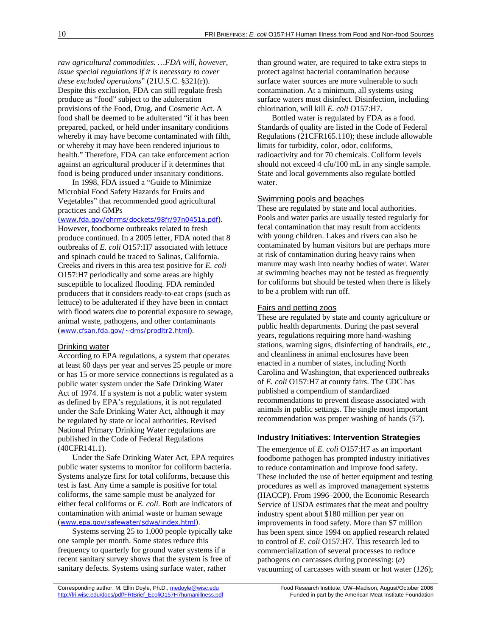*raw agricultural commodities. …FDA will, however, issue special regulations if it is necessary to cover these excluded operations*" (21U.S.C. §321(r)). Despite this exclusion, FDA can still regulate fresh produce as "food" subject to the adulteration provisions of the Food, Drug, and Cosmetic Act. A food shall be deemed to be adulterated "if it has been prepared, packed, or held under insanitary conditions whereby it may have become contaminated with filth, or whereby it may have been rendered injurious to health." Therefore, FDA can take enforcement action against an agricultural producer if it determines that food is being produced under insanitary conditions.

In 1998, FDA issued a "Guide to Minimize Microbial Food Safety Hazards for Fruits and Vegetables" that recommended good agricultural practices and GMPs

#### (www.fda.gov/ohrms/dockets/98fr/97n0451a.pdf).

However, foodborne outbreaks related to fresh produce continued. In a 2005 letter, FDA noted that 8 outbreaks of *E. coli* O157:H7 associated with lettuce and spinach could be traced to Salinas, California. Creeks and rivers in this area test positive for *E. coli* O157:H7 periodically and some areas are highly susceptible to localized flooding. FDA reminded producers that it considers ready-to-eat crops (such as lettuce) to be adulterated if they have been in contact with flood waters due to potential exposure to sewage, animal waste, pathogens, and other contaminants (www.cfsan.fda.gov/~dms/prodltr2.html).

### Drinking water

According to EPA regulations, a system that operates at least 60 days per year and serves 25 people or more or has 15 or more service connections is regulated as a public water system under the Safe Drinking Water Act of 1974. If a system is not a public water system as defined by EPA's regulations, it is not regulated under the Safe Drinking Water Act, although it may be regulated by state or local authorities. Revised National Primary Drinking Water regulations are published in the Code of Federal Regulations (40CFR141.1).

Under the Safe Drinking Water Act, EPA requires public water systems to monitor for coliform bacteria. Systems analyze first for total coliforms, because this test is fast. Any time a sample is positive for total coliforms, the same sample must be analyzed for either fecal coliforms or *E. coli*. Both are indicators of contamination with animal waste or human sewage (www.epa.gov/safewater/sdwa/index.html).

Systems serving 25 to 1,000 people typically take one sample per month. Some states reduce this frequency to quarterly for ground water systems if a recent sanitary survey shows that the system is free of sanitary defects. Systems using surface water, rather

than ground water, are required to take extra steps to protect against bacterial contamination because surface water sources are more vulnerable to such contamination. At a minimum, all systems using surface waters must disinfect. Disinfection, including chlorination, will kill *E. coli* O157:H7.

Bottled water is regulated by FDA as a food. Standards of quality are listed in the Code of Federal Regulations (21CFR165.110); these include allowable limits for turbidity, color, odor, coliforms, radioactivity and for 70 chemicals. Coliform levels should not exceed 4 cfu/100 mL in any single sample. State and local governments also regulate bottled water.

#### Swimming pools and beaches

These are regulated by state and local authorities. Pools and water parks are usually tested regularly for fecal contamination that may result from accidents with young children. Lakes and rivers can also be contaminated by human visitors but are perhaps more at risk of contamination during heavy rains when manure may wash into nearby bodies of water. Water at swimming beaches may not be tested as frequently for coliforms but should be tested when there is likely to be a problem with run off.

### Fairs and petting zoos

These are regulated by state and county agriculture or public health departments. During the past several years, regulations requiring more hand-washing stations, warning signs, disinfecting of handrails, etc., and cleanliness in animal enclosures have been enacted in a number of states, including North Carolina and Washington, that experienced outbreaks of *E. coli* O157:H7 at county fairs. The CDC has published a compendium of standardized recommendations to prevent disease associated with animals in public settings. The single most important recommendation was proper washing of hands (*57*).

### **Industry Initiatives: Intervention Strategies**

The emergence of *E. coli* O157:H7 as an important foodborne pathogen has prompted industry initiatives to reduce contamination and improve food safety. These included the use of better equipment and testing procedures as well as improved management systems (HACCP). From 1996–2000, the Economic Research Service of USDA estimates that the meat and poultry industry spent about \$180 million per year on improvements in food safety. More than \$7 million has been spent since 1994 on applied research related to control of *E. coli* O157:H7. This research led to commercialization of several processes to reduce pathogens on carcasses during processing: (*a*) vacuuming of carcasses with steam or hot water (*126*);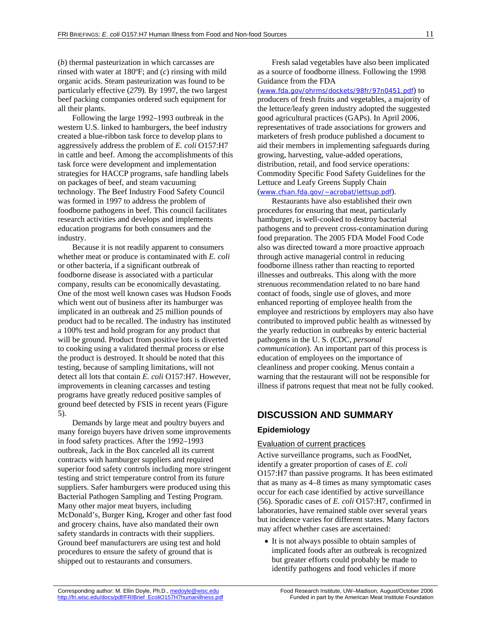(*b*) thermal pasteurization in which carcasses are rinsed with water at 180ºF; and (*c*) rinsing with mild organic acids. Steam pasteurization was found to be particularly effective (*279*). By 1997, the two largest beef packing companies ordered such equipment for all their plants.

Following the large 1992–1993 outbreak in the western U.S. linked to hamburgers, the beef industry created a blue-ribbon task force to develop plans to aggressively address the problem of *E. coli* O157:H7 in cattle and beef. Among the accomplishments of this task force were development and implementation strategies for HACCP programs, safe handling labels on packages of beef, and steam vacuuming technology. The Beef Industry Food Safety Council was formed in 1997 to address the problem of foodborne pathogens in beef. This council facilitates research activities and develops and implements education programs for both consumers and the industry.

Because it is not readily apparent to consumers whether meat or produce is contaminated with *E. coli* or other bacteria, if a significant outbreak of foodborne disease is associated with a particular company, results can be economically devastating. One of the most well known cases was Hudson Foods which went out of business after its hamburger was implicated in an outbreak and 25 million pounds of product had to be recalled. The industry has instituted a 100% test and hold program for any product that will be ground. Product from positive lots is diverted to cooking using a validated thermal process or else the product is destroyed. It should be noted that this testing, because of sampling limitations, will not detect all lots that contain *E. coli* O157:H7. However, improvements in cleaning carcasses and testing programs have greatly reduced positive samples of ground beef detected by FSIS in recent years (Figure 5).

Demands by large meat and poultry buyers and many foreign buyers have driven some improvements in food safety practices. After the 1992–1993 outbreak, Jack in the Box canceled all its current contracts with hamburger suppliers and required superior food safety controls including more stringent testing and strict temperature control from its future suppliers. Safer hamburgers were produced using this Bacterial Pathogen Sampling and Testing Program. Many other major meat buyers, including McDonald's, Burger King, Kroger and other fast food and grocery chains, have also mandated their own safety standards in contracts with their suppliers. Ground beef manufacturers are using test and hold procedures to ensure the safety of ground that is shipped out to restaurants and consumers.

Fresh salad vegetables have also been implicated as a source of foodborne illness. Following the 1998 Guidance from the FDA

(www.fda.gov/ohrms/dockets/98fr/97n0451.pdf) to producers of fresh fruits and vegetables, a majority of the lettuce/leafy green industry adopted the suggested good agricultural practices (GAPs). In April 2006, representatives of trade associations for growers and marketers of fresh produce published a document to aid their members in implementing safeguards during growing, harvesting, value-added operations, distribution, retail, and food service operations: Commodity Specific Food Safety Guidelines for the Lettuce and Leafy Greens Supply Chain

(www.cfsan.fda.gov/~acrobat/lettsup.pdf).

Restaurants have also established their own procedures for ensuring that meat, particularly hamburger, is well-cooked to destroy bacterial pathogens and to prevent cross-contamination during food preparation. The 2005 FDA Model Food Code also was directed toward a more proactive approach through active managerial control in reducing foodborne illness rather than reacting to reported illnesses and outbreaks. This along with the more strenuous recommendation related to no bare hand contact of foods, single use of gloves, and more enhanced reporting of employee health from the employee and restrictions by employers may also have contributed to improved public health as witnessed by the yearly reduction in outbreaks by enteric bacterial pathogens in the U. S. (CDC, *personal communication*). An important part of this process is education of employees on the importance of cleanliness and proper cooking. Menus contain a warning that the restaurant will not be responsible for illness if patrons request that meat not be fully cooked.

# **DISCUSSION AND SUMMARY**

# **Epidemiology**

### Evaluation of current practices

Active surveillance programs, such as FoodNet, identify a greater proportion of cases of *E. coli* O157:H7 than passive programs. It has been estimated that as many as 4–8 times as many symptomatic cases occur for each case identified by active surveillance (56). Sporadic cases of *E. coli* O157:H7, confirmed in laboratories, have remained stable over several years but incidence varies for different states. Many factors may affect whether cases are ascertained:

• It is not always possible to obtain samples of implicated foods after an outbreak is recognized but greater efforts could probably be made to identify pathogens and food vehicles if more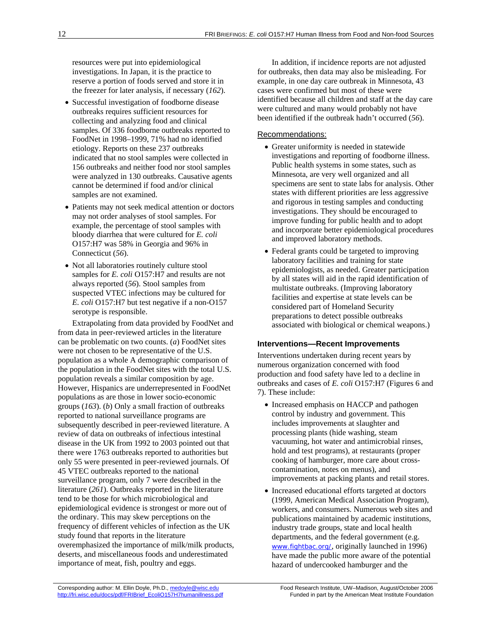resources were put into epidemiological investigations. In Japan, it is the practice to reserve a portion of foods served and store it in the freezer for later analysis, if necessary (*162*).

- Successful investigation of foodborne disease outbreaks requires sufficient resources for collecting and analyzing food and clinical samples. Of 336 foodborne outbreaks reported to FoodNet in 1998–1999, 71% had no identified etiology. Reports on these 237 outbreaks indicated that no stool samples were collected in 156 outbreaks and neither food nor stool samples were analyzed in 130 outbreaks. Causative agents cannot be determined if food and/or clinical samples are not examined.
- Patients may not seek medical attention or doctors may not order analyses of stool samples. For example, the percentage of stool samples with bloody diarrhea that were cultured for *E. coli* O157:H7 was 58% in Georgia and 96% in Connecticut (*56*).
- Not all laboratories routinely culture stool samples for *E. coli* O157:H7 and results are not always reported (*56*). Stool samples from suspected VTEC infections may be cultured for *E. coli* O157:H7 but test negative if a non-O157 serotype is responsible.

Extrapolating from data provided by FoodNet and from data in peer-reviewed articles in the literature can be problematic on two counts. (*a*) FoodNet sites were not chosen to be representative of the U.S. population as a whole A demographic comparison of the population in the FoodNet sites with the total U.S. population reveals a similar composition by age. However, Hispanics are underrepresented in FoodNet populations as are those in lower socio-economic groups (*163*). (*b*) Only a small fraction of outbreaks reported to national surveillance programs are subsequently described in peer-reviewed literature. A review of data on outbreaks of infectious intestinal disease in the UK from 1992 to 2003 pointed out that there were 1763 outbreaks reported to authorities but only 55 were presented in peer-reviewed journals. Of 45 VTEC outbreaks reported to the national surveillance program, only 7 were described in the literature (*261*). Outbreaks reported in the literature tend to be those for which microbiological and epidemiological evidence is strongest or more out of the ordinary. This may skew perceptions on the frequency of different vehicles of infection as the UK study found that reports in the literature overemphasized the importance of milk/milk products, deserts, and miscellaneous foods and underestimated importance of meat, fish, poultry and eggs.

In addition, if incidence reports are not adjusted for outbreaks, then data may also be misleading. For example, in one day care outbreak in Minnesota, 43 cases were confirmed but most of these were identified because all children and staff at the day care were cultured and many would probably not have been identified if the outbreak hadn't occurred (*56*).

### Recommendations:

- Greater uniformity is needed in statewide investigations and reporting of foodborne illness. Public health systems in some states, such as Minnesota, are very well organized and all specimens are sent to state labs for analysis. Other states with different priorities are less aggressive and rigorous in testing samples and conducting investigations. They should be encouraged to improve funding for public health and to adopt and incorporate better epidemiological procedures and improved laboratory methods.
- Federal grants could be targeted to improving laboratory facilities and training for state epidemiologists, as needed. Greater participation by all states will aid in the rapid identification of multistate outbreaks. (Improving laboratory facilities and expertise at state levels can be considered part of Homeland Security preparations to detect possible outbreaks associated with biological or chemical weapons.)

### **Interventions—Recent Improvements**

Interventions undertaken during recent years by numerous organization concerned with food production and food safety have led to a decline in outbreaks and cases of *E. coli* O157:H7 (Figures 6 and 7). These include:

- Increased emphasis on HACCP and pathogen control by industry and government. This includes improvements at slaughter and processing plants (hide washing, steam vacuuming, hot water and antimicrobial rinses, hold and test programs), at restaurants (proper cooking of hamburger, more care about crosscontamination, notes on menus), and improvements at packing plants and retail stores.
- Increased educational efforts targeted at doctors (1999, American Medical Association Program), workers, and consumers. Numerous web sites and publications maintained by academic institutions, industry trade groups, state and local health departments, and the federal government (e.g. www.fightbac.org/, originally launched in 1996) have made the public more aware of the potential hazard of undercooked hamburger and the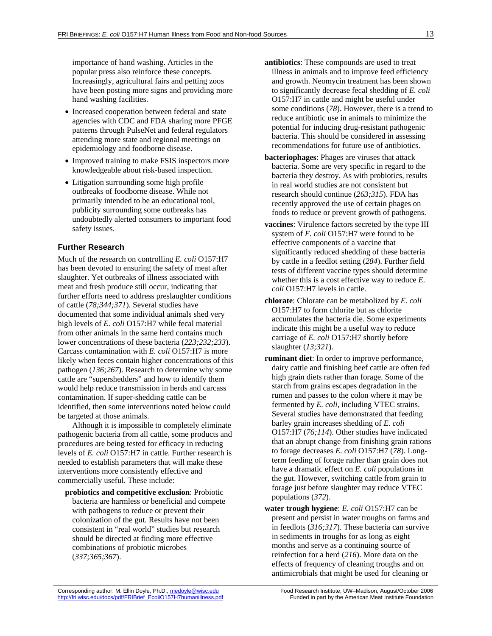importance of hand washing. Articles in the popular press also reinforce these concepts. Increasingly, agricultural fairs and petting zoos have been posting more signs and providing more hand washing facilities.

- Increased cooperation between federal and state agencies with CDC and FDA sharing more PFGE patterns through PulseNet and federal regulators attending more state and regional meetings on epidemiology and foodborne disease.
- Improved training to make FSIS inspectors more knowledgeable about risk-based inspection.
- Litigation surrounding some high profile outbreaks of foodborne disease. While not primarily intended to be an educational tool, publicity surrounding some outbreaks has undoubtedly alerted consumers to important food safety issues.

### **Further Research**

Much of the research on controlling *E. coli* O157:H7 has been devoted to ensuring the safety of meat after slaughter. Yet outbreaks of illness associated with meat and fresh produce still occur, indicating that further efforts need to address preslaughter conditions of cattle (*78;344;371*). Several studies have documented that some individual animals shed very high levels of *E. coli* O157:H7 while fecal material from other animals in the same herd contains much lower concentrations of these bacteria (*223;232;233*). Carcass contamination with *E. coli* O157:H7 is more likely when feces contain higher concentrations of this pathogen (*136;267*). Research to determine why some cattle are "supershedders" and how to identify them would help reduce transmission in herds and carcass contamination. If super-shedding cattle can be identified, then some interventions noted below could be targeted at those animals.

Although it is impossible to completely eliminate pathogenic bacteria from all cattle, some products and procedures are being tested for efficacy in reducing levels of *E. coli* O157:H7 in cattle. Further research is needed to establish parameters that will make these interventions more consistently effective and commercially useful. These include:

**probiotics and competitive exclusion**: Probiotic bacteria are harmless or beneficial and compete with pathogens to reduce or prevent their colonization of the gut. Results have not been consistent in "real world" studies but research should be directed at finding more effective combinations of probiotic microbes (*337;365;367*).

- **antibiotics**: These compounds are used to treat illness in animals and to improve feed efficiency and growth. Neomycin treatment has been shown to significantly decrease fecal shedding of *E. coli* O157:H7 in cattle and might be useful under some conditions (*78*). However, there is a trend to reduce antibiotic use in animals to minimize the potential for inducing drug-resistant pathogenic bacteria. This should be considered in assessing recommendations for future use of antibiotics.
- **bacteriophages**: Phages are viruses that attack bacteria. Some are very specific in regard to the bacteria they destroy. As with probiotics, results in real world studies are not consistent but research should continue (*263;315*). FDA has recently approved the use of certain phages on foods to reduce or prevent growth of pathogens.
- **vaccines**: Virulence factors secreted by the type III system of *E. coli* O157:H7 were found to be effective components of a vaccine that significantly reduced shedding of these bacteria by cattle in a feedlot setting (*284*). Further field tests of different vaccine types should determine whether this is a cost effective way to reduce *E. coli* O157:H7 levels in cattle.
- **chlorate**: Chlorate can be metabolized by *E. coli* O157:H7 to form chlorite but as chlorite accumulates the bacteria die. Some experiments indicate this might be a useful way to reduce carriage of *E. coli* O157:H7 shortly before slaughter (*13;321*).
- **ruminant diet**: In order to improve performance, dairy cattle and finishing beef cattle are often fed high grain diets rather than forage. Some of the starch from grains escapes degradation in the rumen and passes to the colon where it may be fermented by *E. coli*, including VTEC strains. Several studies have demonstrated that feeding barley grain increases shedding of *E. coli* O157:H7 (*76;114*). Other studies have indicated that an abrupt change from finishing grain rations to forage decreases *E. coli* O157:H7 (*78*). Longterm feeding of forage rather than grain does not have a dramatic effect on *E. coli* populations in the gut. However, switching cattle from grain to forage just before slaughter may reduce VTEC populations (*372*).
- **water trough hygiene**: *E. coli* O157:H7 can be present and persist in water troughs on farms and in feedlots (*316;317*). These bacteria can survive in sediments in troughs for as long as eight months and serve as a continuing source of reinfection for a herd (*216*). More data on the effects of frequency of cleaning troughs and on antimicrobials that might be used for cleaning or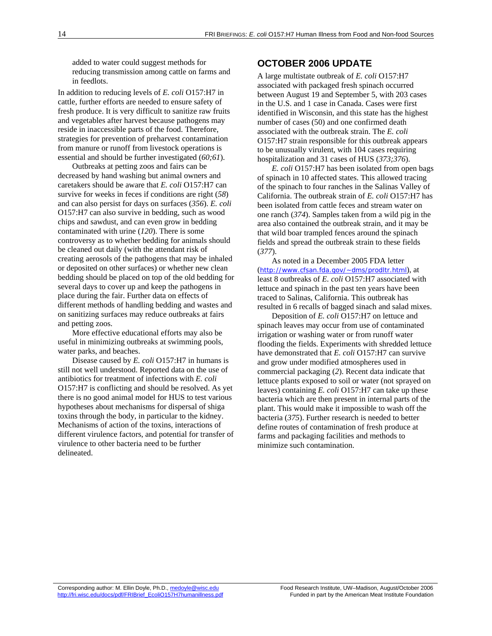added to water could suggest methods for reducing transmission among cattle on farms and in feedlots.

In addition to reducing levels of *E. coli* O157:H7 in cattle, further efforts are needed to ensure safety of fresh produce. It is very difficult to sanitize raw fruits and vegetables after harvest because pathogens may reside in inaccessible parts of the food. Therefore, strategies for prevention of preharvest contamination from manure or runoff from livestock operations is essential and should be further investigated (*60;61*).

Outbreaks at petting zoos and fairs can be decreased by hand washing but animal owners and caretakers should be aware that *E. coli* O157:H7 can survive for weeks in feces if conditions are right (*58*) and can also persist for days on surfaces (*356*). *E. coli* O157:H7 can also survive in bedding, such as wood chips and sawdust, and can even grow in bedding contaminated with urine (*120*). There is some controversy as to whether bedding for animals should be cleaned out daily (with the attendant risk of creating aerosols of the pathogens that may be inhaled or deposited on other surfaces) or whether new clean bedding should be placed on top of the old bedding for several days to cover up and keep the pathogens in place during the fair. Further data on effects of different methods of handling bedding and wastes and on sanitizing surfaces may reduce outbreaks at fairs and petting zoos.

More effective educational efforts may also be useful in minimizing outbreaks at swimming pools, water parks, and beaches.

Disease caused by *E. coli* O157:H7 in humans is still not well understood. Reported data on the use of antibiotics for treatment of infections with *E. coli* O157:H7 is conflicting and should be resolved. As yet there is no good animal model for HUS to test various hypotheses about mechanisms for dispersal of shiga toxins through the body, in particular to the kidney. Mechanisms of action of the toxins, interactions of different virulence factors, and potential for transfer of virulence to other bacteria need to be further delineated.

# **OCTOBER 2006 UPDATE**

A large multistate outbreak of *E. coli* O157:H7 associated with packaged fresh spinach occurred between August 19 and September 5, with 203 cases in the U.S. and 1 case in Canada. Cases were first identified in Wisconsin, and this state has the highest number of cases (50) and one confirmed death associated with the outbreak strain. The *E. coli* O157:H7 strain responsible for this outbreak appears to be unusually virulent, with 104 cases requiring hospitalization and 31 cases of HUS (*373;376*).

*E. coli* O157:H7 has been isolated from open bags of spinach in 10 affected states. This allowed tracing of the spinach to four ranches in the Salinas Valley of California. The outbreak strain of *E. coli* O157:H7 has been isolated from cattle feces and stream water on one ranch (*374*). Samples taken from a wild pig in the area also contained the outbreak strain, and it may be that wild boar trampled fences around the spinach fields and spread the outbreak strain to these fields (*377*).

As noted in a December 2005 FDA letter (http://www.cfsan.fda.gov/~dms/prodltr.html), at least 8 outbreaks of *E. coli* O157:H7 associated with lettuce and spinach in the past ten years have been traced to Salinas, California. This outbreak has resulted in 6 recalls of bagged sinach and salad mixes.

Deposition of *E. coli* O157:H7 on lettuce and spinach leaves may occur from use of contaminated irrigation or washing water or from runoff water flooding the fields. Experiments with shredded lettuce have demonstrated that *E. coli* O157:H7 can survive and grow under modified atmospheres used in commercial packaging (*2*). Recent data indicate that lettuce plants exposed to soil or water (not sprayed on leaves) containing *E. coli* O157:H7 can take up these bacteria which are then present in internal parts of the plant. This would make it impossible to wash off the bacteria (*375*). Further research is needed to better define routes of contamination of fresh produce at farms and packaging facilities and methods to minimize such contamination.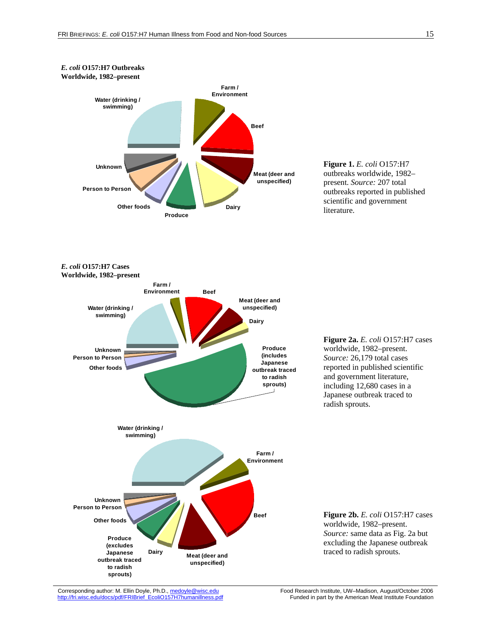

Corresponding author: M. Ellin Doyle, Ph.D., medovle@wisc.edu Food Research Institute, UW–Madison, August/October 2006<br>http://fri.wisc.edu/docs/pdf/FRIBrief\_EcoliO157H7humanillness.pdf Funded in part by the American Meat I http://fri.wisc.edu/docs/pdf/FRIBrief\_EcoliO157H7humanillness.pdf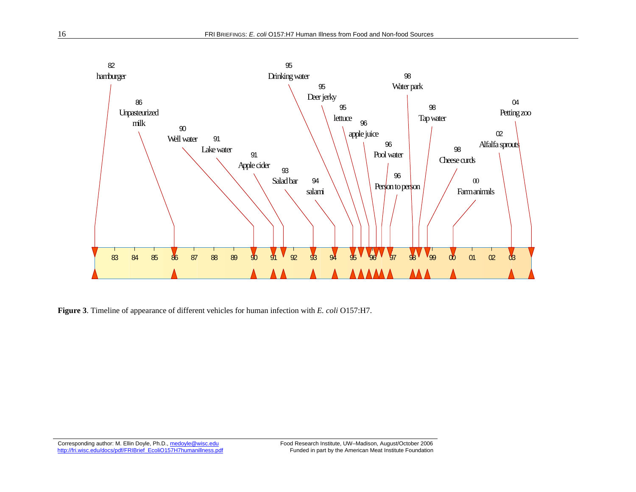

**Figure 3**. Timeline of appearance of different vehicles for human infection with *E. coli* O157:H7.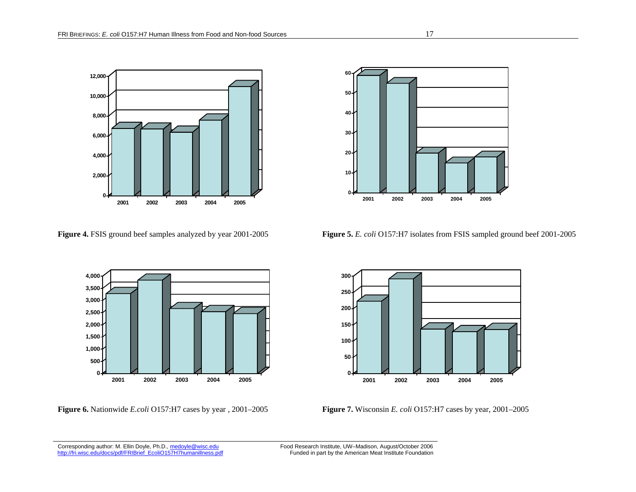





**Figure 4.** FSIS ground beef samples analyzed by year 2001-2005 **Figure 5.** *E. coli* O157:H7 isolates from FSIS sampled ground beef 2001-2005



**Figure 6.** Nationwide *E.coli* O157:H7 cases by year , 2001–2005 **Figure 7.** Wisconsin *E. coli* O157:H7 cases by year, 2001–2005

Corresponding author: M. Ellin Doyle, Ph.D., medovle@wisc.edu Food Research Institute, UW–Madison, August/October 2006<br>http://fri.wisc.edu/docs/pdf/FRIBrief\_EcoliO157H7humanillness.pdf Funded in part by the American Meat I

Funded in part by the American Meat Institute Foundation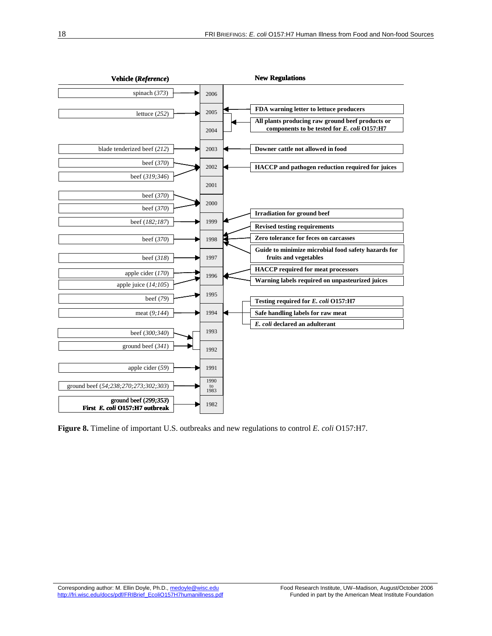

**Figure 8.** Timeline of important U.S. outbreaks and new regulations to control *E. coli* O157:H7.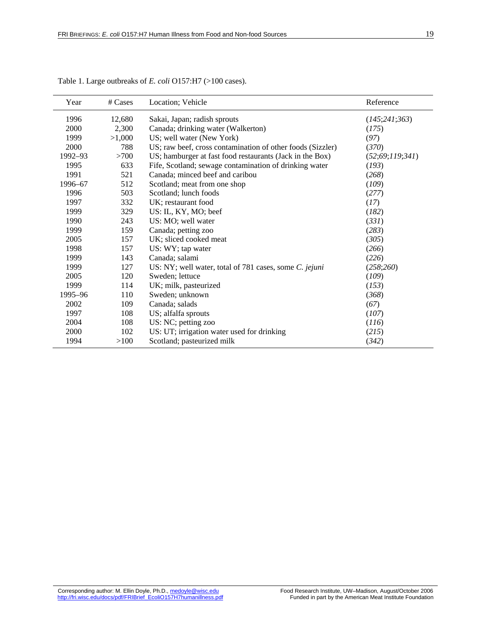| Year    | # Cases | Location; Vehicle                                          | Reference          |
|---------|---------|------------------------------------------------------------|--------------------|
| 1996    | 12,680  | Sakai, Japan; radish sprouts                               | (145;241;363)      |
| 2000    | 2,300   | Canada; drinking water (Walkerton)                         | (175)              |
| 1999    | >1,000  | US; well water (New York)                                  | (97)               |
| 2000    | 788     | US; raw beef, cross contamination of other foods (Sizzler) | (370)              |
| 1992-93 | >700    | US; hamburger at fast food restaurants (Jack in the Box)   | (52; 69; 119; 341) |
| 1995    | 633     | Fife, Scotland; sewage contamination of drinking water     | (193)              |
| 1991    | 521     | Canada; minced beef and caribou                            | (268)              |
| 1996-67 | 512     | Scotland; meat from one shop                               | (109)              |
| 1996    | 503     | Scotland; lunch foods                                      | (277)              |
| 1997    | 332     | UK; restaurant food                                        | (17)               |
| 1999    | 329     | US: IL, KY, MO; beef                                       | (182)              |
| 1990    | 243     | US: MO; well water                                         | (331)              |
| 1999    | 159     | Canada; petting zoo                                        | (283)              |
| 2005    | 157     | UK; sliced cooked meat                                     | (305)              |
| 1998    | 157     | US: WY; tap water                                          | (266)              |
| 1999    | 143     | Canada; salami                                             | (226)              |
| 1999    | 127     | US: NY; well water, total of 781 cases, some C. jejuni     | (258;260)          |
| 2005    | 120     | Sweden; lettuce                                            | (109)              |
| 1999    | 114     | UK; milk, pasteurized                                      | (153)              |
| 1995–96 | 110     | Sweden; unknown                                            | (368)              |
| 2002    | 109     | Canada; salads                                             | (67)               |
| 1997    | 108     | US; alfalfa sprouts                                        | (107)              |
| 2004    | 108     | US: NC; petting zoo                                        | (116)              |
| 2000    | 102     | US: UT; irrigation water used for drinking                 | (215)              |
| 1994    | >100    | Scotland; pasteurized milk                                 | (342)              |

Table 1. Large outbreaks of *E. coli* O157:H7 (>100 cases).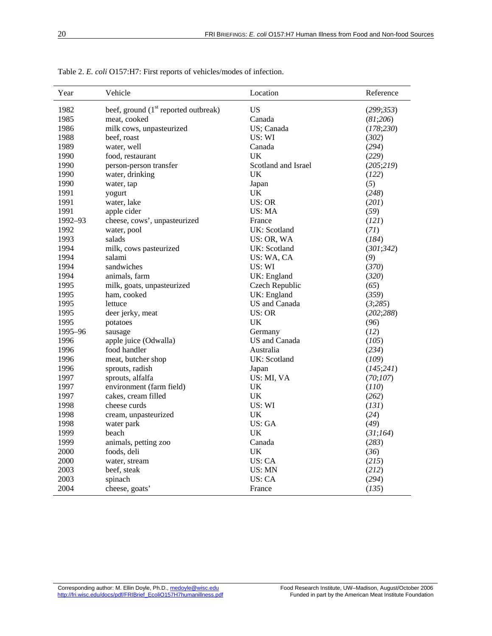| Year    | Vehicle                                          | Location            | Reference  |
|---------|--------------------------------------------------|---------------------|------------|
| 1982    | beef, ground (1 <sup>st</sup> reported outbreak) | <b>US</b>           | (299; 353) |
| 1985    | meat, cooked                                     | Canada              | (81;206)   |
| 1986    | milk cows, unpasteurized                         | US; Canada          | (178; 230) |
| 1988    | beef, roast                                      | US: WI              | (302)      |
| 1989    | water, well                                      | Canada              | (294)      |
| 1990    | food, restaurant                                 | UK                  | (229)      |
| 1990    | person-person transfer                           | Scotland and Israel | (205;219)  |
| 1990    | water, drinking                                  | UK                  | (122)      |
| 1990    | water, tap                                       | Japan               | (5)        |
| 1991    | yogurt                                           | <b>UK</b>           | (248)      |
| 1991    | water, lake                                      | <b>US: OR</b>       | (201)      |
| 1991    | apple cider                                      | US: MA              | (59)       |
| 1992-93 | cheese, cows', unpasteurized                     | France              | (121)      |
| 1992    | water, pool                                      | UK: Scotland        | (71)       |
| 1993    | salads                                           | US: OR, WA          | (184)      |
| 1994    | milk, cows pasteurized                           | UK: Scotland        | (301; 342) |
| 1994    | salami                                           | US: WA, CA          | (9)        |
| 1994    | sandwiches                                       | US: WI              | (370)      |
| 1994    | animals, farm                                    | UK: England         | (320)      |
| 1995    | milk, goats, unpasteurized                       | Czech Republic      | (65)       |
| 1995    | ham. cooked                                      | UK: England         | (359)      |
| 1995    | lettuce                                          | US and Canada       | (3;285)    |
| 1995    | deer jerky, meat                                 | <b>US: OR</b>       | (202; 288) |
| 1995    | potatoes                                         | UK                  | (96)       |
| 1995-96 | sausage                                          | Germany             | (12)       |
| 1996    | apple juice (Odwalla)                            | US and Canada       | (105)      |
| 1996    | food handler                                     | Australia           | (234)      |
| 1996    | meat, butcher shop                               | UK: Scotland        | (109)      |
| 1996    | sprouts, radish                                  | Japan               | (145;241)  |
| 1997    | sprouts, alfalfa                                 | US: MI, VA          | (70;107)   |
| 1997    | environment (farm field)                         | UK                  | (110)      |
| 1997    | cakes, cream filled                              | <b>UK</b>           | (262)      |
| 1998    | cheese curds                                     | US: WI              | (131)      |
| 1998    | cream, unpasteurized                             | <b>UK</b>           | (24)       |
| 1998    | water park                                       | US:GA               | (49)       |
| 1999    | beach                                            | <b>UK</b>           | (31;164)   |
| 1999    | animals, petting zoo                             | Canada              | (283)      |
| 2000    | foods, deli                                      | <b>UK</b>           | (36)       |
| 2000    | water, stream                                    | <b>US: CA</b>       | (215)      |
| 2003    | beef, steak                                      | US: MN              | (212)      |
| 2003    | spinach                                          | US: CA              | (294)      |
| 2004    | cheese, goats'                                   | France              | (135)      |

Table 2. *E. coli* O157:H7: First reports of vehicles/modes of infection.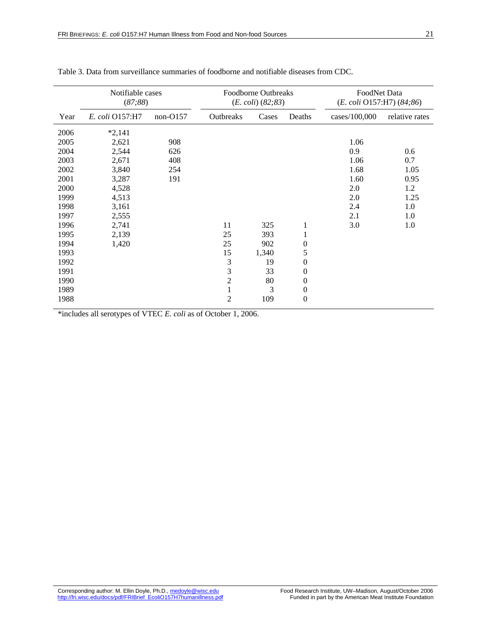|      | Notifiable cases |            | Foodborne Outbreaks |                        |                  | FoodNet Data  |                           |  |
|------|------------------|------------|---------------------|------------------------|------------------|---------------|---------------------------|--|
|      | (87;88)          |            |                     | $(E. \ coli) (82; 83)$ |                  |               | (E. coli O157:H7) (84;86) |  |
| Year | E. coli O157:H7  | $non-O157$ | Outbreaks           | Cases                  | Deaths           | cases/100,000 | relative rates            |  |
| 2006 | $*2,141$         |            |                     |                        |                  |               |                           |  |
| 2005 | 2,621            | 908        |                     |                        |                  | 1.06          |                           |  |
| 2004 | 2,544            | 626        |                     |                        |                  | 0.9           | 0.6                       |  |
| 2003 | 2,671            | 408        |                     |                        |                  | 1.06          | 0.7                       |  |
| 2002 | 3,840            | 254        |                     |                        |                  | 1.68          | 1.05                      |  |
| 2001 | 3,287            | 191        |                     |                        |                  | 1.60          | 0.95                      |  |
| 2000 | 4,528            |            |                     |                        |                  | 2.0           | 1.2                       |  |
| 1999 | 4,513            |            |                     |                        |                  | 2.0           | 1.25                      |  |
| 1998 | 3,161            |            |                     |                        |                  | 2.4           | 1.0                       |  |
| 1997 | 2,555            |            |                     |                        |                  | 2.1           | 1.0                       |  |
| 1996 | 2,741            |            | 11                  | 325                    | $\mathbf{1}$     | 3.0           | 1.0                       |  |
| 1995 | 2,139            |            | 25                  | 393                    | 1                |               |                           |  |
| 1994 | 1,420            |            | 25                  | 902                    | $\boldsymbol{0}$ |               |                           |  |
| 1993 |                  |            | 15                  | 1,340                  | 5                |               |                           |  |
| 1992 |                  |            | 3                   | 19                     | $\boldsymbol{0}$ |               |                           |  |
| 1991 |                  |            | 3                   | 33                     | $\boldsymbol{0}$ |               |                           |  |
| 1990 |                  |            | $\overline{c}$      | 80                     | $\boldsymbol{0}$ |               |                           |  |
| 1989 |                  |            | $\mathbf{1}$        | 3                      | $\boldsymbol{0}$ |               |                           |  |
| 1988 |                  |            | $\overline{2}$      | 109                    | $\mathbf{0}$     |               |                           |  |

### Table 3. Data from surveillance summaries of foodborne and notifiable diseases from CDC.

\*includes all serotypes of VTEC *E. coli* as of October 1, 2006.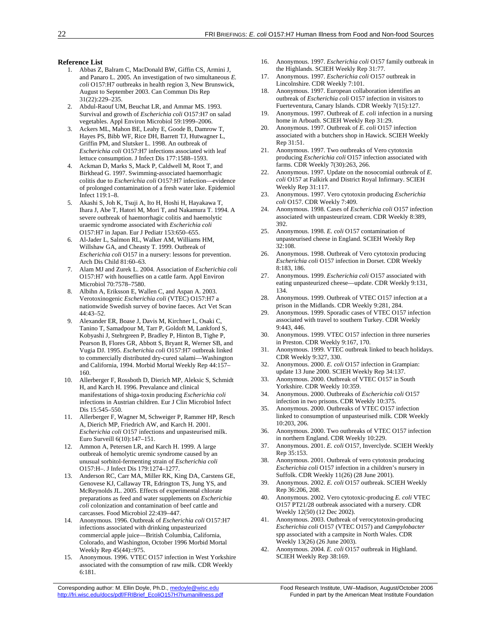#### **Reference List**

- 1. Abbas Z, Balram C, MacDonald BW, Giffin CS, Armini J, and Panaro L. 2005. An investigation of two simultaneous *E. coli* O157:H7 outbreaks in health region 3, New Brunswick, August to September 2003. Can Commun Dis Rep 31(22):229–235.
- 2. Abdul-Raouf UM, Beuchat LR, and Ammar MS. 1993. Survival and growth of *Escherichia coli* O157:H7 on salad vegetables. Appl Environ Microbiol 59:1999–2006.
- 3. Ackers ML, Mahon BE, Leahy E, Goode B, Damrow T, Hayes PS, Bibb WF, Rice DH, Barrett TJ, Hutwagner L, Griffin PM, and Slutsker L. 1998. An outbreak of *Escherichia coli* O157:H7 infections associated with leaf lettuce consumption. J Infect Dis 177:1588–1593.
- 4. Ackman D, Marks S, Mack P, Caldwell M, Root T, and Birkhead G. 1997. Swimming-associated haemorrhagic colitis due to *Escherichia coli* O157:H7 infection—evidence of prolonged contamination of a fresh water lake. Epidemiol Infect 119:1–8.
- 5. Akashi S, Joh K, Tsuji A, Ito H, Hoshi H, Hayakawa T, Ihara J, Abe T, Hatori M, Mori T, and Nakamura T. 1994. A severe outbreak of haemorrhagic colitis and haemolytic uraemic syndrome associated with *Escherichia coli* O157:H7 in Japan. Eur J Pediatr 153:650–655.
- 6. Al-Jader L, Salmon RL, Walker AM, Williams HM, Willshaw GA, and Cheasty T. 1999. Outbreak of *Escherichia coli* O157 in a nursery: lessons for prevention. Arch Dis Child 81:60–63.
- 7. Alam MJ and Zurek L. 2004. Association of *Escherichia coli* O157:H7 with houseflies on a cattle farm. Appl Environ Microbiol 70:7578–7580.
- 8. Albihn A, Eriksson E, Wallen C, and Aspan A. 2003. Verotoxinogenic *Escherichia coli* (VTEC) O157:H7 a nationwide Swedish survey of bovine faeces. Act Vet Scan 44:43–52.
- 9. Alexander ER, Boase J, Davis M, Kirchner L, Osaki C, Tanino T, Samadpour M, Tarr P, Goldoft M, Lankford S, Kobyashi J, Stehrgreen P, Bradley P, Hinton B, Tighe P, Pearson B, Flores GR, Abbott S, Bryant R, Werner SB, and Vugia DJ. 1995. *Escherichia coli* O157:H7 outbreak linked to commercially distributed dry-cured salami—Washington and California, 1994. Morbid Mortal Weekly Rep 44:157– 160.
- 10. Allerberger F, Rossboth D, Dierich MP, Aleksic S, Schmidt H, and Karch H. 1996. Prevalance and clinical manifestations of shiga-toxin producing *Escherichia coli* infections in Austrian children. Eur J Clin Microbiol Infect Dis 15:545–550.
- 11. Allerberger F, Wagner M, Schweiger P, Rammer HP, Resch A, Dierich MP, Friedrich AW, and Karch H. 2001. *Escherichia coli* O157 infections and unpasteurised milk. Euro Surveill 6(10):147–151.
- 12. Ammon A, Petersen LR, and Karch H. 1999. A large outbreak of hemolytic uremic syndrome caused by an unusual sorbitol-fermenting strain of *Escherichia coli* O157:H–. J Infect Dis 179:1274–1277.
- 13. Anderson RC, Carr MA, Miller RK, King DA, Carstens GE, Genovese KJ, Callaway TR, Edrington TS, Jung YS, and McReynolds JL. 2005. Effects of experimental chlorate preparations as feed and water supplements on *Escherichia coli* colonization and contamination of beef cattle and carcasses. Food Microbiol 22:439–447.
- 14. Anonymous. 1996. Outbreak of *Escherichia coli* O157:H7 infections associated with drinking unpasteurized commercial apple juice—British Columbia, California, Colorado, and Washington, October 1996 Morbid Mortal Weekly Rep 45(44)::975.
- 15. Anonymous. 1996. VTEC O157 infection in West Yorkshire associated with the consumption of raw milk. CDR Weekly 6:181.
- 16. Anonymous. 1997. *Escherichia coli* O157 family outbreak in the Highlands. SCIEH Weekly Rep 31:77.
- 17. Anonymous. 1997. *Escherichia coli* O157 outbreak in Lincolnshire. CDR Weekly 7:101.
- 18. Anonymous. 1997. European collaboration identifies an outbreak of *Escherichia coli* O157 infection in visitors to Fuerteventura, Canary Islands. CDR Weekly 7(15):127.
- 19. Anonymous. 1997. Outbreak of *E. coli* infection in a nursing home in Arboath. SCIEH Weekly Rep 31:29.
- 20. Anonymous. 1997. Outbreak of *E. coli* O157 infection associated with a butchers shop in Hawick. SCIEH Weekly Rep 31:51.
- 21. Anonymous. 1997. Two outbreaks of Vero cytotoxin producing *Escherichia coli* O157 infection associated with farms. CDR Weekly 7(30):263, 266.
- 22. Anonymous. 1997. Update on the nosocomial outbreak of *E. coli* O157 at Falkirk and District Royal Infirmary. SCIEH Weekly Rep 31:117.
- 23. Anonymous. 1997. Vero cytotoxin producing *Escherichia coli* O157. CDR Weekly 7:409.
- 24. Anonymous. 1998. Cases of *Escherichia coli* O157 infection associated with unpasteurized cream. CDR Weekly 8:389, 392.
- 25. Anonymous. 1998. *E. coli* O157 contamination of unpasteurised cheese in England. SCIEH Weekly Rep 32:108.
- 26. Anonymous. 1998. Outbreak of Vero cytotoxin producing *Escherichia coli* O157 infection in Dorset. CDR Weekly 8:183, 186.
- 27. Anonymous. 1999. *Escherichia coli* O157 associated with eating unpasteurized cheese—update. CDR Weekly 9:131, 134.
- 28. Anonymous. 1999. Outbreak of VTEC O157 infection at a prison in the Midlands. CDR Weekly 9:281, 284.
- 29. Anonymous. 1999. Sporadic cases of VTEC O157 infection associated with travel to southern Turkey. CDR Weekly 9:443, 446.
- 30. Anonymous. 1999. VTEC O157 infection in three nurseries in Preston. CDR Weekly 9:167, 170.
- 31. Anonymous. 1999. VTEC outbreak linked to beach holidays. CDR Weekly 9:327, 330.
- 32. Anonymous. 2000. *E. coli* O157 infection in Grampian: update 13 June 2000. SCIEH Weekly Rep 34:137.
- 33. Anonymous. 2000. Outbreak of VTEC O157 in South Yorkshire. CDR Weekly 10:359.
- 34. Anonymous. 2000. Outbreaks of *Escherichia coli* O157 infection in two prisons. CDR Weekly 10:375.
- 35. Anonymous. 2000. Outbreaks of VTEC O157 infection linked to consumption of unpasteurised milk. CDR Weekly 10:203, 206.
- 36. Anonymous. 2000. Two outbreaks of VTEC O157 infection in northern England. CDR Weekly 10:229.
- 37. Anonymous. 2001. *E. coli* O157, Inverclyde. SCIEH Weekly Rep 35:153.
- 38. Anonymous. 2001. Outbreak of vero cytotoxin producing *Escherichia coli* O157 infection in a children's nursery in Suffolk. CDR Weekly 11(26) (28 June 2001).
- 39. Anonymous. 2002. *E. coli* O157 outbreak. SCIEH Weekly Rep 36:206, 208.
- 40. Anonymous. 2002. Vero cytotoxic-producing *E. coli* VTEC O157 PT21/28 outbreak associated with a nursery. CDR Weekly 12(50) (12 Dec 2002).
- 41. Anonymous. 2003. Outbreak of verocytotoxin-producing *Escherichia coli* O157 (VTEC O157) and *Campylobacter* spp associated with a campsite in North Wales. CDR Weekly 13(26) (26 June 2003).
- Anonymous. 2004. *E. coli* O157 outbreak in Highland. SCIEH Weekly Rep 38:169.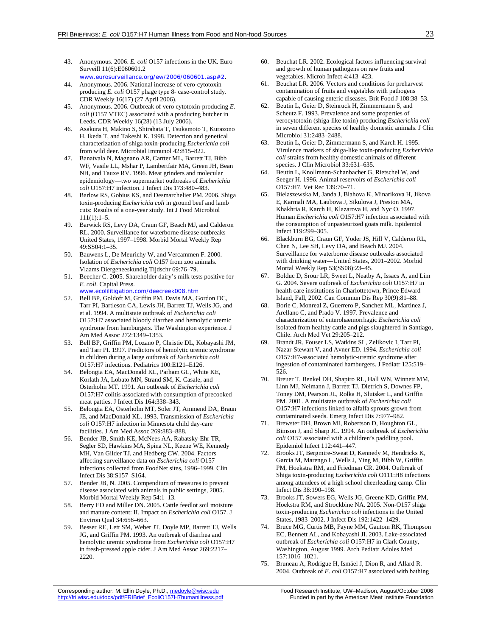- 43. Anonymous. 2006. *E. coli* O157 infections in the UK. Euro Surveill 11(6):E060601.2
	- www.eurosurveillance.org/ew/2006/060601.asp#2.
- 44. Anonymous. 2006. National increase of vero-cytotoxin producing *E. coli* O157 phage type 8- case-control study. CDR Weekly 16(17) (27 April 2006).
- 45. Anonymous. 2006. Outbreak of vero cytotoxin-producing *E. coli* (O157 VTEC) associated with a producing butcher in Leeds. CDR Weekly 16(28) (13 July 2006).
- 46. Asakura H, Makino S, Shirahata T, Tsukamoto T, Kurazono H, Ikeda T, and Takeshi K. 1998. Detection and genetical characterization of shiga toxin-producing *Escherichia coli* from wild deer. Microbial Immunol 42:815–822.
- 47. Banatvala N, Magnano AR, Cartter ML, Barrett TJ, Bibb WF, Vasile LL, Mshar P, Lambertfair MA, Green JH, Bean NH, and Tauxe RV. 1996. Meat grinders and molecular epidemiology—two supermarket outbreaks of *Escherichia coli* O157:H7 infection. J Infect Dis 173:480–483.
- 48. Barlow RS, Gobius KS, and Desmarchelier PM. 2006. Shiga toxin-producing *Escherichia coli* in ground beef and lamb cuts: Results of a one-year study. Int J Food Microbiol  $111(1):1-5.$
- 49. Barwick RS, Levy DA, Craun GF, Beach MJ, and Calderon RL. 2000. Surveillance for waterborne disease outbreaks-United States, 1997–1998. Morbid Mortal Weekly Rep 49:SS04:1–35.
- 50. Bauwens L, De Meurichy W, and Vercammen F. 2000. Isolation of *Escherichia coli* O157 from zoo animals. Vlaams Diergeneeskundig Tijdschr 69:76–79.
- 51. Beecher C. 2005. Shareholder dairy's milk tests positive for *E. coli*. Capital Press.

www.ecolilitigation.com/deecreek008.htm

- 52. Bell BP, Goldoft M, Griffin PM, Davis MA, Gordon DC, Tarr PI, Bartleson CA, Lewis JH, Barrett TJ, Wells JG, and et al. 1994. A multistate outbreak of *Escherichia coli* O157:H7 associated bloody diarrhea and hemolytic uremic syndrome from hamburgers. The Washington experience. J Am Med Assoc 272:1349–1353.
- 53. Bell BP, Griffin PM, Lozano P, Christie DL, Kobayashi JM, and Tarr PI. 1997. Predictors of hemolytic uremic syndrome in children during a large outbreak of *Escherichia coli* O157:H7 infections. Pediatrics 100:E121–E126.
- 54. Belongia EA, MacDonald KL, Parham GL, White KE, Korlath JA, Lobato MN, Strand SM, K. Casale, and Osterholm MT. 1991. An outbreak of *Escherichia coli* O157:H7 colitis associated with consumption of precooked meat patties. J Infect Dis 164:338–343.
- 55. Belongia EA, Osterholm MT, Soler JT, Ammend DA, Braun JE, and MacDonald KL. 1993. Transmission of *Escherichia coli* O157:H7 infection in Minnesota child day-care facilities. J Am Med Assoc 269:883–888.
- 56. Bender JB, Smith KE, McNees AA, Rabatsky-Ehr TR, Segler SD, Hawkins MA, Spina NL, Keene WE, Kennedy MH, Van Gilder TJ, and Hedberg CW. 2004. Factors affecting surveillance data on *Escherichia coli* O157 infections collected from FoodNet sites, 1996–1999. Clin Infect Dis 38:S157–S164.
- 57. Bender JB, N. 2005. Compendium of measures to prevent disease associated with animals in public settings, 2005. Morbid Mortal Weekly Rep 54:1–13.
- 58. Berry ED and Miller DN. 2005. Cattle feedlot soil moisture and manure content: II. Impact on *Escherichia coli* O157. J Environ Qual 34:656–663.
- 59. Besser RE, Lett SM, Weber JT, Doyle MP, Barrett TJ, Wells JG, and Griffin PM. 1993. An outbreak of diarrhea and hemolytic uremic syndrome from *Escherichia coli* O157:H7 in fresh-pressed apple cider. J Am Med Assoc 269:2217– 2220.
- 60. Beuchat LR. 2002. Ecological factors influencing survival and growth of human pathogens on raw fruits and vegetables. Microb Infect 4:413–423.
- 61. Beuchat LR. 2006. Vectors and conditions for preharvest contamination of fruits and vegetables with pathogens capable of causing enteric diseases. Brit Food J 108:38–53.
- 62. Beutin L, Geier D, Steinruck H, Zimmermann S, and Scheutz F. 1993. Prevalence and some properties of verocytotoxin (shiga-like toxin)-producing *Escherichia coli* in seven different species of healthy domestic animals. J Clin Microbiol 31:2483–2488.
- 63. Beutin L, Geier D, Zimmermann S, and Karch H. 1995. Virulence markers of shiga-like toxin-producing *Escherichia coli* strains from healthy domestic animals of different species. J Clin Microbiol 33:631–635.
- 64. Beutin L, Knollmann-Schanbacher G, Rietschel W, and Seeger H. 1996. Animal reservoirs of *Escherichia coli* O157:H7. Vet Rec 139:70–71.
- 65. Bielaszewska M, Janda J, Blahova K, Minarikova H, Jikova E, Karmali MA, Laubova J, Sikulova J, Preston MA, Khakhria R, Karch H, Klazarova H, and Nyc O. 1997. Human *Escherichia coli* O157:H7 infection associated with the consumption of unpasteurized goats milk. Epidemiol Infect 119:299–305.
- 66. Blackburn BG, Craun GF, Yoder JS, Hill V, Calderon RL, Chen N, Lee SH, Levy DA, and Beach MJ. 2004. Surveillance for waterborne disease outbreaks associated with drinking water—United States, 2001–2002. Morbid Mortal Weekly Rep 53(SS08):23–45.
- 67. Bolduc D, Srour LR, Sweet L, Neatby A, Issacs A, and Lim G. 2004. Severe outbreak of *Escherichia coli* O157:H7 in health care institutions in Charlottetown, Prince Edward Island, Fall, 2002. Can Commun Dis Rep 30(9):81–88.
- 68. Borie C, Monreal Z, Guerrero P, Sanchez ML, Martinez J, Arellano C, and Prado V. 1997. Prevalence and characterization of enterohaemorrhagic *Escherichia coli* isolated from healthy cattle and pigs slaughtered in Santiago, Chile. Arch Med Vet 29:205–212.
- 69. Brandt JR, Fouser LS, Watkins SL, Zelikovic I, Tarr PI, Nazar-Stewart V, and Avner ED. 1994. *Escherichia coli* O157:H7-associated hemolytic-uremic syndrome after ingestion of contaminated hamburgers. J Pediatr 125:519– 526.
- 70. Breuer T, Benkel DH, Shapiro RL, Hall WN, Winnett MM, Linn MJ, Neimann J, Barrett TJ, Dietrich S, Downes FP, Toney DM, Pearson JL, Rolka H, Slutsker L, and Griffin PM. 2001. A multistate outbreak of *Escherichia coli* O157:H7 infections linked to alfalfa sprouts grown from contaminated seeds. Emerg Infect Dis 7:977–982.
- 71. Brewster DH, Brown MI, Robertson D, Houghton GL, Bimson J, and Sharp JC. 1994. An outbreak of *Escherichia coli* O157 associated with a children's paddling pool. Epidemiol Infect 112:441–447.
- 72. Brooks JT, Bergmire-Sweat D, Kennedy M, Hendricks K, Garcia M, Marengo L, Wells J, Ying M, Bibb W, Griffin PM, Hoekstra RM, and Friedman CR. 2004. Outbreak of Shiga toxin-producing *Escherichia coli* O111:H8 infections among attendees of a high school cheerleading camp. Clin Infect Dis 38:190–198.
- 73. Brooks JT, Sowers EG, Wells JG, Greene KD, Griffin PM, Hoekstra RM, and Strockbine NA. 2005. Non-O157 shiga toxin-producing *Escherichia coli* infections in the United States, 1983–2002. J Infect Dis 192:1422–1429.
- 74. Bruce MG, Curtis MB, Payne MM, Gautom RK, Thompson EC, Bennett AL, and Kobayashi JI. 2003. Lake-associated outbreak of *Escherichia coli* O157:H7 in Clark County, Washington, August 1999. Arch Pediatr Adoles Med 157:1016–1021.
- 75. Bruneau A, Rodrigue H, Ismäel J, Dion R, and Allard R. 2004. Outbreak of *E. coli* O157:H7 associated with bathing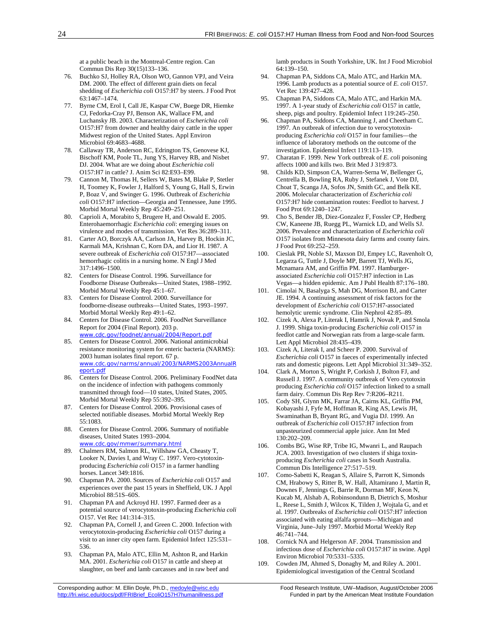at a public beach in the Montreal-Centre region. Can Commun Dis Rep 30(15)133–136.

- 76. Buchko SJ, Holley RA, Olson WO, Gannon VPJ, and Veira DM. 2000. The effect of different grain diets on fecal shedding of *Escherichia coli* O157:H7 by steers. J Food Prot 63:1467–1474.
- 77. Byrne CM, Erol I, Call JE, Kaspar CW, Buege DR, Hiemke CJ, Fedorka-Cray PJ, Benson AK, Wallace FM, and Luchansky JB. 2003. Characterization of *Escherichia coli* O157:H7 from downer and healthy dairy cattle in the upper Midwest region of the United States. Appl Environ Microbiol 69:4683–4688.
- 78. Callaway TR, Anderson RC, Edrington TS, Genovese KJ, Bischoff KM, Poole TL, Jung YS, Harvey RB, and Nisbet DJ. 2004. What are we doing about *Escherichia coli* O157:H7 in cattle? J. Anim Sci 82:E93–E99.
- 79. Cannon M, Thomas H, Sellers W, Bates M, Blake P, Stetler H, Toomey K, Fowler J, Halford S, Young G, Hall S, Erwin P, Boaz V, and Swinger G. 1996. Outbreak of *Escherichia coli* O157:H7 infection—Georgia and Tennessee, June 1995. Morbid Mortal Weekly Rep 45:249–251.
- 80. Caprioli A, Morabito S, Brugere H, and Oswald E. 2005. Enterohaemorrhagic *Escherichia coli*: emerging issues on virulence and modes of transmission. Vet Res 36:289–311.
- 81. Carter AO, Borczyk AA, Carlson JA, Harvey B, Hockin JC, Karmali MA, Krishnan C, Korn DA, and Lior H. 1987. A severe outbreak of *Escherichia coli* O157:H7—associated hemorrhagic colitis in a nursing home. N Engl J Med 317:1496–1500.
- 82. Centers for Disease Control. 1996. Surveillance for Foodborne Disease Outbreaks—United States, 1988–1992. Morbid Mortal Weekly Rep 45:1–67.
- 83. Centers for Disease Control. 2000. Surveillance for foodborne-disease outbreaks—United States, 1993–1997. Morbid Mortal Weekly Rep 49:1–62.
- 84. Centers for Disease Control. 2006. FoodNet Surveillance Report for 2004 (Final Report). 203 p. www.cdc.gov/foodnet/annual/2004/Report.pdf
- 85. Centers for Disease Control. 2006. National antimicrobial resistance monitoring system for enteric bacteria (NARMS): 2003 human isolates final report. 67 p. www.cdc.gov/narms/annual/2003/NARMS2003AnnualR
- eport.pdf<br>86. Centers for Disease Control. 2006. Preliminary FoodNet data on the incidence of infection with pathogens commonly transmitted through food—10 states, United States, 2005. Morbid Mortal Weekly Rep 55:392–395.
- 87. Centers for Disease Control. 2006. Provisional cases of selected notifiable diseases. Morbid Mortal Weekly Rep 55:1083.
- 88. Centers for Disease Control. 2006. Summary of notifiable diseases, United States 1993–2004. www.cdc.gov/mmwr/summary.html
- 89. Chalmers RM, Salmon RL, Willshaw GA, Cheasty T, Looker N, Davies I, and Wray C. 1997. Vero-cytotoxinproducing *Escherichia coli* O157 in a farmer handling horses. Lancet 349:1816.
- 90. Chapman PA. 2000. Sources of *Escherichia coli* O157 and experiences over the past 15 years in Sheffield, UK. J Appl Microbiol 88:51S–60S.
- 91. Chapman PA and Ackroyd HJ. 1997. Farmed deer as a potential source of verocytotoxin-producing *Escherichia coli* O157. Vet Rec 141:314–315.
- 92. Chapman PA, Cornell J, and Green C. 2000. Infection with verocytotoxin-producing *Escherichia coli* O157 during a visit to an inner city open farm. Epidemiol Infect 125:531– 536.
- 93. Chapman PA, Malo ATC, Ellin M, Ashton R, and Harkin MA. 2001. *Escherichia coli* O157 in cattle and sheep at slaughter, on beef and lamb carcasses and in raw beef and
- Corresponding author: M. Ellin Doyle, Ph.D., medoyle@wisc.edu Food Research Institute, UW-Madison, August/October 2006 http://fri.wisc.edu/docs/pdf/FRIBrief\_EcoliO157H7humanillness.pdf Funded in part by the American Meat Institute Foundation

lamb products in South Yorkshire, UK. Int J Food Microbiol 64:139–150.

- 94. Chapman PA, Siddons CA, Malo ATC, and Harkin MA. 1996. Lamb products as a potential source of *E. coli* O157. Vet Rec 139:427–428.
- 95. Chapman PA, Siddons CA, Malo ATC, and Harkin MA. 1997. A 1-year study of *Escherichia coli* O157 in cattle, sheep, pigs and poultry. Epidemiol Infect 119:245–250.
- 96. Chapman PA, Siddons CA, Manning J, and Cheetham C. 1997. An outbreak of infection due to verocytotoxinproducing *Escherichia coli* O157 in four families—the influence of laboratory methods on the outcome of the investigation. Epidemiol Infect 119:113–119.
- 97. Charatan F. 1999. New York outbreak of *E. coli* poisoning affects 1000 and kills two. Brit Med J 319:873.
- 98. Childs KD, Simpson CA, Warren-Serna W, Bellenger G, Centrella B, Bowling RA, Ruby J, Stefanek J, Vote DJ, Choat T, Scanga JA, Sofos JN, Smith GC, and Belk KE. 2006. Molecular characterization of *Escherichia coli* O157:H7 hide contamination routes: Feedlot to harvest. J Food Prot 69:1240–1247.
- 99. Cho S, Bender JB, Diez-Gonzalez F, Fossler CP, Hedberg CW, Kaneene JB, Ruegg PL, Warnick LD, and Wells SJ. 2006. Prevalence and characterization of *Escherichia coli* O157 isolates from Minnesota dairy farms and county fairs. J Food Prot 69:252–259.
- 100. Cieslak PR, Noble SJ, Maxson DJ, Empey LC, Ravenholt O, Legarza G, Tuttle J, Doyle MP, Barrett TJ, Wells JG, Mcnamara AM, and Griffin PM. 1997. Hamburgerassociated *Escherichia coli* O157:H7 infection in Las Vegas—a hidden epidemic. Am J Publ Health 87:176–180.
- 101. Cimolai N, Basalyga S, Mah DG, Morrison BJ, and Carter JE. 1994. A continuing assessment of risk factors for the development of *Escherichia coli* O157:H7-associated hemolytic uremic syndrome. Clin Nephrol 42:85–89.
- Cizek A, Alexa P, Literak I, Hamrik J, Novak P, and Smola J. 1999. Shiga toxin-producing *Escherichia coli* O157 in feedlot cattle and Norwegian rats from a large-scale farm. Lett Appl Microbiol 28:435–439.
- 103. Cizek A, Literak I, and Scheer P. 2000. Survival of *Escherichia coli* O157 in faeces of experimentally infected rats and domestic pigeons. Lett Appl Microbiol 31:349–352.
- 104. Clark A, Morton S, Wright P, Corkish J, Bolton FJ, and Russell J. 1997. A community outbreak of Vero cytotoxin producing *Escherichia coli* O157 infection linked to a small farm dairy. Commun Dis Rep Rev 7:R206–R211.
- 105. Cody SH, Glynn MK, Farrar JA, Cairns KL, Griffin PM, Kobayashi J, Fyfe M, Hoffman R, King AS, Lewis JH, Swaminathan B, Bryant RG, and Vugia DJ. 1999. An outbreak of *Escherichia coli* O157:H7 infection from unpasteurized commercial apple juice. Ann Int Med 130:202–209.
- 106. Combs BG, Wise RP, Tribe IG, Mwanri L, and Raupach JCA. 2003. Investigation of two clusters if shiga toxinproducing *Escherichia coli* cases in South Australia. Commun Dis Intelligence 27:517–519.
- 107. Como-Sabetti K, Reagan S, Allaire S, Parrott K, Simonds CM, Hrabowy S, Ritter B, W. Hall, Altamirano J, Martin R, Downes F, Jennings G, Barrie R, Dorman MF, Keon N, Kucab M, Alshab A, Robinsondunn B, Dietrich S, Moshur L, Reese L, Smith J, Wilcox K, Tilden J, Wojtala G, and et al. 1997. Outbreaks of *Escherichia coli* O157:H7 infection associated with eating alfalfa sprouts—Michigan and Virginia, June–July 1997. Morbid Mortal Weekly Rep 46:741–744.
- 108. Cornick NA and Helgerson AF. 2004. Transmission and infectious dose of *Escherichia coli* O157:H7 in swine. Appl Environ Microbiol 70:5331–5335.
- 109. Cowden JM, Ahmed S, Donaghy M, and Riley A. 2001. Epidemiological investigation of the Central Scotland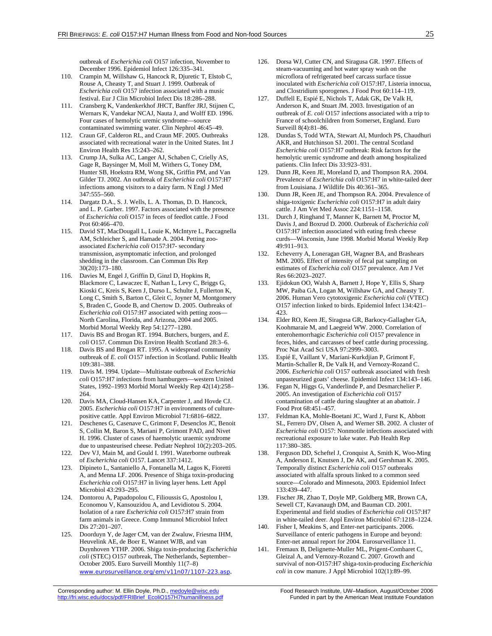outbreak of *Escherichia coli* O157 infection, November to December 1996. Epidemiol Infect 126:335–341.

- 110. Crampin M, Willshaw G, Hancock R, Djuretic T, Elstob C, Rouse A, Cheasty T, and Stuart J. 1999. Outbreak of *Escherichia coli* O157 infection associated with a music festival. Eur J Clin Microbiol Infect Dis 18:286–288.
- 111. Cransberg K, Vandenkerkhof JHCT, Banffer JRJ, Stijnen C, Wernars K, Vandekar NCAJ, Nauta J, and Wolff ED. 1996. Four cases of hemolytic uremic syndrome—source contaminated swimming water. Clin Nephrol 46:45–49.
- 112. Craun GF, Calderon RL, and Craun MF. 2005. Outbreaks associated with recreational water in the United States. Int J Environ Health Res 15:243–262.
- 113. Crump JA, Sulka AC, Langer AJ, Schaben C, Crielly AS, Gage R, Baysinger M, Moll M, Withers G, Toney DM, Hunter SB, Hoekstra RM, Wong SK, Griffin PM, and Van Gilder TJ. 2002. An outbreak of *Escherichia coli* O157:H7 infections among visitors to a dairy farm. N Engl J Med 347:555–560.
- 114. Dargatz D.A., S. J. Wells, L. A. Thomas, D. D. Hancock, and L. P. Garber. 1997. Factors associated with the presence of *Escherichia coli* O157 in feces of feedlot cattle. J Food Prot 60:466–470.
- 115. David ST, MacDougall L, Louie K, McIntyre L, Paccagnella AM, Schleicher S, and Hamade A. 2004. Petting zooassociated *Escherichia coli* O157:H7- secondary transmission, asymptomatic infection, and prolonged shedding in the classroom. Can Commun Dis Rep 30(20):173–180.
- 116. Davies M, Engel J, Griffin D, Ginzl D, Hopkins R, Blackmore C, Lawaczec E, Nathan L, Levy C, Briggs G, Kioski C, Kreis S, Keen J, Durso L, Schulte J, Fullerton K, Long C, Smith S, Barton C, Gleit C, Joyner M, Montgomery S, Braden C, Goode B, and Chertow D. 2005. Outbreaks of *Escherichia coli* O157:H7 associated with petting zoos— North Carolina, Florida, and Arizona, 2004 and 2005. Morbid Mortal Weekly Rep 54:1277–1280.
- 117. Davis BS and Brogan RT. 1994. Butchers, burgers, and *E. coli* O157. Commun Dis Environ Health Scotland 28:3–6.
- 118. Davis BS and Brogan RT. 1995. A widespread community outbreak of *E. coli* O157 infection in Scotland. Public Health 109:381–388.
- 119. Davis M. 1994. Update—Multistate outbreak of *Escherichia coli* O157:H7 infections from hamburgers—western United States, 1992–1993 Morbid Mortal Weekly Rep 42(14):258– 264.
- 120. Davis MA, Cloud-Hansen KA, Carpenter J, and Hovde CJ. 2005. *Escherichia coli* O157:H7 in environments of culturepositive cattle. Appl Environ Microbiol 71:6816–6822.
- 121. Deschenes G, Casenave C, Grimont F, Desenclos JC, Benoit S, Collin M, Baron S, Mariani P, Grimont PAD, and Nivet H. 1996. Cluster of cases of haemolytic uraemic syndrome due to unpasteurised cheese. Pediatr Nephrol 10(2):203–205.
- 122. Dev VJ, Main M, and Gould I. 1991. Waterborne outbreak of *Escherichia coli* O157. Lancet 337:1412.
- 123. Dipineto L, Santaniello A, Fontanella M, Lagos K, Fioretti A, and Menna LF. 2006. Presence of Shiga toxin-producing *Escherichia coli* O157:H7 in living layer hens. Lett Appl Microbiol 43:293–295.
- 124. Dontorou A, Papadopolou C, Filioussis G, Apostolou I, Economou V, Kansouzidou A, and Levidiotou S. 2004. Isolation of a rare *Escherichia coli* O157:H7 strain from farm animals in Greece. Comp Immunol Microbiol Infect Dis 27:201–207.
- 125. Doorduyn Y, de Jager CM, van der Zwaluw, Friesma IHM, Heuvelink AE, de Boer E, Wannet WJB, and van Duynhoven YTHP. 2006. Shiga toxin-producing *Escherichia coli* (STEC) O157 outbreak, The Netherlands, September– October 2005. Euro Surveill Monthly 11(7–8) www.eurosurveillance.org/em/v11n07/1107-223.asp.
- 126. Dorsa WJ, Cutter CN, and Siragusa GR. 1997. Effects of steam-vacuuming and hot water spray wash on the microflora of refrigerated beef carcass surface tissue inoculated with *Escherichia coli* O157:H7, Listeria innocua, and Clostridium sporogenes. J Food Prot 60:114–119.
- 127. Duffell E, Espié E, Nichols T, Adak GK, De Valk H, Anderson K, and Stuart JM. 2003. Investigation of an outbreak of *E. coli* O157 infections associated with a trip to France of schoolchildren from Somerset, England. Euro Surveill 8(4):81–86.
- 128. Dundas S, Todd WTA, Stewart AI, Murdoch PS, Chaudhuri AKR, and Hutchinson SJ. 2001. The central Scotland *Escherichia coli* O157:H7 outbreak: Risk factors for the hemolytic uremic syndrome and death among hospitalized patients. Clin Infect Dis 33:923–931.
- 129. Dunn JR, Keen JE, Moreland D, and Thompson RA. 2004. Prevalence of *Escherichia coli* O157:H7 in white-tailed deer from Louisiana. J Wildlife Dis 40:361–365.
- 130. Dunn JR, Keen JE, and Thompson RA. 2004. Prevalence of shiga-toxigenic *Escherichia coli* O157:H7 in adult dairy cattle. J Am Vet Med Assoc 224:1151–1158.
- 131. Durch J, Ringhand T, Manner K, Barnett M, Proctor M, Davis J, and Boxrud D. 2000. Outbreak of *Escherichia coli* O157:H7 infection associated with eating fresh cheese curds—Wisconsin, June 1998. Morbid Mortal Weekly Rep 49:911–913.
- 132. Echeverry A, Loneragan GH, Wagner BA, and Brashears MM. 2005. Effect of intensity of fecal pat sampling on estimates of *Escherichia coli* O157 prevalence. Am J Vet Res 66:2023–2027.
- 133. Ejidokun OO, Walsh A, Barnett J, Hope Y, Ellis S, Sharp MW, Paiba GA, Logan M, Willshaw GA, and Cheasty T. 2006. Human Vero cytotoxigenic *Escherichia coli* (VTEC) O157 infection linked to birds. Epidemiol Infect 134:421– 423.
- 134. Elder RO, Keen JE, Siragusa GR, Barkocy-Gallagher GA, Koohmaraie M, and Laegreid WW. 2000. Correlation of enterohemorrhagic *Escherichia coli* O157 prevalence in feces, hides, and carcasses of beef cattle during processing. Proc Nat Acad Sci USA 97:2999–3003.
- 135. Espié E, Vaillant V, Mariani-Kurkdjian P, Grimont F, Martin-Schaller R, De Valk H, and Vernozy-Rozand C. 2006. *Escherichia coli* O157 outbreak associated with fresh unpasteurized goats' cheese. Epidemiol Infect 134:143–146.
- 136. Fegan N, Higgs G, Vanderlinde P, and Desmarchelier P. 2005. An investigation of *Escherichia coli* O157 contamination of cattle during slaughter at an abattoir. J Food Prot 68:451–457.
- 137. Feldman KA, Mohle-Boetani JC, Ward J, Furst K, Abbott SL, Ferrero DV, Olsen A, and Werner SB. 2002. A cluster of *Escherichia coli* O157: Nonmotile infections associated with recreational exposure to lake water. Pub Health Rep 117:380–385.
- 138. Ferguson DD, Scheftel J, Cronquist A, Smith K, Woo-Ming A, Anderson E, Knutsen J, De AK, and Gershman K. 2005. Temporally distinct *Escherichia coli* O157 outbreaks associated with alfalfa sprouts linked to a common seed source—Colorado and Minnesota, 2003. Epidemiol Infect 133:439–447.
- 139. Fischer JR, Zhao T, Doyle MP, Goldberg MR, Brown CA, Sewell CT, Kavanaugh DM, and Bauman CD. 2001. Experimental and field studies of *Escherichia coli* O157:H7 in white-tailed deer. Appl Environ Microbiol 67:1218–1224.
- 140. Fisher I, Meakins S, and Enter-net participants. 2006. Surveillance of enteric pathogens in Europe and beyond: Enter-net annual report for 2004. Eurosurveillance 11.
- Fremaux B, Delignette-Muller ML, Prigent-Combaret C, Gleizal A, and Vernozy-Rozand C. 2007. Growth and survival of non-O157:H7 shiga-toxin-producing *Escherichia coli* in cow manure. J Appl Microbiol 102(1):89–99.

Corresponding author: M. Ellin Doyle, Ph.D., medoyle@wisc.edu Food Research Institute, UW–Madison, August/October 2006<br>http://fri.wisc.edu/docs/pdf/FRIBrief\_EcoliO157H7humanillness.pdf Funded in part by the American Meat I http://fri.wisc.edu/docs/pdf/FRIBrief\_EcoliO157H7humanillness.pdf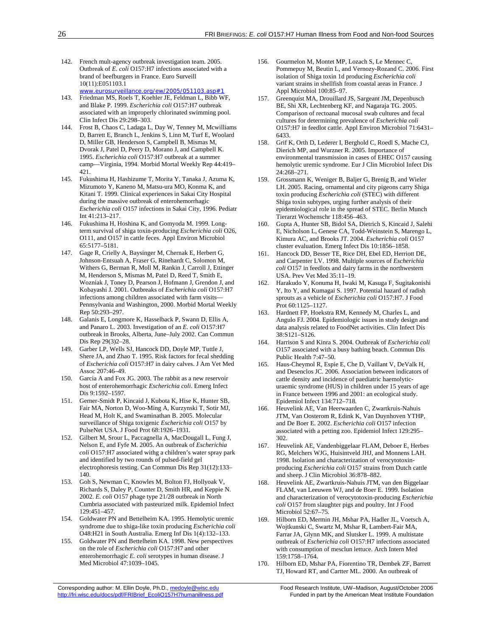- 142. French mult-agency outbreak investigation team. 2005. Outbreak of *E. coli* O157:H7 infections associated with a brand of beefburgers in France. Euro Surveill 10(11):E051103.1 www.eurosurveillance.org/ew/2005/051103.asp#1
- 143. Friedman MS, Roels T, Koehler JE, Feldman L, Bibb WF, and Blake P. 1999. *Escherichia coli* O157:H7 outbreak associated with an improperly chlorinated swimming pool. Clin Infect Dis 29:298–303.
- 144. Frost B, Chaos C, Ladaga L, Day W, Tenney M, Mcwilliams D, Barrett E, Branch L, Jenkins S, Linn M, Turf E, Woolard D, Miller GB, Henderson S, Campbell B, Mismas M, Dvorak J, Patel D, Peery D, Morano J, and Campbell K. 1995. *Escherichia coli* O157:H7 outbreak at a summer camp—Virginia, 1994. Morbid Mortal Weekly Rep 44:419– 421.
- 145. Fukushima H, Hashizume T, Morita Y, Tanaka J, Azuma K, Mizumoto Y, Kaneno M, Matsu-ura MO, Konma K, and Kitani T. 1999. Clinical experiences in Sakai City Hospital during the massive outbreak of enterohemorrhagic *Escherichia coli* O157 infections in Sakai City, 1996. Pediatr Int 41:213–217.
- 146. Fukushima H, Hoshina K, and Gomyoda M. 1999. Longterm survival of shiga toxin-producing *Escherichia coli* O26, O111, and O157 in cattle feces. Appl Environ Microbiol 65:5177–5181.
- 147. Gage R, Crielly A, Baysinger M, Chernak E, Herbert G, Johnson-Entsuah A, Fraser G, Rinehardt C, Solomon M, Withers G, Berman R, Moll M, Rankin J, Carroll J, Ettinger M, Henderson S, Mismas M, Patel D, Reed T, Smith E, Wozniak J, Toney D, Pearson J, Hofmann J, Grendon J, and Kobayashi J. 2001. Outbreaks of *Escherichia coli* O157:H7 infections among children associated with farm visits— Pennsylvania and Washington, 2000. Morbid Mortal Weekly Rep 50:293–297.
- 148. Galanis E, Longmore K, Hasselback P, Swann D, Ellis A, and Panaro L. 2003. Investigation of an *E. coli* O157:H7 outbreak in Brooks, Alberta, June–July 2002. Can Commun Dis Rep 29(3)2–28.
- 149. Garber LP, Wells SJ, Hancock DD, Doyle MP, Tuttle J, Shere JA, and Zhao T. 1995. Risk factors for fecal shedding of *Escherichia coli* O157:H7 in dairy calves. J Am Vet Med Assoc 207:46–49.
- 150. Garcia A and Fox JG. 2003. The rabbit as a new reservoir host of enterohemorrhagic *Escherichia coli*. Emerg Infect Dis 9:1592–1597.
- 151. Gerner-Smidt P, Kincaid J, Kubota K, Hise K, Hunter SB, Fair MA, Norton D, Woo-Ming A, Kurzynski T, Sotir MJ, Head M, Holt K, and Swaminathan B. 2005. Molecular surveillance of Shiga toxigenic *Escherichia coli* O157 by PulseNet USA. J Food Prot 68:1926–1931.
- 152. Gilbert M, Srour L, Paccagnella A, MacDougall L, Fung J, Nelson E, and Fyfe M. 2005. An outbreak of *Escherichia coli* O157:H7 associated withg a children's water spray park and identified by two rounds of pulsed-field gel electrophoresis testing. Can Commun Dis Rep 31(12):133– 140.
- 153. Goh S, Newman C, Knowles M, Bolton FJ, Hollyoak V, Richards S, Daley P, Counter D, Smith HR, and Keppie N. 2002. *E. coli* O157 phage type 21/28 outbreak in North Cumbria associated with pasteurized milk. Epidemiol Infect 129:451–457.
- 154. Goldwater PN and Bettelheim KA. 1995. Hemolytic uremic syndrome due to shiga-like toxin producing *Escherichia coli* O48:H21 in South Australia. Emerg Inf Dis 1(4):132–133.
- 155. Goldwater PN and Bettelheim KA. 1998. New perspectives on the role of *Escherichia coli* O157:H7 and other enterohemorrhagic *E. coli* serotypes in human disease. J Med Microbiol 47:1039–1045.
- 156. Gourmelon M, Montet MP, Lozach S, Le Mennec C, Pommepuy M, Beutin L, and Vernozy-Rozand C. 2006. First isolation of Shiga toxin 1d producing *Escherichia coli* variant strains in shellfish from coastal areas in France. J Appl Microbiol 100:85–97.
- 157. Greenquist MA, Drouillard JS, Sargeant JM, Depenbusch BE, Shi XR, Lechtenberg KF, and Nagaraja TG. 2005. Comparison of rectoanal mucosal swab cultures and fecal cultures for determining prevalence of *Escherichia coli* O157:H7 in feedlot cattle. Appl Environ Microbiol 71:6431– 6433.
- 158. Grif K, Orth D, Lederer I, Berghold C, Roedl S, Mache CJ, Dierich MP, and Wurzner R. 2005. Importance of environmental transmission in cases of EHEC O157 causing hemolytic uremic syndrome. Eur J Clin Microbiol Infect Dis 24:268–271.
- 159. Grossmann K, Weniger B, Baljer G, Brenig B, and Wieler LH. 2005. Racing, ornamental and city pigeons carry Shiga toxin producing *Escherichia coli* (STEC) with different Shiga toxin subtypes, urging further analysis of their epidemiological role in the spread of STEC. Berlin Munch Tierarzt Wochenschr 118:456–463.
- 160. Gupta A, Hunter SB, Bidol SA, Dietrich S, Kincaid J, Salehi E, Nicholson L, Genese CA, Todd-Weinstein S, Marengo L, Kimura AC, and Brooks JT. 2004. *Escherichia coli* O157 cluster evaluation. Emerg Infect Dis 10:1856–1858.
- 161. Hancock DD, Besser TE, Rice DH, Ebel ED, Herriott DE, and Carpenter LV. 1998. Multiple sources of *Escherichia coli* O157 in feedlots and dairy farms in the northwestern USA. Prev Vet Med 35:11–19.
- 162. Harakudo Y, Konuma H, Iwaki M, Kasuga F, Sugitakonishi Y, Ito Y, and Kumagai S. 1997. Potential hazard of radish sprouts as a vehicle of *Escherichia coli* O157:H7. J Food Prot 60:1125–1127.
- 163. Hardnett FP, Hoekstra RM, Kennedy M, Charles L, and Angulo FJ. 2004. Epidemiologic issues in study design and data analysis related to FoodNet activities. Clin Infect Dis 38:S121–S126.
- 164. Harrison S and Kinra S. 2004. Outbreak of *Escherichia coli* O157 associated with a busy bathing beach. Commun Dis Public Health 7:47–50.
- 165. Haus-Cheymol R, Espie E, Che D, Vaillant V, DeValk H, and Desenclos JC. 2006. Association between indicators of cattle density and incidence of paediatric haemolyticuraemic syndrome (HUS) in children under 15 years of age in France between 1996 and 2001: an ecological study. Epidemiol Infect 134:712–718.
- 166. Heuvelink AE, Van Heerwaarden C, Zwartkruis-Nahuis JTM, Van Oosterom R, Edink K, Van Duynhoven YTHP, and De Boer E. 2002. *Escherichia coli* O157 infection associated with a petting zoo. Epidemiol Infect 129:295– 302.
- 167. Heuvelink AE, Vandenbiggelaar FLAM, Deboer E, Herbes RG, Melchers WJG, Huisintveld JHJ, and Monnens LAH. 1998. Isolation and characterization of verocytotoxinproducing *Escherichia coli* O157 strains from Dutch cattle and sheep. J Clin Microbiol 36:878–882.
- 168. Heuvelink AE, Zwartkruis-Nahuis JTM, van den Biggelaar FLAM, van Leeuwen WJ, and de Boer E. 1999. Isolation and characterization of verocytotoxin-producing *Escherichia coli* O157 from slaughter pigs and poultry. Int J Food Microbiol 52:67–75.
- Hilborn ED, Mermin JH, Mshar PA, Hadler JL, Voetsch A, Wojtkunski C, Swartz M, Mshar R, Lambert-Fair MA, Farrar JA, Glynn MK, and Slutsker L. 1999. A multistate outbreak of *Escherichia coli* O157:H7 infections associated with consumption of mesclun lettuce. Arch Intern Med 159:1758–1764.
- 170. Hilborn ED, Mshar PA, Fiorentino TR, Dembek ZF, Barrett TJ, Howard RT, and Cartter ML. 2000. An outbreak of

http://fri.wisc.edu/docs/pdf/FRIBrief\_EcoliO157H7humanillness.pdf Funded in part by the American Meat Institute Foundation

Corresponding author: M. Ellin Doyle, Ph.D., medoyle@wisc.edu Food Research Institute, UW-Madison, August/October 2006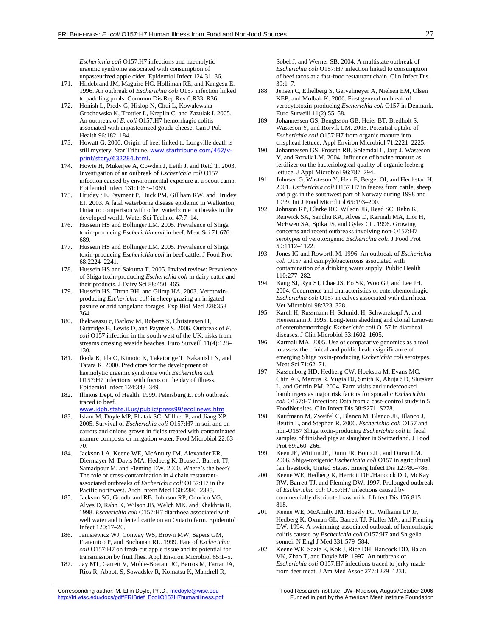*Escherichia coli* O157:H7 infections and haemolytic uraemic syndrome associated with consumption of unpasteurized apple cider. Epidemiol Infect 124:31–36.

- 171. Hildebrand JM, Maguire HC, Holliman RE, and Kangesu E. 1996. An outbreak of *Escherichia coli* O157 infection linked to paddling pools. Commun Dis Rep Rev 6:R33–R36.
- 172. Honish L, Predy G, Hislop N, Chui L, Kowalewska-Grochowska K, Trottier L, Kreplin C, and Zazulak I. 2005. An outbreak of *E. coli* O157:H7 hemorrhagic colitis associated with unpasteurized gouda cheese. Can J Pub Health 96:182–184.
- 173. Howatt G. 2006. Origin of beef linked to Longville death is still mystery. Star Tribune. www.startribune.com/462/vprint/story/632284.html.
- 174. Howie H, Mukerjee A, Cowden J, Leith J, and Reid T. 2003. Investigation of an outbreak of *Escherichia coli* O157 infection caused by environmental exposure at a scout camp. Epidemiol Infect 131:1063–1069.
- 175. Hrudey SE, Payment P, Huck PM, Gillham RW, and Hrudey EJ. 2003. A fatal waterborne disease epidemic in Walkerton, Ontario: comparison with other waterborne outbreaks in the developed world. Water Sci Technol 47:7–14.
- 176. Hussein HS and Bollinger LM. 2005. Prevalence of Shiga toxin-producing *Escherichia coli* in beef. Meat Sci 71:676– 689.
- 177. Hussein HS and Bollinger LM. 2005. Prevalence of Shiga toxin-producing *Escherichia coli* in beef cattle. J Food Prot 68:2224–2241.
- 178. Hussein HS and Sakuma T. 2005. Invited review: Prevalence of Shiga toxin-producing *Escherichia coli* in dairy cattle and their products. J Dairy Sci 88:450–465.
- 179. Hussein HS, Thran BH, and Glimp HA. 2003. Verotoxinproducing *Escherichia coli* in sheep grazing an irrigated pasture or arid rangeland forages. Exp Biol Med 228:358– 364.
- 180. Ihekweazu c, Barlow M, Roberts S, Christensen H, Guttridge B, Lewis D, and Paynter S. 2006. Outbreak of *E. coli* O157 infection in the south west of the UK: risks from streams crossing seaside beaches. Euro Surveill 11(4):128– 130.
- 181. Ikeda K, Ida O, Kimoto K, Takatorige T, Nakanishi N, and Tatara K. 2000. Predictors for the development of haemolytic uraemic syndrome with *Escherichia coli* O157:H7 infections: with focus on the day of illness. Epidemiol Infect 124:343–349.
- 182. Illinois Dept. of Health. 1999. Petersburg *E. coli* outbreak traced to beef.
- www.idph.state.il.us/public/press99/ecolinews.htm 183. Islam M, Doyle MP, Phatak SC, Millner P, and Jiang XP.
- 2005. Survival of *Escherichia coli* O157:H7 in soil and on carrots and onions grown in fields treated with contaminated manure composts or irrigation water. Food Microbiol 22:63– 70.
- 184. Jackson LA, Keene WE, McAnulty JM, Alexander ER, Diermayer M, Davis MA, Hedberg K, Boase J, Barrett TJ, Samadpour M, and Fleming DW. 2000. Where's the beef? The role of cross-contamination in 4 chain restaurantassociated outbreaks of *Escherichia coli* O157:H7 in the Pacific northwest. Arch Intern Med 160:2380–2385.
- 185. Jackson SG, Goodbrand RB, Johnson RP, Odorico VG, Alves D, Rahn K, Wilson JB, Welch MK, and Khakhria R. 1998. *Escherichia coli* O157:H7 diarrhoea associated with well water and infected cattle on an Ontario farm. Epidemiol Infect 120:17–20.
- 186. Janisiewicz WJ, Conway WS, Brown MW, Sapers GM, Fratamico P, and Buchanan RL. 1999. Fate of *Escherichia coli* O157:H7 on fresh-cut apple tissue and its potential for transmission by fruit flies. Appl Environ Microbiol 65:1–5.
- 187. Jay MT, Garrett V, Mohle-Boetani JC, Barros M, Farrar JA, Rios R, Abbott S, Sowadsky R, Komatsu K, Mandrell R,

Sobel J, and Werner SB. 2004. A multistate outbreak of *Escherichia coli* O157:H7 infection linked to consumption of beef tacos at a fast-food restaurant chain. Clin Infect Dis  $39.1 - 7$ 

- 188. Jensen C, Ethelberg S, Gervelmeyer A, Nielsen EM, Olsen KEP, and Molbak K. 2006. First general outbreak of verocytotoxin-producing *Escherichia coli* O157 in Denmark. Euro Surveill 11(2):55–58.
- 189. Johannessen GS, Bengtsson GB, Heier BT, Bredholt S, Wasteson Y, and Rorvik LM. 2005. Potential uptake of *Escherichia coli* O157:H7 from organic manure into crisphead lettuce. Appl Environ Microbiol 71:2221–2225.
- 190. Johannessen GS, Froseth RB, Solemdal L, Jarp J, Wasteson Y, and Rorvik LM. 2004. Influence of bovine manure as fertilizer on the bacteriological quality of organic Iceberg lettuce. J Appl Microbiol 96:787–794.
- 191. Johnsen G, Wasteson Y, Heir E, Berget OI, and Herikstad H. 2001. *Escherichia coli* O157 H7 in faeces from cattle, sheep and pigs in the southwest part of Norway during 1998 and 1999. Int J Food Microbiol 65:193–200.
- 192. Johnson RP, Clarke RC, Wilson JB, Read SC, Rahn K, Renwick SA, Sandhu KA, Alves D, Karmali MA, Lior H, McEwen SA, Spika JS, and Gyles CL. 1996. Growing concerns and recent outbreaks involving non-O157:H7 serotypes of verotoxigenic *Escherichia coli*. J Food Prot 59:1112–1122.
- 193. Jones IG and Roworth M. 1996. An outbreak of *Escherichia coli* O157 and campylobacteriosis associated with contamination of a drinking water supply. Public Health 110:277–282.
- 194. Kang SJ, Ryu SJ, Chae JS, Eo SK, Woo GJ, and Lee JH. 2004. Occurrence and characteristics of enterohemorrhagic *Escherichia coli* O157 in calves associated with diarrhoea. Vet Microbiol 98:323–328.
- 195. Karch H, Russmann H, Schmidt H, Schwarzkopf A, and Heesemann J. 1995. Long-term shedding and clonal turnover of enterohemorrhagic *Escherichia coli* O157 in diarrheal diseases. J Clin Microbiol 33:1602–1605.
- 196. Karmali MA. 2005. Use of comparative genomics as a tool to assess the clinical and public health significance of emerging Shiga toxin-producing *Escherichia coli* serotypes. Meat Sci 71:62–71.
- 197. Kassenborg HD, Hedberg CW, Hoekstra M, Evans MC, Chin AE, Marcus R, Vugia DJ, Smith K, Ahuja SD, Slutsker L, and Griffin PM. 2004. Farm visits and undercooked hamburgers as major risk factors for sporadic *Escherichia coli* O157:H7 infection: Data from a case-control study in 5 FoodNet sites. Clin Infect Dis 38:S271–S278.
- 198. Kaufmann M, Zweifel C, Blanco M, Blanco JE, Blanco J, Beutin L, and Stephan R. 2006. *Escherichia coli* O157 and non-O157 Shiga toxin-producing *Escherichia coli* in fecal samples of finished pigs at slaughter in Switzerland. J Food Prot 69:260–266.
- 199. Keen JE, Wittum JE, Dunn JR, Bono JL, and Durso LM. 2006. Shiga-toxigenic *Escherichia coli* O157 in agricultural fair livestock, United States. Emerg Infect Dis 12:780–786.
- 200. Keene WE, Hedberg K, Herriott DE./Hancock DD, McKay RW, Barrett TJ, and Fleming DW. 1997. Prolonged outbreak of *Escherichia coli* O157:H7 infections caused by commercially distributed raw milk. J Infect Dis 176:815– 818.
- 201. Keene WE, McAnulty JM, Hoesly FC, Williams LP Jr, Hedberg K, Oxman GL, Barrett TJ, Pfaller MA, and Fleming DW. 1994. A swimming-associated outbreak of hemorrhagic colitis caused by *Escherichia coli* O157:H7 and Shigella sonnei. N Engl J Med 331:579–584.
- Keene WE, Sazie E, Kok J, Rice DH, Hancock DD, Balan VK, Zhao T, and Doyle MP. 1997. An outbreak of *Escherichia coli* O157:H7 infections traced to jerky made from deer meat. J Am Med Assoc 277:1229–1231.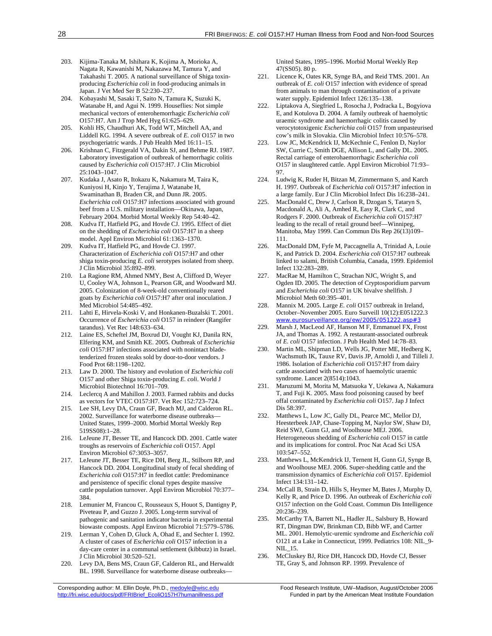203. Kijima-Tanaka M, Ishihara K, Kojima A, Morioka A, Nagata R, Kawanishi M, Nakazawa M, Tamura Y, and Takahashi T. 2005. A national surveillance of Shiga toxinproducing *Escherichia coli* in food-producing animals in Japan. J Vet Med Ser B 52:230–237.

 204. Kobayashi M, Sasaki T, Saito N, Tamura K, Suzuki K, Watanabe H, and Agui N. 1999. Houseflies: Not simple mechanical vectors of enterohemorrhagic *Escherichia coli* O157:H7. Am J Trop Med Hyg 61:625–629.

- 205. Kohli HS, Chaudhuri AK, Todd WT, Mitchell AA, and Liddell KG. 1994. A severe outbreak of *E. coli* O157 in two psychogeriatric wards. J Pub Health Med 16:11–15.
- 206. Krishnan C, Fitzgerald VA, Dakin SJ, and Behme RJ. 1987. Laboratory investigation of outbreak of hemorrhagic colitis caused by *Escherichia coli* O157:H7. J Clin Microbiol 25:1043–1047.
- 207. Kudaka J, Asato R, Itokazu K, Nakamura M, Taira K, Kuniyosi H, Kinjo Y, Terajima J, Watanabe H, Swaminathan B, Braden CR, and Dunn JR. 2005. *Escherichia coli* O157:H7 infections associated with ground beef from a U.S. military installation—Okinawa, Japan, February 2004. Morbid Mortal Weekly Rep 54:40–42.
- 208. Kudva IT, Hatfield PG, and Hovde CJ. 1995. Effect of diet on the shedding of *Escherichia coli* O157:H7 in a sheep model. Appl Environ Microbiol 61:1363–1370.
- 209. Kudva IT, Hatfield PG, and Hovde CJ. 1997. Characterization of *Escherichia coli* O157:H7 and other shiga toxin-producing *E. coli* serotypes isolated from sheep. J Clin Microbiol 35:892–899.
- 210. La Ragione RM, Ahmed NMY, Best A, Clifford D, Weyer U, Cooley WA, Johnson L, Pearson GR, and Woodward MJ. 2005. Colonization of 8-week-old conventionally reared goats by *Escherichia coli* O157:H7 after oral inoculation. J Med Microbiol 54:485–492.
- 211. Lahti E, Hirvela-Koski V, and Honkanen-Buzalski T. 2001. Occurrence of *Escherichia coli* O157 in reindeer (Rangifer tarandus). Vet Rec 148:633–634.
- 212. Laine ES, Scheftel JM, Boxrud DJ, Vought KJ, Danila RN, Elfering KM, and Smith KE. 2005. Outbreak of *Escherichia coli* O157:H7 infections associated with nonintact bladetenderized frozen steaks sold by door-to-door vendors. J Food Prot 68:1198–1202.
- 213. Law D. 2000. The history and evolution of *Escherichia coli* O157 and other Shiga toxin-producing *E. coli*. World J Microbiol Biotechnol 16:701–709.
- 214. Leclercq A and Mahillon J. 2003. Farmed rabbits and ducks as vectors for VTEC O157:H7. Vet Rec 152:723–724.
- 215. Lee SH, Levy DA, Craun GF, Beach MJ, and Calderon RL. 2002. Surveillance for waterborne disease outbreaks— United States, 1999–2000. Morbid Mortal Weekly Rep 519SS08):1–28.
- 216. LeJeune JT, Besser TE, and Hancock DD. 2001. Cattle water troughs as reservoirs of *Escherichia coli* O157. Appl Environ Microbiol 67:3053–3057.
- 217. LeJeune JT, Besser TE, Rice DH, Berg JL, Stilborn RP, and Hancock DD. 2004. Longitudinal study of fecal shedding of *Escherichia coli* O157:H7 in feedlot cattle: Predominance and persistence of specific clonal types despite massive cattle population turnover. Appl Environ Microbiol 70:377– 384.
- 218. Lemunier M, Francou C, Rousseaux S, Houot S, Dantigny P, Piveteau P, and Guzzo J. 2005. Long-term survival of pathogenic and sanitation indicator bacteria in experimental biowaste composts. Appl Environ Microbiol 71:5779–5786.
- 219. Lerman Y, Cohen D, Gluck A, Ohad E, and Sechter I. 1992. A cluster of cases of *Escherichia coli* O157 infection in a day-care center in a communal settlement (kibbutz) in Israel. J Clin Microbiol 30:520–521.
- 220. Levy DA, Bens MS, Craun GF, Calderon RL, and Herwaldt BL. 1998. Surveillance for waterborne disease outbreaks—

http://fri.wisc.edu/docs/pdf/FRIBrief\_EcoliO157H7humanillness.pdf Funded in part by the American Meat Institute Foundation

United States, 1995–1996. Morbid Mortal Weekly Rep 47(SS05). 80 p.

- 221. Licence K, Oates KR, Synge BA, and Reid TMS. 2001. An outbreak of *E. coli* O157 infection with evidence of spread from animals to man through contamination of a private water supply. Epidemiol Infect 126:135–138.
- 222. Liptakova A, Siegfried L, Rosocha J, Podracka L, Bogyiova E, and Kotulova D. 2004. A family outbreak of haemolytic uraemic syndrome and haemorrhagic colitis caused by verocytotoxigenic *Escherichia coli* O157 from unpasteurised cow's milk in Slovakia. Clin Microbiol Infect 10:576–578.
- 223. Low JC, McKendrick IJ, McKechnie C, Fenlon D, Naylor SW, Currie C, Smith DGE, Allison L, and Gally DL. 2005. Rectal carriage of enterohaemorrhagic *Escherichia coli* O157 in slaughtered cattle. Appl Environ Microbiol 71:93– 97.
- 224. Ludwig K, Ruder H, Bitzan M, Zimmermann S, and Karch H. 1997. Outbreak of *Escherichia coli* O157:H7 infection in a large family. Eur J Clin Microbiol Infect Dis 16:238–241.
- 225. MacDonald C, Drew J, Carlson R, Dzogan S, Tataryn S, Macdonald A, Ali A, Amhed R, Easy R, Clark C, and Rodgers F. 2000. Outbreak of *Escherichia coli* O157:H7 leading to the recall of retail ground beef—Winnipeg, Manitoba, May 1999. Can Commun Dis Rep 26(13)109– 111.
- 226. MacDonald DM, Fyfe M, Paccagnella A, Trinidad A, Louie K, and Patrick D. 2004. *Escherichia coli* O157:H7 outbreak linked to salami, British Columbia, Canada, 1999. Epidemiol Infect 132:283–289.
- 227. MacRae M, Hamilton C, Strachan NJC, Wright S, and Ogden ID. 2005. The detection of Cryptosporidium parvum and *Escherichia coli* O157 in UK bivalve shellfish. J Microbiol Meth 60:395–401.
- 228. Mannix M. 2005. Large *E. coli* O157 outbreak in Ireland, October–November 2005. Euro Surveill 10(12):E051222.3 www.eurosurveillance.org/ew/2005/051222.asp#3
- 229. Marsh J, MacLeod AF, Hanson M F, Emmanuel FX, Frost JA, and Thomas A. 1992. A restaurant-associated outbreak of *E. coli* O157 infection. J Pub Health Med 14:78–83.
- 230. Martin ML, Shipman LD, Wells JG, Potter ME, Hedberg K, Wachsmuth IK, Tauxe RV, Davis JP, Arnoldi J, and Tilleli J. 1986. Isolation of *Escherichia coli* O157:H7 from dairy cattle associated with two cases of haemolytic uraemic syndrome. Lancet 2(8514):1043.
- 231. Maruzumi M, Morita M, Matsuoka Y, Uekawa A, Nakamura T, and Fuji K. 2005. Mass food poisoning caused by beef offal contaminated by *Escherichia coli* O157. Jap J Infect Dis 58:397.
- 232. Matthews L, Low JC, Gally DL, Pearce MC, Mellor DJ, Heesterbeek JAP, Chase-Topping M, Naylor SW, Shaw DJ, Reid SWJ, Gunn GJ, and Woolhouse MEJ. 2006. Heterogeneous shedding of *Escherichia coli* O157 in cattle and its implications for control. Proc Nat Acad Sci USA 103:547–552.
- 233. Matthews L, McKendrick IJ, Ternent H, Gunn GJ, Synge B, and Woolhouse MEJ. 2006. Super-shedding cattle and the transmission dynamics of *Escherichia coli* O157. Epidemiol Infect 134:131–142.
- 234. McCall B, Strain D, Hills S, Heymer M, Bates J, Murphy D, Kelly R, and Price D. 1996. An outbreak of *Escherichia coli* O157 infection on the Gold Coast. Commun Dis Intelligence 20:236–239.
- 235. McCarthy TA, Barrett NL, Hadler JL, Salsbury B, Howard RT, Dingman DW, Brinkman CD, Bibb WF, and Cartter ML. 2001. Hemolytic-uremic syndrome and *Escherichia coli* O121 at a Lake in Connecticut, 1999. Pediatrics 108: NIL\_9- NIL\_15.
- 236. McCluskey BJ, Rice DH, Hancock DD, Hovde CJ, Besser TE, Gray S, and Johnson RP. 1999. Prevalence of

Corresponding author: M. Ellin Doyle, Ph.D., medoyle@wisc.edu Food Research Institute, UW-Madison, August/October 2006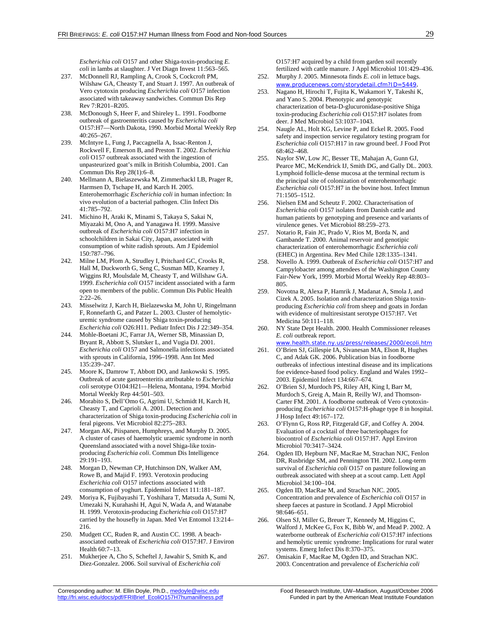*Escherichia coli* O157 and other Shiga-toxin-producing *E. coli* in lambs at slaughter. J Vet Diagn Invest 11:563–565.

- 237. McDonnell RJ, Rampling A, Crook S, Cockcroft PM, Wilshaw GA, Cheasty T, and Stuart J. 1997. An outbreak of Vero cytotoxin producing *Escherichia coli* O157 infection associated with takeaway sandwiches. Commun Dis Rep Rev 7:R201–R205.
- 238. McDonough S, Heer F, and Shireley L. 1991. Foodborne outbreak of gastroenteritis caused by *Escherichia coli* O157:H7—North Dakota, 1990. Morbid Mortal Weekly Rep 40:265–267.
- 239. McIntyre L, Fung J, Paccagnella A, Issac-Renton J, Rockwell F, Emerson B, and Preston T. 2002. *Escherichia coli* O157 outbreak associated with the ingestion of unpasteurized goat's milk in British Columbia, 2001. Can Commun Dis Rep 28(1):6–8.
- 240. Mellmann A, Bielaszewska M, Zimmerhackl LB, Prager R, Harmsen D, Tschape H, and Karch H. 2005. Enterohemorrhagic *Escherichia coli* in human infection: In vivo evolution of a bacterial pathogen. Clin Infect Dis 41:785–792.
- 241. Michino H, Araki K, Minami S, Takaya S, Sakai N, Miyazaki M, Ono A, and Yanagawa H. 1999. Massive outbreak of *Escherichia coli* O157:H7 infection in schoolchildren in Sakai City, Japan, associated with consumption of white radish sprouts. Am J Epidemiol 150:787–796.
- 242. Milne LM, Plom A, Strudley I, Pritchard GC, Crooks R, Hall M, Duckworth G, Seng C, Susman MD, Kearney J, Wiggins RJ, Moulsdale M, Cheasty T, and Willshaw GA. 1999. *Escherichia coli* O157 incident associated with a farm open to members of the public. Commun Dis Public Health 2:22–26.
- 243. Misselwitz J, Karch H, Bielazewska M, John U, Ringelmann F, Ronnefarth G, and Patzer L. 2003. Cluster of hemolyticuremic syndrome caused by Shiga toxin-producing *Escherichia coli* O26:H11. Pediatr Infect Dis J 22:349–354.
- 244. Mohle-Boetani JC, Farrar JA, Werner SB, Minassian D, Bryant R, Abbott S, Slutsker L, and Vugia DJ. 2001. *Escherichia coli* O157 and Salmonella infections associated with sprouts in California, 1996–1998. Ann Int Med 135:239–247.
- 245. Moore K, Damrow T, Abbott DO, and Jankowski S. 1995. Outbreak of acute gastroenteritis attributable to *Escherichia coli* serotype O104:H21—Helena, Montana, 1994. Morbid Mortal Weekly Rep 44:501–503.
- 246. Morabito S, Dell'Omo G, Agrimi U, Schmidt H, Karch H, Cheasty T, and Caprioli A. 2001. Detection and characterization of Shiga toxin-producing *Escherichia coli* in feral pigeons. Vet Microbiol 82:275–283.
- 247. Morgan AK, Piispanen, Humphreys, and Murphy D. 2005. A cluster of cases of haemolytic uraemic syndrome in north Queensland associated with a novel Shiga-like toxinproducing *Escherichia coli*. Commun Dis Intelligence 29:191–193.
- 248. Morgan D, Newman CP, Hutchinson DN, Walker AM, Rowe B, and Majid F. 1993. Verotoxin producing *Escherichia coli* O157 infections associated with consumption of yoghurt. Epidemiol Infect 111:181–187.
- 249. Moriya K, Fujibayashi T, Yoshihara T, Matsuda A, Sumi N, Umezaki N, Kurahashi H, Agui N, Wada A, and Watanabe H. 1999. Verotoxin-producing *Escherichia coli* O157:H7 carried by the housefly in Japan. Med Vet Entomol 13:214– 216.
- 250. Mudgett CC, Ruden R, and Austin CC. 1998. A beachassociated outbreak of *Escherichia coli* O157:H7. J Environ Health 60:7–13.
- 251. Mukherjee A, Cho S, Scheftel J, Jawahir S, Smith K, and Diez-Gonzalez. 2006. Soil survival of *Escherichia coli*

O157:H7 acquired by a child from garden soil recently fertilized with cattle manure. J Appl Microbiol 101:429–436.

- 252. Murphy J. 2005. Minnesota finds *E. coli* in lettuce bags. www.producenews.com/storydetail.cfm?ID=5449.
- 253. Nagano H, Hirochi T, Fujita K, Wakamori Y, Takeshi K, and Yano S. 2004. Phenotypic and genotypic characterization of beta-D-glucuronidase-positive Shiga toxin-producing *Escherichia coli* O157:H7 isolates from deer. J Med Microbiol 53:1037–1043.
- 254. Naugle AL, Holt KG, Levine P, and Eckel R. 2005. Food safety and inspection service regulatory testing program for *Escherichia coli* O157:H17 in raw ground beef. J Food Prot 68:462–468.
- 255. Naylor SW, Low JC, Besser TE, Mahajan A, Gunn GJ, Pearce MC, McKendrick IJ, Smith DG, and Gally DL. 2003. Lymphoid follicle-dense mucosa at the terminal rectum is the principal site of colonization of enterohemorrhagic *Escherichia coli* O157:H7 in the bovine host. Infect Immun 71:1505–1512.
- 256. Nielsen EM and Scheutz F. 2002. Characterisation of *Escherichia coli* O157 isolates from Danish cattle and human patients by genotyping and presence and variants of virulence genes. Vet Microbiol 88:259–273.
- 257. Notario R, Fain JC, Prado V, Rios M, Borda N, and Gambande T. 2000. Animal reservoir and genotipic characterization of enterohemorrhagic *Escherichia coli* (EHEC) in Argentina. Rev Med Chile 128:1335–1341.
- 258. Novello A. 1999. Outbreak of *Escherichia coli* O157:H7 and Campylobacter among attendees of the Washington County Fair-New York, 1999. Morbid Mortal Weekly Rep 48:803– 805.
- 259. Novotna R, Alexa P, Hamrik J, Madanat A, Smola J, and Cizek A. 2005. Isolation and characterization Shiga toxinproducing *Escherichia coli* from sheep and goats in Jordan with evidence of multiresistant serotype O157:H7. Vet Medicina 50:111–118.
- 260. NY State Dept Health. 2000. Health Commissioner releases *E. coli* outbreak report.
- www.health.state.ny.us/press/releases/2000/ecoli.htm 261. O'Brien SJ, Gillespie IA, Sivanesan MA, Elson R, Hughes C, and Adak GK. 2006. Publication bias in foodborne outbreaks of infectious intestinal disease and its implications foe evidence-based food policy. England and Wales 1992– 2003. Epidemiol Infect 134:667–674.
- 262. O'Brien SJ, Murdoch PS, Riley AH, King I, Barr M, Murdoch S, Greig A, Main R, Reilly WJ, and Thomson-Carter FM. 2001. A foodborne outbreak of Vero cytotoxinproducing *Escherichia coli* O157:H-phage type 8 in hospital. J Hosp Infect 49:167–172.
- 263. O'Flynn G, Ross RP, Fitzgerald GF, and Coffey A. 2004. Evaluation of a cocktail of three bacteriophages for biocontrol of *Escherichia coli* O157:H7. Appl Environ Microbiol 70:3417–3424.
- 264. Ogden ID, Hepburn NF, MacRae M, Strachan NJC, Fenlon DR, Rusbridge SM, and Pennington TH. 2002. Long-term survival of *Escherichia coli* O157 on pasture following an outbreak associated with sheep at a scout camp. Lett Appl Microbiol 34:100–104.
- 265. Ogden ID, MacRae M, and Strachan NJC. 2005. Concentration and prevalence of *Escherichia coli* O157 in sheep faeces at pasture in Scotland. J Appl Microbiol 98:646–651.
- 266. Olsen SJ, Miller G, Breuer T, Kennedy M, Higgins C, Walford J, McKee G, Fox K, Bibb W, and Mead P. 2002. A waterborne outbreak of *Escherichia coli* O157:H7 infections and hemolytic uremic syndrome: Implications for rural water systems. Emerg Infect Dis 8:370–375.
- 267. Omisakin F, MacRae M, Ogden ID, and Strachan NJC. 2003. Concentration and prevalence of *Escherichia coli*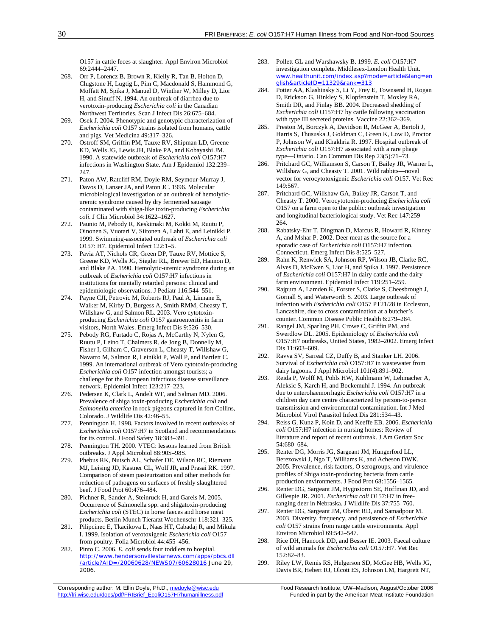O157 in cattle feces at slaughter. Appl Environ Microbiol 69:2444–2447.

- 268. Orr P, Lorencz B, Brown R, Kielly R, Tan B, Holton D, Clugstone H, Lugtig L, Pim C, Macdonald S, Hammond G, Moffatt M, Spika J, Manuel D, Winther W, Milley D, Lior H, and Sinuff N. 1994. An outbreak of diarrhea due to verotoxin-producing *Escherichia coli* in the Canadian Northwest Territories. Scan J Infect Dis 26:675–684.
- 269. Osek J. 2004. Phenotypic and genotypic characterization of *Escherichia coli* O157 strains isolated from humans, cattle and pigs. Vet Medicina 49:317–326.
- 270. Ostroff SM, Griffin PM, Tauxe RV, Shipman LD, Greene KD, Wells JG, Lewis JH, Blake PA, and Kobayashi JM. 1990. A statewide outbreak of *Escherichia coli* O157:H7 infections in Washington State. Am J Epidemiol 132:239– 247.
- 271. Paton AW, Ratcliff RM, Doyle RM, Seymour-Murray J, Davos D, Lanser JA, and Paton JC. 1996. Molecular microbiological investigation of an outbreak of hemolyticuremic syndrome caused by dry fermented sausage contaminated with shiga-like toxin-producing *Escherichia coli*. J Clin Microbiol 34:1622–1627.
- 272. Paunio M, Pebody R, Keskimaki M, Kokki M, Ruutu P, Oinonen S, Vuotari V, Siitonen A, Lahti E, and Leinikki P. 1999. Swimming-associated outbreak of *Escherichia coli* O157: H7. Epidemiol Infect 122:1–5.
- 273. Pavia AT, Nichols CR, Green DP, Tauxe RV, Mottice S, Greene KD, Wells JG, Siegler RL, Brewer ED, Hannon D, and Blake PA. 1990. Hemolytic-uremic syndrome during an outbreak of *Escherichia coli* O157:H7 infections in institutions for mentally retarded persons: clinical and epidemiologic observations. J Pediatr 116:544–551.
- 274. Payne CJI, Petrovic M, Roberts RJ, Paul A, Linnane E, Walker M, Kirby D, Burgess A, Smith RMM, Cheasty T, Willshaw G, and Salmon RL. 2003. Vero cytotoxinproducing *Escherichia coli* O157 gastroenteritis in farm visitors, North Wales. Emerg Infect Dis 9:526–530.
- 275. Pebody RG, Furtado C, Rojas A, McCarthy N, Nylen G, Ruutu P, Leino T, Chalmers R, de Jong B, Donnelly M, Fisher I, Gilham C, Graverson L, Cheasty T, Willshaw G, Navarro M, Salmon R, Leinikki P, Wall P, and Bartlett C. 1999. An international outbreak of Vero cytotoxin-producing *Escherichia coli* O157 infection amongst tourists; a challenge for the European infectious disease surveillance network. Epidemiol Infect 123:217–223.
- 276. Pedersen K, Clark L, Andelt WF, and Salman MD. 2006. Prevalence of shiga toxin-producing *Escherichia coli* and *Salmonella enterica* in rock pigeons captured in fort Collins, Colorado. J Wildlife Dis 42:46–55.
- 277. Pennington H. 1998. Factors involved in recent outbreaks of *Escherichia coli* O157:H7 in Scotland and recommendations for its control. J Food Safety 18:383–391.
- 278. Pennington TH. 2000. VTEC: lessons learned from British outbreaks. J Appl Microbiol 88:90S–98S.
- 279. Phebus RK, Nutsch AL, Schafer DE, Wilson RC, Riemann MJ, Leising JD, Kastner CL, Wolf JR, and Prasai RK. 1997. Comparison of steam pasteurization and other methods for reduction of pathogens on surfaces of freshly slaughtered beef. J Food Prot 60:476–484.
- 280. Pichner R, Sander A, Steinruck H, and Gareis M. 2005. Occurrence of Salmonella spp. and shigatoxin-producing *Escherichia coli* (STEC) in horse faeces and horse meat products. Berlin Munch Tierarzt Wochenschr 118:321–325.
- 281. Pilipcinec E, Tkacikova L, Naas HT, Cabadaj R, and Mikula I. 1999. Isolation of verotoxigenic *Escherichia coli* O157 from poultry. Folia Microbiol 44:455–456.
- 282. Pinto C. 2006. *E. coli* sends four toddlers to hospital. http://www.hendersonvillestarnews.com/apps/pbcs.dll /article?AID=/20060628/NEWS07/60628016 June 29, 2006.
- 283. Pollett GL and Warshawsky B. 1999. *E. coli* O157:H7 investigation complete. Middlesex-London Health Unit. www.healthunit.com/index.asp?mode=article&lang=en glish&articleID=11329&rank=313
- 284. Potter AA, Klashinsky S, Li Y, Frey E, Townsend H, Rogan D, Erickson G, Hinkley S, Klopfenstein T, Moxley RA, Smith DR, and Finlay BB. 2004. Decreased shedding of *Escherichia coli* O157:H7 by cattle following vaccination with type III secreted proteins. Vaccine 22:362–369.
- 285. Preston M, Borczyk A, Davidson R, McGeer A, Bertoli J, Harris S, Thususka J, Goldman C, Green K, Low D, Proctor P, Johnson W, and Khakhria R. 1997. Hospital outbreak of *Escherichia coli* O157:H7 associated with a rare phage type—Ontario. Can Commun Dis Rep 23(5):71–73.
- 286. Pritchard GC, Williamson S, Carson T, Bailey JR, Warner L, Willshaw G, and Cheasty T. 2001. Wild rabbits—novel vector for verocytotoxigenic *Escherichia coli* O157. Vet Rec 149:567.
- 287. Pritchard GC, Willshaw GA, Bailey JR, Carson T, and Cheasty T. 2000. Verocytotoxin-producing *Escherichia coli* O157 on a farm open to the public: outbreak investigation and longitudinal bacteriological study. Vet Rec 147:259– 264.
- 288. Rabatsky-Ehr T, Dingman D, Marcus R, Howard R, Kinney A, and Mshar P. 2002. Deer meat as the source for a sporadic case of *Escherichia coli* O157:H7 infection, Connecticut. Emerg Infect Dis 8:525–527.
- 289. Rahn K, Renwick SA, Johnson RP, Wilson JB, Clarke RC, Alves D, McEwen S, Lior H, and Spika J. 1997. Persistence of *Escherichia coli* O157:H7 in dairy cattle and the dairy farm environment. Epidemiol Infect 119:251–259.
- 290. Rajpura A, Lamden K, Forster S, Clarke S, Cheesbrough J, Gornall S, and Waterworth S. 2003. Large outbreak of infection with *Escherichia coli* O157 PT21/28 in Eccleston, Lancashire, due to cross contamination at a butcher's counter. Commun Disease Public Health 6:279–284.
- 291. Rangel JM, Sparling PH, Crowe C, Griffin PM, and Swerdlow DL. 2005. Epidemiology of *Escherichia coli* O157:H7 outbreaks, United States, 1982–2002. Emerg Infect Dis 11:603–609.
- 292. Ravva SV, Sarreal CZ, Duffy B, and Stanker LH. 2006. Survival of *Escherichia coli* O157:H7 in wastewater from dairy lagoons. J Appl Microbiol 101(4):891–902.
- 293. Reida P, Wolff M, Pohls HW, Kuhlmann W, Lehmacher A, Aleksic S, Karch H, and Bockemuhl J. 1994. An outbreak due to enterohaemorrhagic *Escherichia coli* O157:H7 in a children day care centre characterized by person-to-person transmission and environmental contamination. Int J Med Microbiol Virol Parasitol Infect Dis 281:534–43.
- 294. Reiss G, Kunz P, Koin D, and Keeffe EB. 2006. *Escherichia coli* O157:H7 infection in nursing homes: Review of literature and report of recent outbreak. J Am Geriatr Soc 54:680–684.
- 295. Renter DG, Morris JG, Sargeant JM, Hungerford LL, Berezowski J, Ngo T, Williams K, and Acheson DWK. 2005. Prevalence, risk factors, O serogroups, and virulence profiles of Shiga toxin-producing bacteria from cattle production environments. J Food Prot 68:1556–1565.
- 296. Renter DG, Sargeant JM, Hygnstorm SE, Hoffman JD, and Gillespie JR. 2001. *Escherichia coli* O157:H7 in freeranging deer in Nebraska. J Wildlife Dis 37:755–760.
- 297. Renter DG, Sargeant JM, Oberst RD, and Samadpour M. 2003. Diversity, frequency, and persistence of *Escherichia coli* O157 strains from range cattle environments. Appl Environ Microbiol 69:542–547.
- Rice DH, Hancock DD, and Besser IE. 2003. Faecal culture of wild animals for *Escherichia coli* O157:H7. Vet Rec 152:82–83.
- 299. Riley LW, Remis RS, Helgerson SD, McGee HB, Wells JG, Davis BR, Hebert RJ, Olcott ES, Johnson LM, Hargrett NT,

Corresponding author: M. Ellin Doyle, Ph.D., medoyle@wisc.edu Food Research Institute, UW-Madison, August/October 2006 http://fri.wisc.edu/docs/pdf/FRIBrief\_EcoliO157H7humanillness.pdf Funded in part by the American Meat Institute Foundation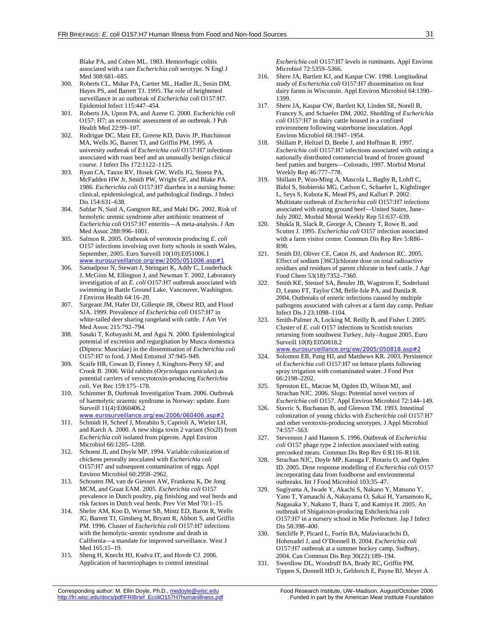Blake PA, and Cohen ML. 1983. Hemorrhagic colitis associated with a rare *Escherichia coli* serotype. N Engl J Med 308:681–685.

- 300. Roberts CL, Mshar PA, Cartter ML, Hadler JL, Sosin DM, Hayes PS, and Barrett TJ. 1995. The role of heightened surveillance in an outbreak of *Escherichia coli* O157:H7. Epidemiol Infect 115:447–454.
- 301. Roberts JA, Upton PA, and Azene G. 2000. *Escherichia coli* O157: H7; an economic assessment of an outbreak. J Pub Health Med 22:99–107.
- 302. Rodrigue DC, Mast EE, Greene KD, Davis JP, Hutchinson MA, Wells JG, Barrett TJ, and Griffin PM. 1995. A university outbreak of *Escherichia coli* O157:H7 infections associated with roast beef and an unusually benign clinical course. J Infect Dis 172:1122–1125.
- 303. Ryan CA, Tauxe RV, Hosek GW, Wells JG, Stoesz PA, McFadden HW Jr, Smith PW, Wright GF, and Blake PA. 1986. *Escherichia coli* O157:H7 diarrhea in a nursing home: clinical, epidemiological, and pathological findings. J Infect Dis 154:631–638.
- 304. Safdar N, Said A, Gangnon RE, and Maki DG. 2002. Risk of hemolytic uremic syndrome after antibiotic treatment of *Escherichia coli* O157:H7 enteritis—A meta-analysis. J Am Med Assoc 288:996–1001.
- 305. Salmon R. 2005. Outbreak of verotoxin producing *E. coli* O157 infections involving over forty schools in south Wales, September, 2005. Euro Surveill 10(10):E051006.1 www.eurosurveillance.org/ew/2005/051006.asp#1
- 306. Samadpour N, Stewart J, Steingart K, Addy C, Louderback J, McGinn M, Ellington J, and Newman T. 2002. Laboratory investigation of an *E. coli* O157:H7 outbreak associated with swimming in Battle Ground Lake, Vancouver, Washington. J Environ Health 64:16–20.
- 307. Sargeant JM, Hafer DJ, Gillespie JR, Oberst RD, and Flood SJA. 1999. Prevalence of *Escherichia coli* O157:H7 in white-tailed deer sharing rangeland with cattle. J Am Vet Med Assoc 215:792–794.
- 308. Sasaki T, Kobayashi M, and Agui N. 2000. Epidemiological potential of excretion and regurgitation by Musca domestica (Diptera: Muscidae) in the dissemination of *Escherichia coli* O157:H7 to food. J Med Entomol 37:945–949.
- 309. Scaife HR, Cowan D, Finney J, Kinghorn-Perry SF, and Crook B. 2006. Wild rabbits (*Oryctolagus cuniculus*) as potential carriers of verocytotoxin-producing *Escherichia coli*. Vet Rec 159:175–178.
- 310. Schimmer B, Outbreak Investigation Team. 2006. Outbreak of haemolytic uraemic syndrome in Norway: update. Euro Surveill 11(4):E060406.2 www.eurosurveillance.org/ew/2006/060406.asp#2
- 311. Schmidt H, Scheef J, Morabito S, Caprioli A, Wieler LH, and Karch A. 2000. A new shiga toxin 2 variant (Stx2f) from *Escherichia coli* isolated from pigeons. Appl Environ Microbiol 66:1205–1208.
- 312. Schoeni JL and Doyle MP. 1994. Variable colonization of chickens perorally inoculated with *Escherichia coli* O157:H7 and subsequent contamination of eggs. Appl Environ Microbiol 60:2958–2962.
- 313. Schouten JM, van de Giessen AW, Frankena K, De Jong MCM, and Graat EAM. 2005. *Escherichia coli* O157 prevalence in Dutch poultry, pig finishing and veal herds and risk factors in Dutch veal herds. Prev Vet Med 70:1–15.
- 314. Shefer AM, Koo D, Werner SB, Mintz ED, Baron R, Wells JG, Barrett TJ, Ginsberg M, Bryant R, Abbott S, and Griffin PM. 1996. Cluster of *Escherichia coli* O157:H7 infections with the hemolytic-uremic syndrome and death in California—a mandate for improved surveillance. West J Med 165:15–19.
- 315. Sheng H, Knecht HJ, Kudva IT, and Hovde CJ. 2006. Application of bacteriophages to control intestinal

*Escherichia coli* O157:H7 levels in ruminants. Appl Environ Microbiol 72:5359–5366.

- 316. Shere JA, Bartlett KJ, and Kaspar CW. 1998. Longitudinal study of *Escherichia coli* O157:H7 dissemination on four dairy farms in Wisconsin. Appl Environ Microbiol 64:1390– 1399.
- 317. Shere JA, Kaspar CW, Bartlett KJ, Linden SE, Norell B, Francey S, and Schaefer DM. 2002. Shedding of *Escherichia coli* O157:H7 in dairy cattle housed in a confined environment following waterborne inoculation. Appl Environ Microbiol 68:1947–1954.
- 318. Shillam P, Heltzel D, Beebe J, and Hoffman R. 1997. *Escherichia coli* O157:H7 infections associated with eating a nationally distributed commercial brand of frozen ground beef patties and burgers—Colorado, 1997. Morbid Mortal Weekly Rep 46:777–778.
- 319. Shillam P, Woo-Ming A, Mascola L, Bagby R, Lohff C, Bidol S, Stobierski MG, Carlson C, Schaefer L, Kightlinger L, Seys S, Kubota K, Mead PS, and Kalluri P. 2002. Multistate outbreak of *Escherichia coli* O157:H7 infections associated with eating ground beef—United States, June– July 2002. Morbid Mortal Weekly Rep 51:637–639.
- 320. Shukla R, Slack R, George A, Cheasty T, Rowe B, and Scutter J. 1995. *Escherichia coli* O157 infection associated with a farm visitor centre. Commun Dis Rep Rev 5:R86– R90.
- 321. Smith DJ, Oliver CE, Caton JS, and Anderson RC. 2005. Effect of sodium [36Cl]chlorate dose on total radioactive residues and residues of parent chlorate in beef cattle. J Agr Food Chem 53(18):7352–7360.
- 322. Smith KE, Stenzel SA, Bender JB, Wagstrom E, Soderlund D, Leano FT, Taylor CM, Belle-Isle PA, and Danila R. 2004. Outbreaks of enteric infections caused by multiple pathogens associated with calves at a farm day camp. Pediatr Infect Dis J 23:1098–1104.
- Smith-Palmer A, Locking M, Reilly B, and Fisher I. 2005. Cluster of *E. coli* O157 infections in Scottish tourists returning from southwest Turkey, July–August 2005. Euro Surveill 10(8):E050818.2 www.eurosurveillance.org/ew/2005/050818.asp#2
- 324. Solomon EB, Pang HJ, and Matthews KR. 2003. Persistence of *Escherichia coli* O157:H7 on lettuce plants following spray irrigation with contaminated water. J Food Prot 66:2198–2202.
- 325. Sproston EL, Macrae M, Ogden ID, Wilson MJ, and Strachan NJC. 2006. Slugs: Potential novel vectors of *Escherichia coli* O157. Appl Environ Microbiol 72:144–149.
- 326. Stavric S, Buchanan B, and Gleeson TM. 1993. Intestinal colonization of young chicks with *Escherichia coli* O157:H7 and other verotoxin-producing serotypes. J Appl Microbiol 74:557–563.
- 327. Stevenson J and Hanson S. 1996. Outbreak of *Escherichia coli* O157 phage type 2 infection associated with eating precooked meats. Commun Dis Rep Rev 6:R116–R118.
- 328. Strachan NJC, Doyle MP, Kasuga F, Rotariu O, and Ogden ID. 2005. Dose response modelling of *Escherichia coli* O157 incorporating data from foodborne and environmental outbreaks. Int J Food Microbiol 103:35–47.
- 329. Sugiyama A, Iwade Y, Akachi S, Nakano Y, Matsuno Y, Yano T, Yamauchi A, Nakayama O, Sakai H, Yamamoto K, Nagasaka Y, Nakano T, Ihara T, and Kamiya H. 2005. An outbreak of Shigatoxin-producing Eshcherichia coli O157:H7 in a nursery school in Mie Prefecture. Jap J Infect Dis 58:398–400.
- 330. Sutcliffe P, Picard L, Fortin BA, Malaviarachchi D, Hohenadel J, and O'Donnell B. 2004. *Escherichia coli* O157:H7 outbreak at a summer hockey camp, Sudbury, 2004. Can Commun Dis Rep 30(22):189–194.
- 331. Swerdlow DL, Woodruff BA, Brady RC, Griffin PM, Tippen S, Donnell HD Jr, Geldreich E, Payne BJ, Meyer A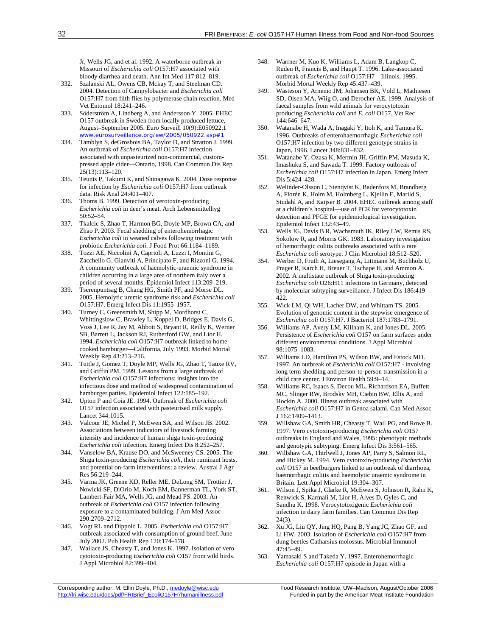Jr, Wells JG, and et al. 1992. A waterborne outbreak in Missouri of *Escherichia coli* O157:H7 associated with bloody diarrhea and death. Ann Int Med 117:812–819.

- 332. Szalanski AL, Owens CB, Mckay T, and Steelman CD. 2004. Detection of Campylobacter and *Escherichia coli* O157:H7 from filth flies by polymerase chain reaction. Med Vet Entomol 18:241–246.
- 333. Söderström A, Lindberg A, and Andersson Y. 2005. EHEC O157 outbreak in Sweden from locally produced lettuce, August–September 2005. Euro Surveill 10(9):E050922.1 www.eurosurveillance.org/ew/2005/050922.asp#
- 334. Tamblyn S, deGrosbois BA, Taylor D, and Stratton J. 1999. An outbreak of *Escherichia coli* O157:H7 infection associated with unpasteurized non-commercial, custompressed apple cider—Ontario, 1998. Can Commun Dis Rep 25(13):113–120.
- 335. Teunis P, Takumi K, and Shinagawa K. 2004. Dose response for infection by *Escherichia coli* O157:H7 from outbreak data. Risk Anal 24:401–407.
- 336. Thoms B. 1999. Detection of verotoxin-producing *Escherichia coli* in deer's meat. Arch Lebensmittelhyg 50:52–54.
- 337. Tkalcic S, Zhao T, Harmon BG, Doyle MP, Brown CA, and Zhao P. 2003. Fecal shedding of enterohemorrhagic *Escherichia coli* in weaned calves following treatment with probiotic *Escherichia coli*. J Food Prot 66:1184–1189.
- 338. Tozzi AE, Niccolini A, Caprioli A, Luzzi I, Montini G, Zacchello G, Gianviti A, Principato F, and Rizzoni G. 1994. A community outbreak of haemolytic-uraemic syndrome in children occurring in a large area of northern italy over a period of several months. Epidemiol Infect 113:209–219.
- 339. Tserenpuntsag B, Chang HG, Smith PF, and Morse DL. 2005. Hemolytic uremic syndrome risk and *Escherichia coli* O157:H7. Emerg Infect Dis 11:1955–1957.
- 340. Turney C, Greensmith M, Shipp M, Mordhorst C, Whittingslow C, Brawley L, Koppel D, Bridges E, Davis G, Voss J, Lee R, Jay M, Abbott S, Bryant R, Reilly K, Werner SB, Barrett L, Jackson RJ, Rutherford GW, and Lior H. 1994. *Escherichia coli* O157:H7 outbreak linked to homecooked hamburger—California, July 1993. Morbid Mortal Weekly Rep 43:213–216.
- 341. Tuttle J, Gomez T, Doyle MP, Wells JG, Zhao T, Tauxe RV, and Griffin PM. 1999. Lessons from a large outbreak of *Escherichia coli* O157:H7 infections: insights into the infectious dose and method of widespread contamination of hamburger patties. Epidemiol Infect 122:185–192.
- 342. Upton P and Coia JE. 1994. Outbreak of *Escherichia coli* O157 infection associated with pasteurised milk supply. Lancet 344:1015.
- 343. Valcour JE, Michel P, McEwen SA, and Wilson JB. 2002. Associations between indicators of livestock farming intensity and incidence of human shiga toxin-producing *Escherichia coli* infection. Emerg Infect Dis 8:252–257.
- 344. Vanselow BA, Krause DO, and McSweeney CS. 2005. The Shiga toxin-producing *Escherichia coli*, their ruminant hosts, and potential on-farm interventions: a review. Austral J Agr Res 56:219–244.
- 345. Varma JK, Greene KD, Reller ME, DeLong SM, Trottier J, Nowicki SF, DiOrio M, Koch EM, Bannerman TL, York ST, Lambert-Fair MA, Wells JG, and Mead PS. 2003. An outbreak of *Escherichia coli* O157 infection following exposure to a contaminated building. J Am Med Assoc 290:2709–2712.
- 346. Vogt RL and Dippold L. 2005. *Escherichia coli* O157:H7 outbreak associated with consumption of ground beef, June– July 2002. Pub Health Rep 120:174–178.
- 347. Wallace JS, Cheasty T, and Jones K. 1997. Isolation of vero cytotoxin-producing *Escherichia coli* O157 from wild birds. J Appl Microbiol 82:399–404.
- 348. Warrner M, Kuo K, Williams L, Adam B, Langkop C, Ruden R, Francis B, and Haupt T. 1996. Lake-associated outbreak of *Escherichia coli* O157:H7—Illinois, 1995. Morbid Mortal Weekly Rep 45:437–439.
- 349. Wasteson Y, Arnemo JM, Johansen BK, Vold L, Mathiesen SD, Olsen MA, Wiig O, and Derocher AE. 1999. Analysis of faecal samples from wild animals for verocytotoxin producing *Escherichia coli* and *E. coli* O157. Vet Rec 144:646–647.
- 350. Watanabe H, Wada A, Inagaki Y, Itoh K, and Tamura K. 1996. Outbreaks of enterohaemorrhagic *Escherichia coli* O157:H7 infection by two different genotype strains in Japan, 1996. Lancet 348:831–832.
- 351. Watanabe Y, Ozasa K, Mermin JH, Griffin PM, Masuda K, Imashuku S, and Sawada T. 1999. Factory outbreak of *Escherichia coli* O157:H7 infection in Japan. Emerg Infect Dis 5:424–428.
- 352. Welinder-Olsson C, Stenqvist K, Badenfors M, Brandberg A, Florén K, Holm M, Holmberg L, Kjellin E, Marild S, Studahl A, and Kaijser B. 2004. EHEC outbreak among staff at a children's hospital—use of PCR for verocytotoxin detection and PFGE for epidemiological investigation. Epidemiol Infect 132:43–49.
- 353. Wells JG, Davis B R, Wachsmuth IK, Riley LW, Remis RS, Sokolow R, and Morris GK. 1983. Laboratory investigation of hemorrhagic colitis outbreaks associated with a rare *Escherichia coli* serotype. J Clin Microbiol 18:512–520.
- 354. Werber D, Fruth A, Liesegang A, Littmann M, Buchholz U, Prager R, Karch H, Breuer T, Tschape H, and Ammon A. 2002. A multistate outbreak of Shiga toxin-producing *Escherichia coli* O26:H11 infections in Germany, detected by molecular subtyping surveillance. J Infect Dis 186:419– 422.
- 355. Wick LM, Qi WH, Lacher DW, and Whittam TS. 2005. Evolution of genomic content in the stepwise emergence of *Escherichia coli* O157:H7. J Bacteriol 187:1783–1791.
- 356. Williams AP, Avery LM, Killham K, and Jones DL. 2005. Persistence of *Escherichia coli* O157 on farm surfaces under different environmental conditions. J Appl Microbiol 98:1075–1083.
- 357. Williams LD, Hamilton PS, Wilson BW, and Estock MD. 1997. An outbreak of *Escherichia coli* O157:H7 - involving long term shedding and person-to-person transmission in a child care center. J Environ Health 59:9–14.
- 358. Williams RC, Isaacs S, Decou ML, Richardson EA, Buffett MC, Slinger RW, Brodsky MH, Ciebin BW, Ellis A, and Hockin A. 2000. Illness outbreak associated with *Escherichia coli* O157:H7 in Genoa salami. Can Med Assoc J 162:1409–1413.
- 359. Willshaw GA, Smith HR, Cheasty T, Wall PG, and Rowe B. 1997. Vero cytotoxin-producing *Escherichia coli* O157 outbreaks in England and Wales, 1995: phenotypic methods and genotypic subtyping. Emerg Infect Dis 3:561–565.
- 360. Willshaw GA, Thirlwell J, Jones AP, Parry S, Salmon RL, and Hickey M. 1994. Vero cytotoxin-producing *Escherichia coli* O157 in beefburgers linked to an outbreak of diarrhoea, haemorrhagic colitis and haemolytic uraemic syndrome in Britain. Lett Appl Microbiol 19:304–307.
- 361. Wilson J, Spika J, Clarke R, McEwen S, Johnson R, Rahn K, Renwick S, Karmali M, Lior H, Alves D, Gyles C, and Sandhu K. 1998. Verocytotoxigenic *Escherichia coli* infection in dairy farm families. Can Commun Dis Rep 24(3).
- 362. Xu JG, Liu QY, Jing HQ, Pang B, Yang JC, Zhao GF, and Li HW. 2003. Isolation of *Escherichia coli* O157:H7 from dung beetles Catharsius molossus. Microbial Immunol 47:45–49.
- 363. Yamasaki S and Takeda Y. 1997. Enterohemorrhagic *Escherichia coli* O157:H7 episode in Japan with a

Corresponding author: M. Ellin Doyle, Ph.D., medoyle@wisc.edu Food Research Institute, UW-Madison, August/October 2006

http://fri.wisc.edu/docs/pdf/FRIBrief\_EcoliO157H7humanillness.pdf Funded in part by the American Meat Institute Foundation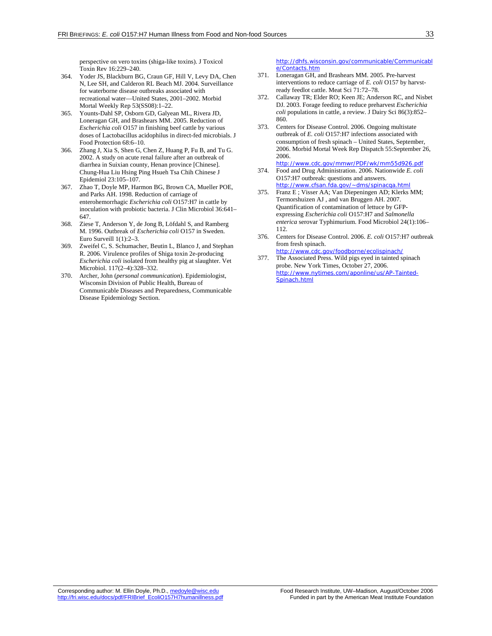perspective on vero toxins (shiga-like toxins). J Toxicol Toxin Rev 16:229–240.

- 364. Yoder JS, Blackburn BG, Craun GF, Hill V, Levy DA, Chen N, Lee SH, and Calderon RL Beach MJ. 2004. Surveillance for waterborne disease outbreaks associated with recreational water—United States, 2001–2002. Morbid Mortal Weekly Rep 53(SS08):1–22.
- 365. Younts-Dahl SP, Osborn GD, Galyean ML, Rivera JD, Loneragan GH, and Brashears MM. 2005. Reduction of *Escherichia coli* O157 in finishing beef cattle by various doses of Lactobacillus acidophilus in direct-fed microbials. J Food Protection 68:6–10.
- 366. Zhang J, Xia S, Shen G, Chen Z, Huang P, Fu B, and Tu G. 2002. A study on acute renal failure after an outbreak of diarrhea in Suixian county, Henan province [Chinese]. Chung-Hua Liu Hsing Ping Hsueh Tsa Chih Chinese J Epidemiol 23:105–107.
- 367. Zhao T, Doyle MP, Harmon BG, Brown CA, Mueller POE, and Parks AH. 1998. Reduction of carriage of enterohemorrhagic *Escherichia coli* O157:H7 in cattle by inoculation with probiotic bacteria. J Clin Microbiol 36:641– 647.
- 368. Ziese T, Anderson Y, de Jong B, Löfdahl S, and Ramberg M. 1996. Outbreak of *Escherichia coli* O157 in Sweden. Euro Surveill 1(1):2–3.
- 369. Zweifel C, S. Schumacher, Beutin L, Blanco J, and Stephan R. 2006. Virulence profiles of Shiga toxin 2e-producing *Escherichia coli* isolated from healthy pig at slaughter. Vet Microbiol. 117(2–4):328–332.
- 370. Archer, John (*personal communication*). Epidemiologist, Wisconsin Division of Public Health, Bureau of Communicable Diseases and Preparedness, Communicable Disease Epidemiology Section.

http://dhfs.wisconsin.gov/communicable/Communicabl e/Contacts.htm

- 371. Loneragan GH, and Brashears MM. 2005. Pre-harvest interventions to reduce carriage of *E. coli* O157 by harvstready feedlot cattle. Meat Sci 71:72–78.
- 372. Callaway TR; Elder RO; Keen JE; Anderson RC, and Nisbet DJ. 2003. Forage feeding to reduce preharvest *Escherichia coli* populations in cattle, a review. J Dairy Sci 86(3):852– 860.
- 373. Centers for Disease Control. 2006. Ongoing multistate outbreak of *E. coli* O157:H7 infections associated with consumption of fresh spinach – United States, September, 2006. Morbid Mortal Week Rep Dispatch 55:September 26, 2006.
- http://www.cdc.gov/mmwr/PDF/wk/mm55d926.pdf 374. Food and Drug Administration. 2006. Nationwide *E. coli* O157:H7 outbreak: questions and answers.
- http://www.cfsan.fda.gov/~dms/spinacqa.html 375. Franz E ; Visser AA; Van Diepeningen AD; Klerks MM;
- Termorshuizen AJ , and van Bruggen AH. 2007. Quantification of contamination of lettuce by GFPexpressing *Escherichia coli* O157:H7 and *Salmonella enterica* serovar Typhimurium. Food Microbiol 24(1):106– 112.
- 376. Centers for Disease Control. 2006. *E. coli* O157:H7 outbreak from fresh spinach. http://www.cdc.gov/foodborne/ecolispinach/
- 377. The Associated Press. Wild pigs eyed in tainted spinach probe. New York Times, October 27, 2006. http://www.nytimes.com/aponline/us/AP-Tainted-Spinach.html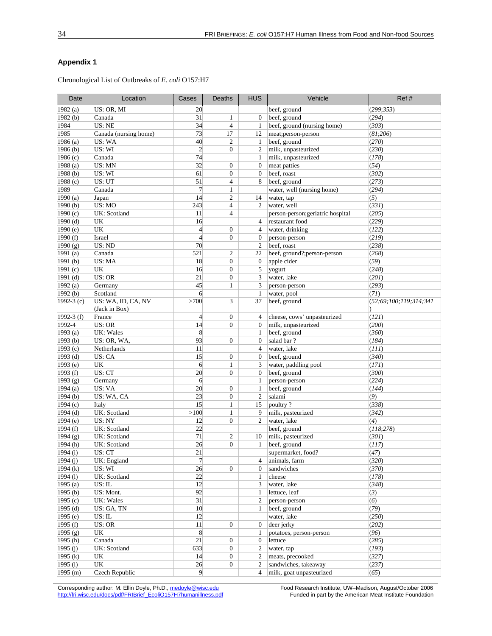### **Appendix 1**

Chronological List of Outbreaks of *E. coli* O157:H7

| Date                  | Location                            | Cases          | Deaths            | <b>HUS</b>       | Vehicle                           | Ref#                   |
|-----------------------|-------------------------------------|----------------|-------------------|------------------|-----------------------------------|------------------------|
| 1982(a)               | US: OR, MI                          | 20             |                   |                  | beef, ground                      | (299; 353)             |
| 1982(b)               | Canada                              | 31             | $\mathbf{1}$      | $\theta$         | beef, ground                      | (294)                  |
| 1984                  | US: NE                              | 34             | $\overline{4}$    | $\mathbf{1}$     | beef, ground (nursing home)       | (303)                  |
| 1985                  | Canada (nursing home)               | 73             | 17                | 12               | meat;person-person                | (81;206)               |
| 1986(a)               | US: WA                              | 40             | $\overline{c}$    | 1                | beef, ground                      | (270)                  |
| 1986(b)               | US: WI                              | $\overline{2}$ | $\boldsymbol{0}$  | $\overline{2}$   | milk, unpasteurized               | (230)                  |
| 1986 (c)              | Canada                              | 74             |                   | 1                | milk, unpasteurized               | (178)                  |
| 1988 (a)              | US: MN                              | 32             | $\boldsymbol{0}$  | $\mathbf{0}$     | meat patties                      | (54)                   |
| 1988 (b)              | US: WI                              | 61             | $\boldsymbol{0}$  | $\mathbf{0}$     | beef, roast                       | (302)                  |
| 1988 (c)              | US: UT                              | 51             | 4                 | 8                | beef, ground                      | (273)                  |
| 1989                  | Canada                              | $\overline{7}$ | $\mathbf{1}$      |                  | water, well (nursing home)        | (294)                  |
| 1990(a)               | Japan                               | 14             | 2                 | 14               | water, tap                        | (5)                    |
| 1990(b)               | US: MO                              | 243            | 4                 | $\overline{c}$   | water, well                       | (331)                  |
| 1990 (c)              | UK: Scotland                        | 11             | $\overline{4}$    |                  | person-person; geriatric hospital | (205)                  |
| 1990(d)               | UK                                  | 16             |                   | $\overline{4}$   | restaurant food                   | (229)                  |
| 1990(e)               | UK                                  | $\overline{4}$ | $\mathbf{0}$      | $\overline{4}$   | water, drinking                   | (122)                  |
| 1990(f)               | Israel                              | $\overline{4}$ | $\boldsymbol{0}$  | $\mathbf{0}$     | person-person                     | (219)                  |
| 1990(g)               | US: ND                              | 70             |                   | $\overline{2}$   | beef, roast                       | (238)                  |
| 1991 $(a)$            | Canada                              | 521            | $\overline{c}$    | 22               | beef, ground?;person-person       | (268)                  |
| 1991(b)               | US: MA                              | 18             | $\boldsymbol{0}$  | $\mathbf{0}$     | apple cider                       | (59)                   |
| 1991 $(c)$            | UK                                  | 16             | $\boldsymbol{0}$  | 5                | yogurt                            | (248)                  |
| $1991$ (d)            | US: OR                              | 21             | $\mathbf{0}$      | 3                | water, lake                       | (201)                  |
| 1992(a)               | Germany                             | 45             | $\mathbf{1}$      | 3                | person-person                     | (293)                  |
| 1992(b)               | Scotland                            | 6              |                   | $\mathbf{1}$     | water, pool                       | (71)                   |
| 1992-3 $(c)$          | US: WA, ID, CA, NV<br>(Jack in Box) | >700           | 3                 | 37               | beef, ground                      | (52;69;100;119;314;341 |
| 1992-3 $(f)$          | France                              | $\overline{4}$ | $\mathbf{0}$      | 4                | cheese, cows' unpasteurized       | (121)                  |
| 1992-4                | US: OR                              | 14             | $\overline{0}$    | $\boldsymbol{0}$ | milk, unpasteurized               | (200)                  |
| 1993(a)               | <b>UK: Wales</b>                    | 8              |                   | $\mathbf{1}$     | beef, ground                      | (360)                  |
| 1993(b)               | US: OR, WA,                         | 93             | $\boldsymbol{0}$  | $\mathbf{0}$     | salad bar?                        | (184)                  |
| 1993(c)               | Netherlands                         | 11             |                   | $\overline{4}$   | water, lake                       | (111)                  |
| $1993$ (d)            | US: CA                              | 15             | $\boldsymbol{0}$  | $\overline{0}$   | beef, ground                      | (340)                  |
| 1993 (e)              | UK                                  | 6              | $\mathbf{1}$      | 3                | water, paddling pool              | (171)                  |
| 1993(f)               | US: CT                              | 20             | $\overline{0}$    | $\mathbf{0}$     | beef, ground                      | (300)                  |
| 1993 (g)              | Germany                             | 6              |                   | $\mathbf{1}$     | person-person                     | (224)                  |
| 1994(a)               | US: VA                              | 20             | $\boldsymbol{0}$  | $\mathbf{1}$     | beef, ground                      | (144)                  |
| 1994(b)               | US: WA, CA                          | 23             | $\boldsymbol{0}$  | $\overline{2}$   | salami                            | (9)                    |
| 1994(c)               | Italy<br>UK: Scotland               | 15<br>>100     | $\mathbf{1}$      | 15               | poultry?                          | (338)<br>(342)         |
| $1994$ (d)<br>1994(e) |                                     | 12             | 1<br>$\mathbf{0}$ | 9<br>2           | milk, pasteurized<br>water, lake  | (4)                    |
| 1994(f)               | US: NY<br>UK: Scotland              | 22             |                   |                  | beef, ground                      |                        |
| 1994(g)               | UK: Scotland                        | 71             | $\overline{c}$    | 10               | milk, pasteurized                 | (118;278)<br>(301)     |
| 1994(h)               | UK: Scotland                        | 26             | $\overline{0}$    | 1                | beef, ground                      | (117)                  |
| 1994(i)               | US: CT                              | 21             |                   |                  | supermarket, food?                | (47)                   |
| 1994(j)               | UK: England                         | $\overline{7}$ |                   | 4                | animals, farm                     | (320)                  |
| 1994(k)               | US: WI                              | 26             | $\boldsymbol{0}$  | $\mathbf{0}$     | sandwiches                        | (370)                  |
| 1994(1)               | UK: Scotland                        | 22             |                   | $\mathbf{1}$     | cheese                            | (178)                  |
| 1995(a)               | US: IL                              | 12             |                   | 3                | water, lake                       | (348)                  |
| 1995(b)               | US: Mont.                           | 92             |                   | $\mathbf{1}$     | lettuce, leaf                     | (3)                    |
| 1995(c)               | UK: Wales                           | 31             |                   | $\overline{c}$   | person-person                     | (6)                    |
| 1995 $(d)$            | US: GA, TN                          | 10             |                   | 1                | beef, ground                      | (79)                   |
| 1995(e)               | US: IL                              | 12             |                   |                  | water, lake                       | (250)                  |
| 1995(f)               | US: OR                              | 11             | 0                 | $\boldsymbol{0}$ | deer jerky                        | (202)                  |
| 1995(g)               | UK                                  | 8              |                   | 1                | potatoes, person-person           | (96)                   |
| 1995 $(h)$            | Canada                              | 21             | $\boldsymbol{0}$  | $\boldsymbol{0}$ | lettuce                           | (285)                  |
| 1995(j)               | UK: Scotland                        | 633            | $\boldsymbol{0}$  | $\boldsymbol{2}$ | water, tap                        | (193)                  |
| 1995 $(k)$            | UK                                  | 14             | 0                 | $\overline{2}$   | meats, precooked                  | (327)                  |
| 1995(l)               | UK                                  | 26             | $\boldsymbol{0}$  | $\overline{2}$   | sandwiches, takeaway              | (237)                  |
| 1995 (m)              | Czech Republic                      | 9              |                   | $\overline{4}$   | milk, goat unpasteurized          | (65)                   |

Corresponding author: M. Ellin Doyle, Ph.D., medoyle@wisc.edu Food Research Institute, UW–Madison, August/October 2006 http://fri.wisc.edu/docs/pdf/FRIBrief\_EcoliO157H7humanillness.pdf Funded in part by the American Meat Institute Foundation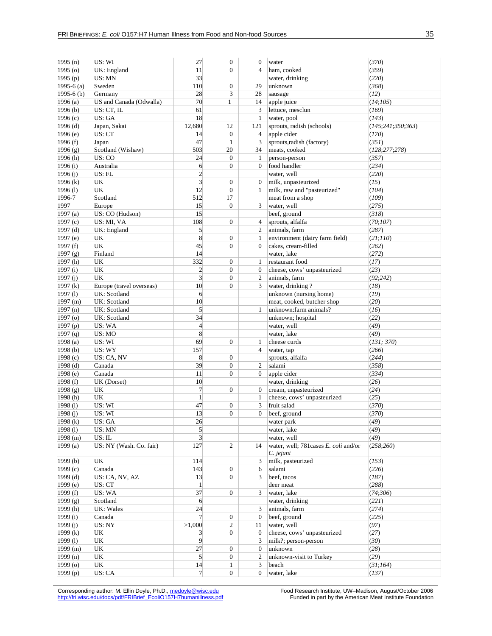| 1995(n)             | US: WI                   | 27                      | $\boldsymbol{0}$ | $\boldsymbol{0}$ | water                                             | (370)                |
|---------------------|--------------------------|-------------------------|------------------|------------------|---------------------------------------------------|----------------------|
| 1995 <sub>(0)</sub> | UK: England              | 11                      | $\overline{0}$   | $\overline{4}$   | ham, cooked                                       | (359)                |
| 1995(p)             | US: MN                   | 33                      |                  |                  | water, drinking                                   | (220)                |
| 1995-6 $(a)$        | Sweden                   | 110                     | $\boldsymbol{0}$ | 29               | unknown                                           | (368)                |
| $1995-6$ (b)        | Germany                  | 28                      | 3                | 28               | sausage                                           | (12)                 |
| 1996(a)             | US and Canada (Odwalla)  | 70                      | 1                | 14               | apple juice                                       | (14;105)             |
| 1996(b)             | US: CT, IL               | 61                      |                  | 3                | lettuce, mesclun                                  | (169)                |
| 1996 (c)            | US: GA                   | 18                      |                  | 1                | water, pool                                       | (143)                |
| 1996 (d)            | Japan, Sakai             | 12,680                  | 12               | 121              | sprouts, radish (schools)                         | (145; 241; 350; 363) |
| 1996 (e)            | US: CT                   | 14                      | $\mathbf{0}$     | 4                | apple cider                                       | (170)                |
| 1996 (f)            | Japan                    | 47                      | $\mathbf{1}$     | 3                | sprouts, radish (factory)                         | (351)                |
| 1996 (g)            | Scotland (Wishaw)        | 503                     | 20               | 34               | meats, cooked                                     | (128; 277; 278)      |
| 1996(h)             | US: CO                   | 24                      | $\mathbf{0}$     | 1                | person-person                                     | (357)                |
| 1996(i)             | Australia                | 6                       | $\mathbf{0}$     | $\Omega$         | food handler                                      | (234)                |
| 1996 (j)            | US: FL                   | $\overline{c}$          |                  |                  | water, well                                       | (220)                |
| 1996 $(k)$          | UK                       | $\overline{\mathbf{3}}$ | $\boldsymbol{0}$ | $\boldsymbol{0}$ | milk, unpasteurized                               | (15)                 |
| 1996(l)             | UK                       | 12                      | $\mathbf{0}$     | 1                | milk, raw and "pasteurized"                       | (104)                |
| 1996-7              | Scotland                 | 512                     | 17               |                  | meat from a shop                                  | (109)                |
| 1997                | Europe                   | 15                      | $\overline{0}$   | 3                | water, well                                       | (275)                |
| 1997(a)             | US: CO (Hudson)          | 15                      |                  |                  | beef, ground                                      | (318)                |
| 1997(c)             | US: MI, VA               | 108                     | $\mathbf{0}$     | 4                | sprouts, alfalfa                                  | (70;107)             |
| 1997 (d)            | UK: England              | $\mathfrak{S}$          |                  | 2                | animals, farm                                     | (287)                |
| 1997 (e)            | UK                       | 8                       | $\boldsymbol{0}$ | 1                | environment (dairy farm field)                    | (21;110)             |
| 1997 (f)            | UK                       | 45                      | $\overline{0}$   | $\mathbf{0}$     | cakes, cream-filled                               | (262)                |
| 1997(g)             | Finland                  | 14                      |                  |                  | water, lake                                       | (272)                |
| 1997(h)             | UK                       | 332                     | $\overline{0}$   | $\mathbf{1}$     | restaurant food                                   | (17)                 |
| 1997(i)             | UK                       | $\overline{c}$          | $\boldsymbol{0}$ | $\boldsymbol{0}$ | cheese, cows' unpasteurized                       | (23)                 |
| 1997(j)             | UK                       | 3                       | $\overline{0}$   | $\overline{c}$   | animals, farm                                     | (92;242)             |
| 1997(k)             | Europe (travel overseas) | 10                      | $\overline{0}$   | 3                | water, drinking?                                  | (18)                 |
| 1997(1)             | UK: Scotland             | 6                       |                  |                  | unknown (nursing home)                            | (19)                 |
| 1997 (m)            | UK: Scotland             | 10                      |                  |                  | meat, cooked, butcher shop                        | (20)                 |
| 1997(n)             | UK: Scotland             | 5                       |                  | 1                | unknown:farm animals?                             | (16)                 |
| 1997 (o)            | UK: Scotland             | 34                      |                  |                  | unknown; hospital                                 | (22)                 |
| 1997(p)             | US: WA                   | $\overline{4}$          |                  |                  | water, well                                       | (49)                 |
| 1997(q)             | US: MO                   | 8                       |                  |                  | water, lake                                       | (49)                 |
| 1998(a)             | US: WI                   | 69                      | $\overline{0}$   | 1                | cheese curds                                      | (131; 370)           |
| 1998 (b)            | US: WY                   | 157                     |                  | $\overline{4}$   | water, tap                                        | (266)                |
| 1998 (c)            | US: CA, NV               | 8                       | $\boldsymbol{0}$ |                  | sprouts, alfalfa                                  | (244)                |
| 1998 (d)            | Canada                   | 39                      | $\boldsymbol{0}$ | $\mathfrak{2}$   | salami                                            | (358)                |
| 1998 (e)            | Canada                   | 11                      | $\overline{0}$   | $\mathbf{0}$     | apple cider                                       | (334)                |
| 1998 (f)            | UK (Dorset)              | 10                      |                  |                  | water, drinking                                   | (26)                 |
| 1998(g)             | UK                       | $\overline{7}$          | $\boldsymbol{0}$ | $\mathbf{0}$     | cream, unpasteurized                              | (24)                 |
| 1998 (h)            | UK                       |                         |                  | $\mathbf{1}$     | cheese, cows' unpasteurized                       | (25)                 |
| 1998 (i)            | US: WI                   | 47                      | $\boldsymbol{0}$ | 3                | fruit salad                                       | (370)                |
| 1998 (j)            | US: WI                   | 13                      | $\boldsymbol{0}$ | $\overline{0}$   | beef, ground                                      | (370)                |
| 1998(k)             | US: GA                   | 26                      |                  |                  | water park                                        | (49)                 |
| 1998(1)             | US: MN                   | $\mathfrak{S}$          |                  |                  | water, lake                                       | (49)                 |
| 1998 (m)            | US: IL                   | $\overline{3}$          |                  |                  | water, well                                       | (49)                 |
| 1999(a)             | US: NY (Wash. Co. fair)  | 127                     | $\overline{c}$   | 14               | water, well; 781cases E. coli and/or<br>C. jejuni | (258;260)            |
| 1999(b)             | UK                       | 114                     |                  | 3                | milk, pasteurized                                 | (153)                |
| 1999(c)             | Canada                   | 143                     | 0                | 6                | salami                                            | (226)                |
| 1999(d)             | US: CA, NV, AZ           | 13                      | $\mathbf{0}$     | 3                | beef, tacos                                       | (187)                |
| 1999 (e)            | US: CT                   | $\mathbf{1}$            |                  |                  | deer meat                                         | (288)                |
| 1999 $(f)$          | US: WA                   | 37                      | $\boldsymbol{0}$ | 3                | water, lake                                       | (74;306)             |
| 1999(g)             | Scotland                 | 6                       |                  |                  | water, drinking                                   | (221)                |
| 1999(h)             | UK: Wales                | 24                      |                  | 3                | animals, farm                                     | (274)                |
| 1999(i)             | Canada                   | $\overline{7}$          | $\boldsymbol{0}$ | $\boldsymbol{0}$ | beef, ground                                      | (225)                |
| 1999(j)             | US: NY                   | >1,000                  | $\overline{c}$   | 11               | water, well                                       | (97)                 |
| 1999 $(k)$          | UK                       | $\overline{3}$          | $\mathbf{0}$     | $\theta$         | cheese, cows' unpasteurized                       | (27)                 |
| 1999(1)             | UK                       | 9                       |                  | 3                | milk?; person-person                              | (30)                 |
| 1999(m)             | UK                       | 27                      | $\boldsymbol{0}$ | $\boldsymbol{0}$ | unknown                                           | (28)                 |
| 1999(n)             | UK                       | $\mathfrak{S}$          | $\mathbf{0}$     | $\mathfrak{2}$   | unknown-visit to Turkey                           | (29)                 |
| 1999 (o)            | UK                       | 14                      | 1                | 3                | beach                                             | (31;164)             |
| 1999 (p)            | US: CA                   | $\overline{7}$          | $\mathbf{0}$     | $\overline{0}$   | water, lake                                       | (137)                |

Corresponding author: M. Ellin Doyle, Ph.D., medoyle@wisc.edu Food Research Institute, UW–Madison, August/October 2006 http://fri.wisc.edu/docs/pdf/FRIBrief\_EcoliO157H7humanillness.pdf Funded in part by the American Meat Institute Foundation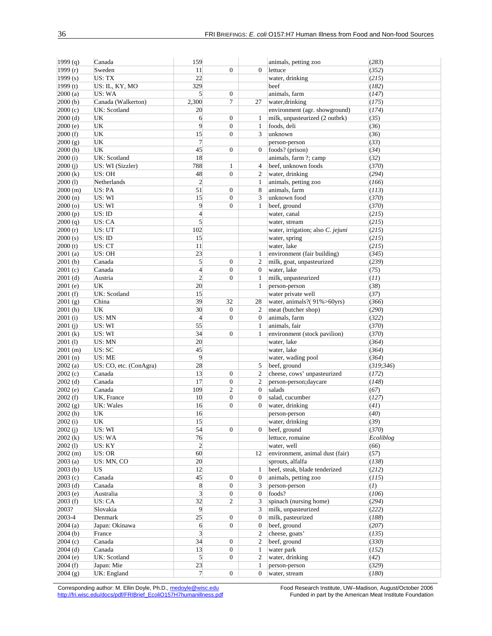| 1999 $(q)$         | Canada                 | 159                     |                  |                  | animals, petting zoo              | (283)      |
|--------------------|------------------------|-------------------------|------------------|------------------|-----------------------------------|------------|
| 1999 $(r)$         | Sweden                 | 11                      | $\boldsymbol{0}$ | $\Omega$         | lettuce                           | (352)      |
| 1999 $(s)$         | US: TX                 | 22                      |                  |                  | water, drinking                   | (215)      |
| 1999 $(t)$         | US: IL, KY, MO         | 329                     |                  |                  | beef                              | (182)      |
| 2000(a)            | US: WA                 | $\mathbf{5}$            | $\boldsymbol{0}$ |                  | animals, farm                     | (147)      |
| 2000(b)            | Canada (Walkerton)     | 2,300                   | 7                | 27               | water, drinking                   | (175)      |
| 2000(c)            | UK: Scotland           | 20                      |                  |                  | environment (agr. showground)     | (174)      |
| 2000(d)            | UK                     | 6                       | $\mathbf{0}$     | 1                | milk, unpasteurized (2 outbrk)    | (35)       |
| 2000(e)            | UK                     | $\overline{9}$          | $\mathbf{0}$     | $\mathbf{1}$     | foods, deli                       | (36)       |
| 2000(f)            | UK                     | 15                      | $\boldsymbol{0}$ | 3                | unknown                           | (36)       |
| 2000(g)            | UK                     | $\overline{7}$          |                  |                  | person-person                     | (33)       |
| 2000(h)            | UK                     | 45                      | $\mathbf{0}$     | $\mathbf{0}$     | foods? (prison)                   | (34)       |
| 2000(i)            | UK: Scotland           | 18                      |                  |                  | animals, farm ?; camp             | (32)       |
| 2000(j)            | US: WI (Sizzler)       | 788                     | $\mathbf{1}$     | 4                | beef, unknown foods               | (370)      |
| 2000 (k)           | US: OH                 | 48                      | $\mathbf{0}$     | 2                | water, drinking                   | (294)      |
| 2000(l)            | Netherlands            | $\overline{c}$          |                  | $\mathbf{1}$     | animals, petting zoo              | (166)      |
| 2000(m)            | US: PA                 | 51                      | $\boldsymbol{0}$ | 8                | animals, farm                     | (113)      |
| 2000(n)            | US: WI                 | 15                      | $\boldsymbol{0}$ | 3                | unknown food                      | (370)      |
| $2000($ o $)$      | US: WI                 | 9                       | $\mathbf{0}$     | 1                | beef, ground                      | (370)      |
| 2000(p)            | US: ID                 | $\overline{4}$          |                  |                  | water, canal                      | (215)      |
|                    | US: CA                 | $\mathfrak{h}$          |                  |                  |                                   | (215)      |
| 2000(q)<br>2000(r) |                        |                         |                  |                  | water, stream                     |            |
| 2000(s)            | US: UT                 | 102                     |                  |                  | water, irrigation; also C. jejuni | (215)      |
|                    | US: ID                 | 15                      |                  |                  | water, spring                     | (215)      |
| 2000(t)            | US: CT                 | 11                      |                  |                  | water, lake                       | (215)      |
| 2001(a)            | US: OH                 | 23                      |                  | $\mathbf{1}$     | environment (fair building)       | (345)      |
| 2001(b)            | Canada                 | $\mathfrak{h}$          | $\mathbf{0}$     | 2                | milk, goat, unpasteurized         | (239)      |
| 2001(c)            | Canada                 | $\overline{4}$          | $\mathbf{0}$     | $\mathbf{0}$     | water, lake                       | (75)       |
| $2001$ (d)         | Austria                | $\overline{c}$          | $\mathbf{0}$     | $\mathbf{1}$     | milk, unpasteurized               | (11)       |
| 2001(e)            | UK                     | 20                      |                  | 1                | person-person                     | (38)       |
| 2001(f)            | UK: Scotland           | 15                      |                  |                  | water private well                | (37)       |
| 2001(g)            | China                  | 39                      | 32               | 28               | water, animals?(91%>60yrs)        | (366)      |
| 2001(h)            | UK                     | 30                      | $\mathbf{0}$     | 2                | meat (butcher shop)               | (290)      |
| 2001(i)            | US: MN                 | $\overline{4}$          | $\mathbf{0}$     | $\overline{0}$   | animals, farm                     | (322)      |
| 2001(j)            | US: WI                 | 55                      |                  | $\mathbf{1}$     | animals, fair                     | (370)      |
| 2001 (k)           | US: WI                 | 34                      | $\mathbf{0}$     | 1                | environment (stock pavilion)      | (370)      |
| 2001(1)            | US: MN                 | 20                      |                  |                  | water, lake                       | (364)      |
| $2001$ (m)         | US: SC                 | 45                      |                  |                  | water, lake                       | (364)      |
| 2001(n)            | US: ME                 | 9                       |                  |                  | water, wading pool                | (364)      |
| 2002(a)            | US: CO, etc. (ConAgra) | 28                      |                  | 5                | beef, ground                      | (319; 346) |
| 2002(c)            | Canada                 | 13                      | $\mathbf{0}$     | $\mathfrak{2}$   | cheese, cows' unpasteurized       | (172)      |
| $2002$ (d)         | Canada                 | 17                      | $\mathbf{0}$     | 2                | person-person; daycare            | (148)      |
| 2002(e)            | Canada                 | 109                     | $\overline{c}$   | $\mathbf{0}$     | salads                            | (67)       |
| 2002(f)            | UK, France             | 10                      | $\boldsymbol{0}$ | $\mathbf{0}$     | salad, cucumber                   | (127)      |
| 2002(g)            | UK: Wales              | 16                      | $\mathbf{0}$     | $\overline{0}$   | water, drinking                   | (41)       |
| 2002(h)            | UK                     | 16                      |                  |                  | person-person                     | (40)       |
| 2002(i)            | UK                     | 15                      |                  |                  | water, drinking                   | (39)       |
| 2002(j)            | US: WI                 | 54                      | $\boldsymbol{0}$ | $\Omega$         | beef, ground                      | (370)      |
| 2002(k)            | US: WA                 | 76                      |                  |                  | lettuce, romaine                  | Ecoliblog  |
| 2002(1)            | US: KY                 | $\overline{2}$          |                  |                  | water, well                       | (66)       |
| 2002(m)            | US: OR                 | 60                      |                  | 12               | environment, animal dust (fair)   | (57)       |
| 2003(a)            | US: MN, CO             | 20                      |                  |                  | sprouts, alfalfa                  | (138)      |
| 2003(b)            | US                     | 12                      |                  | 1                | beef, steak, blade tenderized     | (212)      |
| 2003(c)            | Canada                 | 45                      | $\mathbf{0}$     | $\boldsymbol{0}$ | animals, petting zoo              | (115)      |
| $2003$ (d)         | Canada                 | $8\overline{)}$         | $\boldsymbol{0}$ | 3                | person-person                     | (I)        |
| 2003(e)            | Australia              | $\overline{\mathbf{3}}$ | $\boldsymbol{0}$ | $\boldsymbol{0}$ | foods?                            | (106)      |
| 2003(f)            | US: CA                 | 32                      | $\mathbf{2}$     | 3                | spinach (nursing home)            | (294)      |
| 2003?              | Slovakia               | 9                       |                  | 3                | milk, unpasteurized               | (222)      |
| 2003-4             | Denmark                | 25                      | $\mathbf{0}$     | $\mathbf{0}$     | milk, pasteurized                 | (188)      |
| 2004(a)            | Japan: Okinawa         | 6                       | $\boldsymbol{0}$ | 0                | beef, ground                      | (207)      |
| 2004(b)            | France                 | $\overline{\mathbf{3}}$ |                  | $\overline{c}$   | cheese, goats'                    | (135)      |
| 2004(c)            | Canada                 | 34                      | $\boldsymbol{0}$ | 2                | beef, ground                      | (330)      |
| $2004$ (d)         | Canada                 | 13                      | $\mathbf{0}$     | $\mathbf{1}$     | water park                        | (152)      |
| 2004(e)            | UK: Scotland           |                         |                  | $\overline{c}$   |                                   |            |
|                    |                        | $\mathfrak{h}$          | $\boldsymbol{0}$ |                  | water, drinking                   | (42)       |
| 2004(f)            | Japan: Mie             | 23                      |                  | $\mathbf{1}$     | person-person                     | (329)      |
| 2004(g)            | UK: England            | $\tau$                  | $\mathbf{0}$     | $\overline{0}$   | water, stream                     | (180)      |

Corresponding author: M. Ellin Doyle, Ph.D., medoyle@wisc.edu Food Research Institute, UW–Madison, August/October 2006 http://fri.wisc.edu/docs/pdf/FRIBrief\_EcoliO157H7humanillness.pdf Funded in part by the American Meat Institute Foundation